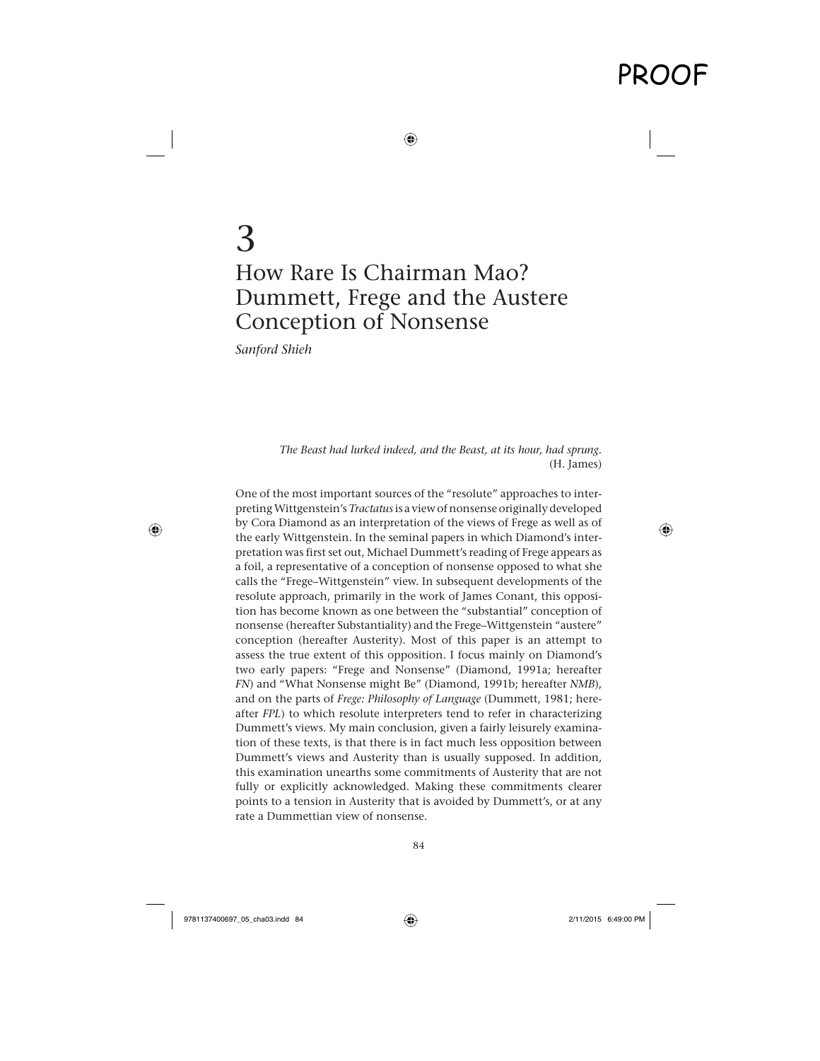⊕

### 3 How Rare Is Chairman Mao? Dummett, Frege and the Austere Conception of Nonsense

 *Sanford Shieh* 

⊕

*The Beast had lurked indeed, and the Beast, at its hour, had sprung.* (H. James)

One of the most important sources of the "resolute" approaches to interpreting Wittgenstein's *Tractatus* is a view of nonsense originally developed by Cora Diamond as an interpretation of the views of Frege as well as of the early Wittgenstein. In the seminal papers in which Diamond's interpretation was first set out, Michael Dummett's reading of Frege appears as a foil, a representative of a conception of nonsense opposed to what she calls the "Frege–Wittgenstein" view. In subsequent developments of the resolute approach, primarily in the work of James Conant, this opposition has become known as one between the "substantial" conception of nonsense (hereafter Substantiality) and the Frege–Wittgenstein "austere" conception (hereafter Austerity). Most of this paper is an attempt to assess the true extent of this opposition. I focus mainly on Diamond's two early papers: "Frege and Nonsense" (Diamond, 1991a; hereafter *FN*) and "What Nonsense might Be" (Diamond, 1991b; hereafter *NMB*), and on the parts of *Frege: Philosophy of Language* (Dummett, 1981; hereafter *FPL*) to which resolute interpreters tend to refer in characterizing Dummett's views. My main conclusion, given a fairly leisurely examination of these texts, is that there is in fact much less opposition between Dummett's views and Austerity than is usually supposed. In addition, this examination unearths some commitments of Austerity that are not fully or explicitly acknowledged. Making these commitments clearer points to a tension in Austerity that is avoided by Dummett's, or at any rate a Dummettian view of nonsense.

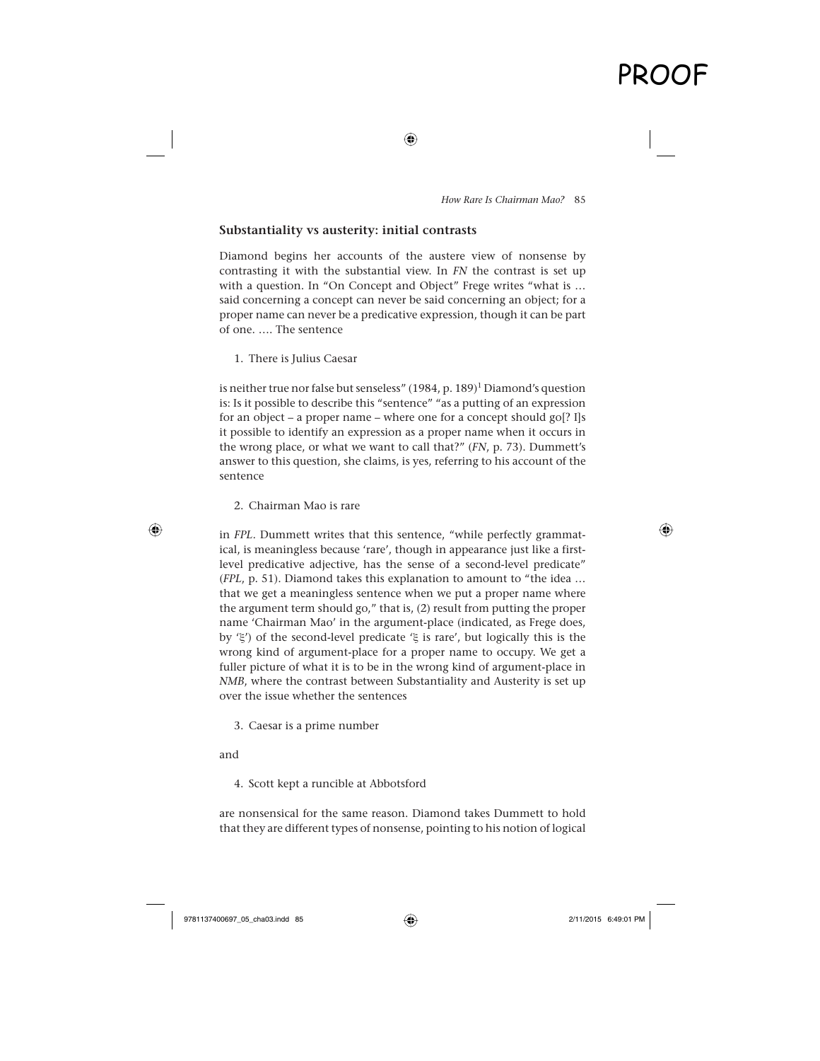◈

 $\bigoplus$ 

### *How Rare Is Chairman Mao?* 85

### **Substantiality vs austerity: initial contrasts**

Diamond begins her accounts of the austere view of nonsense by contrasting it with the substantial view. In *FN* the contrast is set up with a question. In "On Concept and Object" Frege writes "what is … said concerning a concept can never be said concerning an object; for a proper name can never be a predicative expression, though it can be part of one. …. The sentence

1. There is Julius Caesar

is neither true nor false but senseless" (1984, p. 189)<sup>1</sup> Diamond's question is: Is it possible to describe this "sentence" "as a putting of an expression for an object – a proper name – where one for a concept should go[? I]s it possible to identify an expression as a proper name when it occurs in the wrong place, or what we want to call that?" (*FN*, p. 73). Dummett's answer to this question, she claims, is yes, referring to his account of the sentence

2. Chairman Mao is rare

in *FPL*. Dummett writes that this sentence, "while perfectly grammatical, is meaningless because 'rare', though in appearance just like a firstlevel predicative adjective, has the sense of a second-level predicate" ( *FPL*, p. 51). Diamond takes this explanation to amount to "the idea … that we get a meaningless sentence when we put a proper name where the argument term should go," that is, (2) result from putting the proper name 'Chairman Mao' in the argument-place (indicated, as Frege does, by 'ξ') of the second-level predicate 'ξ is rare', but logically this is the wrong kind of argument-place for a proper name to occupy. We get a fuller picture of what it is to be in the wrong kind of argument-place in *NMB*, where the contrast between Substantiality and Austerity is set up over the issue whether the sentences

3. Caesar is a prime number

and

◈

4. Scott kept a runcible at Abbotsford

are nonsensical for the same reason. Diamond takes Dummett to hold that they are different types of nonsense, pointing to his notion of logical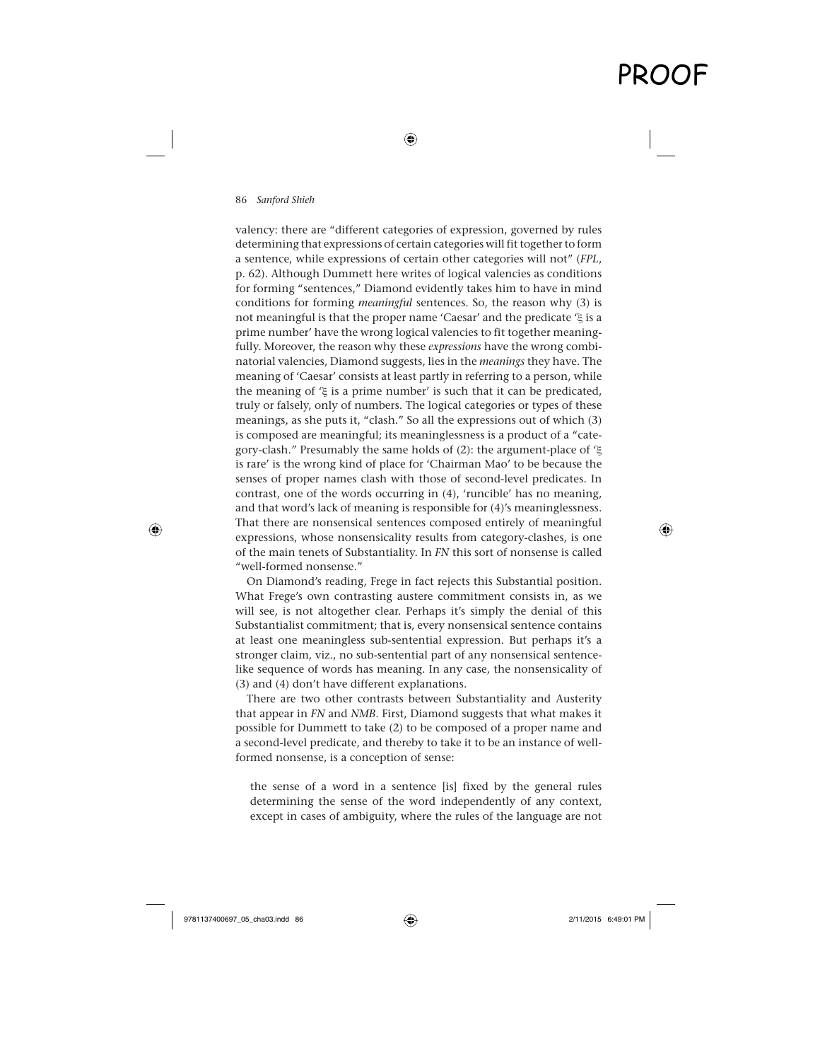⊕

⊕

#### 86 *Sanford Shieh*

valency: there are "different categories of expression, governed by rules determining that expressions of certain categories will fit together to form a sentence, while expressions of certain other categories will not" (FPL, p. 62). Although Dummett here writes of logical valencies as conditions for forming "sentences," Diamond evidently takes him to have in mind conditions for forming *meaningful* sentences. So, the reason why (3) is not meaningful is that the proper name 'Caesar' and the predicate 'ξ is a prime number' have the wrong logical valencies to fit together meaningfully. Moreover, the reason why these *expressions* have the wrong combinatorial valencies, Diamond suggests, lies in the *meanings* they have. The meaning of 'Caesar' consists at least partly in referring to a person, while the meaning of 'ξ is a prime number' is such that it can be predicated, truly or falsely, only of numbers. The logical categories or types of these meanings, as she puts it, "clash." So all the expressions out of which (3) is composed are meaningful; its meaninglessness is a product of a "category-clash." Presumably the same holds of (2): the argument-place of 'ξ is rare' is the wrong kind of place for 'Chairman Mao' to be because the senses of proper names clash with those of second-level predicates. In contrast, one of the words occurring in (4), 'runcible' has no meaning, and that word's lack of meaning is responsible for (4)'s meaninglessness. That there are nonsensical sentences composed entirely of meaningful expressions, whose nonsensicality results from category-clashes, is one of the main tenets of Substantiality. In *FN* this sort of nonsense is called "well-formed nonsense."

On Diamond's reading, Frege in fact rejects this Substantial position. What Frege's own contrasting austere commitment consists in, as we will see, is not altogether clear. Perhaps it's simply the denial of this Substantialist commitment; that is, every nonsensical sentence contains at least one meaningless sub-sentential expression. But perhaps it's a stronger claim, viz., no sub-sentential part of any nonsensical sentencelike sequence of words has meaning. In any case, the nonsensicality of (3) and (4) don't have different explanations.

There are two other contrasts between Substantiality and Austerity that appear in *FN* and *NMB*. First, Diamond suggests that what makes it possible for Dummett to take (2) to be composed of a proper name and a second-level predicate, and thereby to take it to be an instance of wellformed nonsense, is a conception of sense:

the sense of a word in a sentence [is] fixed by the general rules determining the sense of the word independently of any context, except in cases of ambiguity, where the rules of the language are not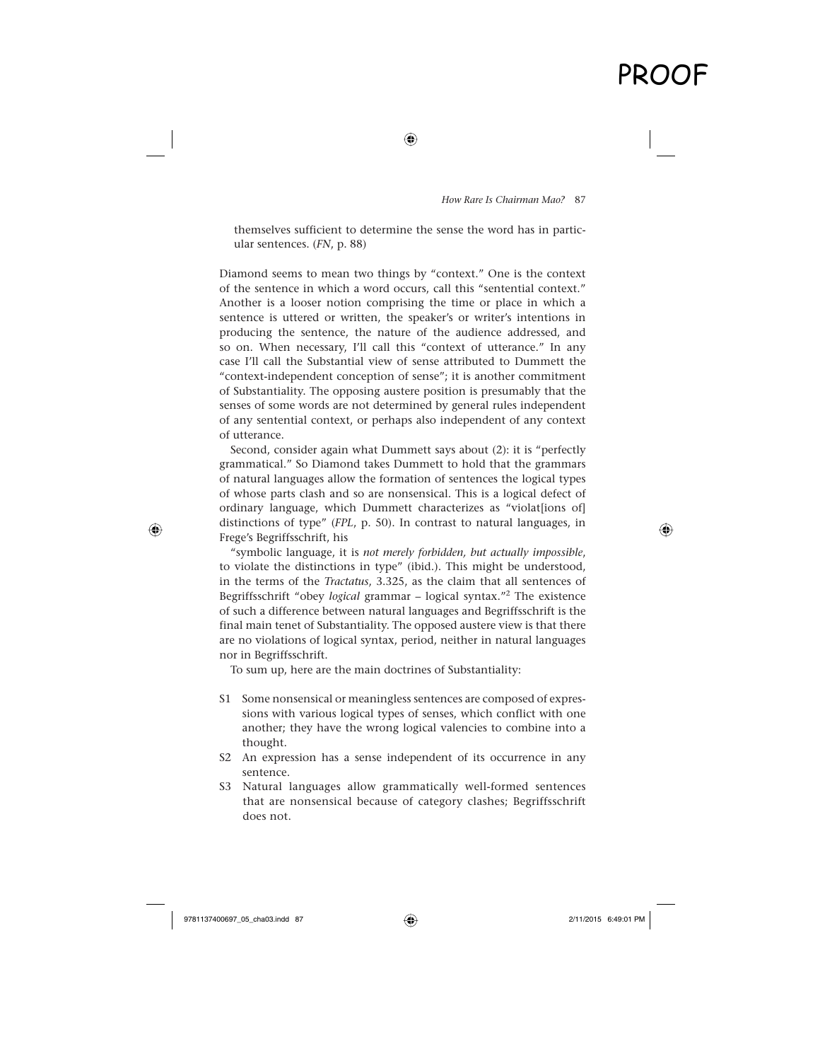⊕

 $\bigoplus$ 

#### *How Rare Is Chairman Mao?* 87

themselves sufficient to determine the sense the word has in particular sentences. (*FN*, p. 88)

Diamond seems to mean two things by "context." One is the context of the sentence in which a word occurs, call this "sentential context." Another is a looser notion comprising the time or place in which a sentence is uttered or written, the speaker's or writer's intentions in producing the sentence, the nature of the audience addressed, and so on. When necessary, I'll call this "context of utterance." In any case I'll call the Substantial view of sense attributed to Dummett the "context-independent conception of sense"; it is another commitment of Substantiality. The opposing austere position is presumably that the senses of some words are not determined by general rules independent of any sentential context, or perhaps also independent of any context of utterance.

Second, consider again what Dummett says about (2): it is "perfectly grammatical." So Diamond takes Dummett to hold that the grammars of natural languages allow the formation of sentences the logical types of whose parts clash and so are nonsensical. This is a logical defect of ordinary language, which Dummett characterizes as "violat[ions of] distinctions of type" (FPL, p. 50). In contrast to natural languages, in Frege's Begriffsschrift, his

"symbolic language, it is not merely forbidden, but actually impossible, to violate the distinctions in type" (ibid.). This might be understood, in the terms of the *Tractatus*, 3.325, as the claim that all sentences of Begriffsschrift "obey *logical* grammar - logical syntax."<sup>2</sup> The existence of such a difference between natural languages and Begriffsschrift is the final main tenet of Substantiality. The opposed austere view is that there are no violations of logical syntax, period, neither in natural languages nor in Begriffsschrift.

To sum up, here are the main doctrines of Substantiality:

- S1 Some nonsensical or meaningless sentences are composed of expressions with various logical types of senses, which conflict with one another; they have the wrong logical valencies to combine into a thought.
- S2 An expression has a sense independent of its occurrence in any sentence.
- S3 Natural languages allow grammatically well-formed sentences that are nonsensical because of category clashes; Begriffsschrift does not.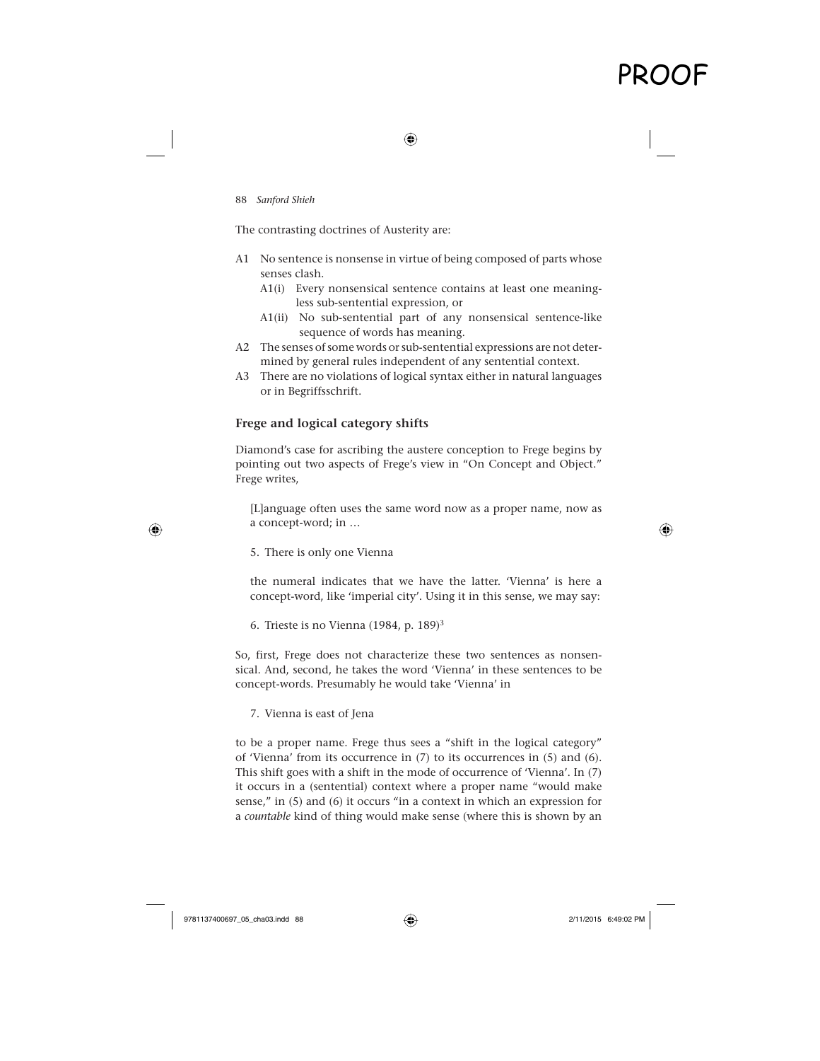$\bigoplus$ 

### 88 *Sanford Shieh*

The contrasting doctrines of Austerity are:

- A1 No sentence is nonsense in virtue of being composed of parts whose senses clash.
	- A1(i) Every nonsensical sentence contains at least one meaningless sub-sentential expression, or
	- A1(ii) No sub-sentential part of any nonsensical sentence-like sequence of words has meaning.
- A2 The senses of some words or sub-sentential expressions are not determined by general rules independent of any sentential context.
- A3 There are no violations of logical syntax either in natural languages or in Begriffsschrift.

### **Frege and logical category shifts**

Diamond's case for ascribing the austere conception to Frege begins by pointing out two aspects of Frege's view in "On Concept and Object." Frege writes,

[L]anguage often uses the same word now as a proper name, now as a concept-word; in …

◈

5. There is only one Vienna

the numeral indicates that we have the latter. 'Vienna' is here a concept-word, like 'imperial city'. Using it in this sense, we may say:

6. Trieste is no Vienna (1984, p. 189) 3

So, first, Frege does not characterize these two sentences as nonsensical. And, second, he takes the word 'Vienna' in these sentences to be concept-words. Presumably he would take 'Vienna' in

7. Vienna is east of Jena

to be a proper name. Frege thus sees a "shift in the logical category" of 'Vienna' from its occurrence in (7) to its occurrences in (5) and (6). This shift goes with a shift in the mode of occurrence of 'Vienna'. In (7) it occurs in a (sentential) context where a proper name "would make sense," in (5) and (6) it occurs "in a context in which an expression for a *countable* kind of thing would make sense (where this is shown by an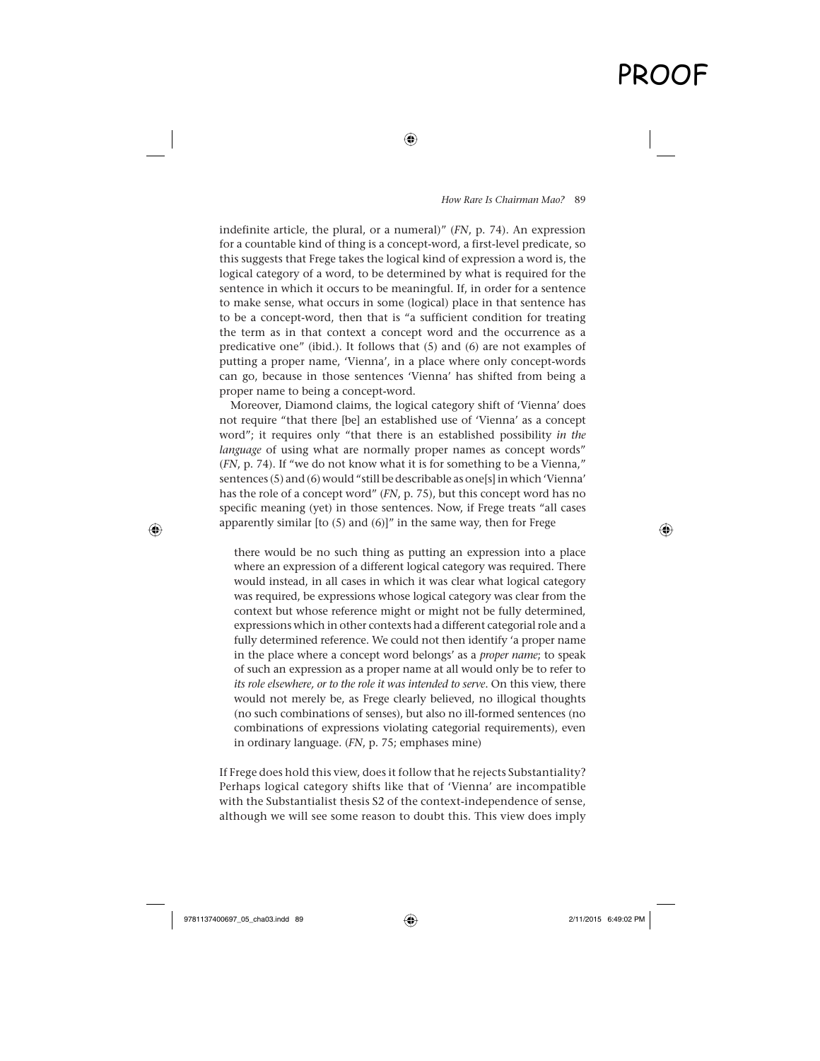⊕

⊕

#### *How Rare Is Chairman Mao?* 89

indefinite article, the plural, or a numeral)" (*FN*, p. 74). An expression for a countable kind of thing is a concept-word, a first-level predicate, so this suggests that Frege takes the logical kind of expression a word is, the logical category of a word, to be determined by what is required for the sentence in which it occurs to be meaningful. If, in order for a sentence to make sense, what occurs in some (logical) place in that sentence has to be a concept-word, then that is "a sufficient condition for treating the term as in that context a concept word and the occurrence as a predicative one" (ibid.). It follows that (5) and (6) are not examples of putting a proper name, 'Vienna', in a place where only concept-words can go, because in those sentences 'Vienna' has shifted from being a proper name to being a concept-word.

Moreover, Diamond claims, the logical category shift of 'Vienna' does not require "that there [be] an established use of 'Vienna' as a concept word"; it requires only "that there is an established possibility *in the language* of using what are normally proper names as concept words" (FN, p. 74). If "we do not know what it is for something to be a Vienna," sentences (5) and (6) would "still be describable as one[s] in which 'Vienna' has the role of a concept word" (*FN*, p. 75), but this concept word has no specific meaning (yet) in those sentences. Now, if Frege treats "all cases apparently similar [to  $(5)$  and  $(6)$ ]" in the same way, then for Frege

there would be no such thing as putting an expression into a place where an expression of a different logical category was required. There would instead, in all cases in which it was clear what logical category was required, be expressions whose logical category was clear from the context but whose reference might or might not be fully determined, expressions which in other contexts had a different categorial role and a fully determined reference. We could not then identify 'a proper name in the place where a concept word belongs' as a *proper name*; to speak of such an expression as a proper name at all would only be to refer to *its role elsewhere, or to the role it was intended to serve*. On this view, there would not merely be, as Frege clearly believed, no illogical thoughts (no such combinations of senses), but also no ill-formed sentences (no combinations of expressions violating categorial requirements), even in ordinary language. (*FN*, p. 75; emphases mine)

If Frege does hold this view, does it follow that he rejects Substantiality? Perhaps logical category shifts like that of 'Vienna' are incompatible with the Substantialist thesis S2 of the context-independence of sense, although we will see some reason to doubt this. This view does imply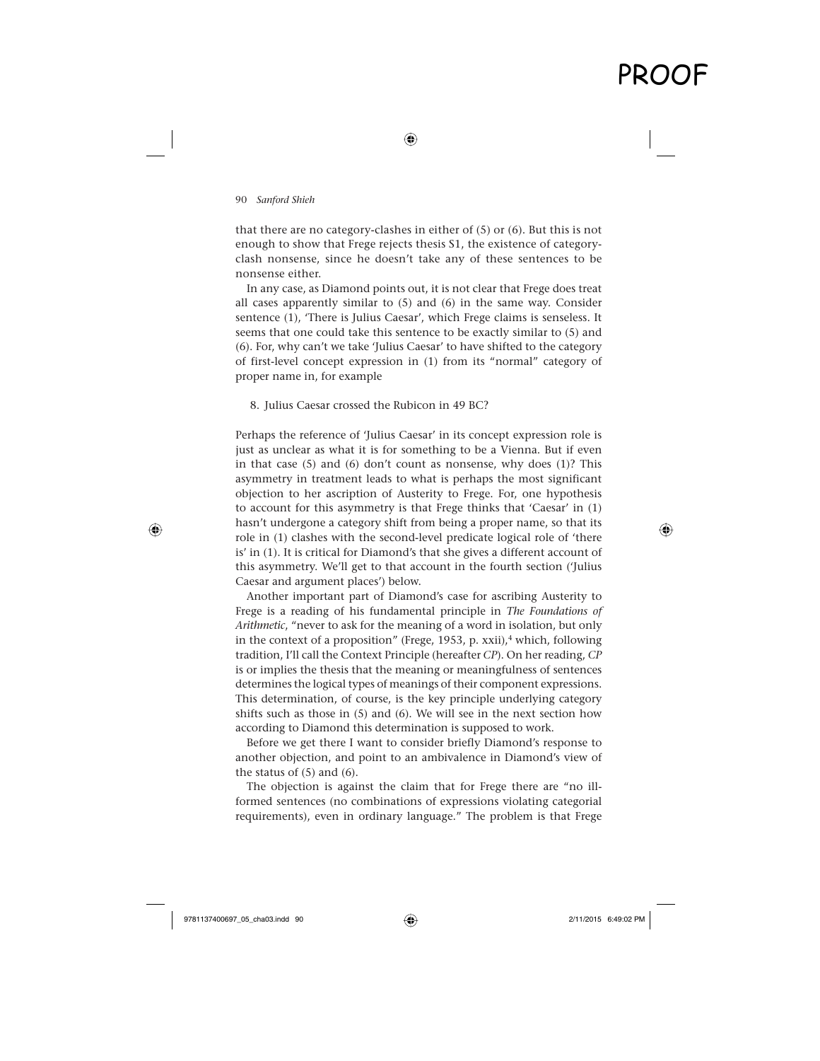⊕

⊕

### 90 *Sanford Shieh*

that there are no category-clashes in either of (5) or (6). But this is not enough to show that Frege rejects thesis S1, the existence of categoryclash nonsense, since he doesn't take any of these sentences to be nonsense either.

In any case, as Diamond points out, it is not clear that Frege does treat all cases apparently similar to (5) and (6) in the same way. Consider sentence (1), 'There is Julius Caesar', which Frege claims is senseless. It seems that one could take this sentence to be exactly similar to (5) and (6). For, why can't we take 'Julius Caesar' to have shifted to the category of first-level concept expression in (1) from its "normal" category of proper name in, for example

### 8. Julius Caesar crossed the Rubicon in 49 BC?

Perhaps the reference of 'Julius Caesar' in its concept expression role is just as unclear as what it is for something to be a Vienna. But if even in that case (5) and (6) don't count as nonsense, why does (1)? This asymmetry in treatment leads to what is perhaps the most significant objection to her ascription of Austerity to Frege. For, one hypothesis to account for this asymmetry is that Frege thinks that 'Caesar' in (1) hasn't undergone a category shift from being a proper name, so that its role in (1) clashes with the second-level predicate logical role of 'there is' in (1). It is critical for Diamond's that she gives a different account of this asymmetry. We'll get to that account in the fourth section ('Julius Caesar and argument places') below.

Another important part of Diamond's case for ascribing Austerity to Frege is a reading of his fundamental principle in *The Foundations of Arithmetic*, "never to ask for the meaning of a word in isolation, but only in the context of a proposition" (Frege, 1953, p. xxii), $4$  which, following tradition, I'll call the Context Principle (hereafter *CP*). On her reading, *CP* is or implies the thesis that the meaning or meaningfulness of sentences determines the logical types of meanings of their component expressions. This determination, of course, is the key principle underlying category shifts such as those in (5) and (6). We will see in the next section how according to Diamond this determination is supposed to work.

Before we get there I want to consider briefly Diamond's response to another objection, and point to an ambivalence in Diamond's view of the status of (5) and (6).

The objection is against the claim that for Frege there are "no illformed sentences (no combinations of expressions violating categorial requirements), even in ordinary language." The problem is that Frege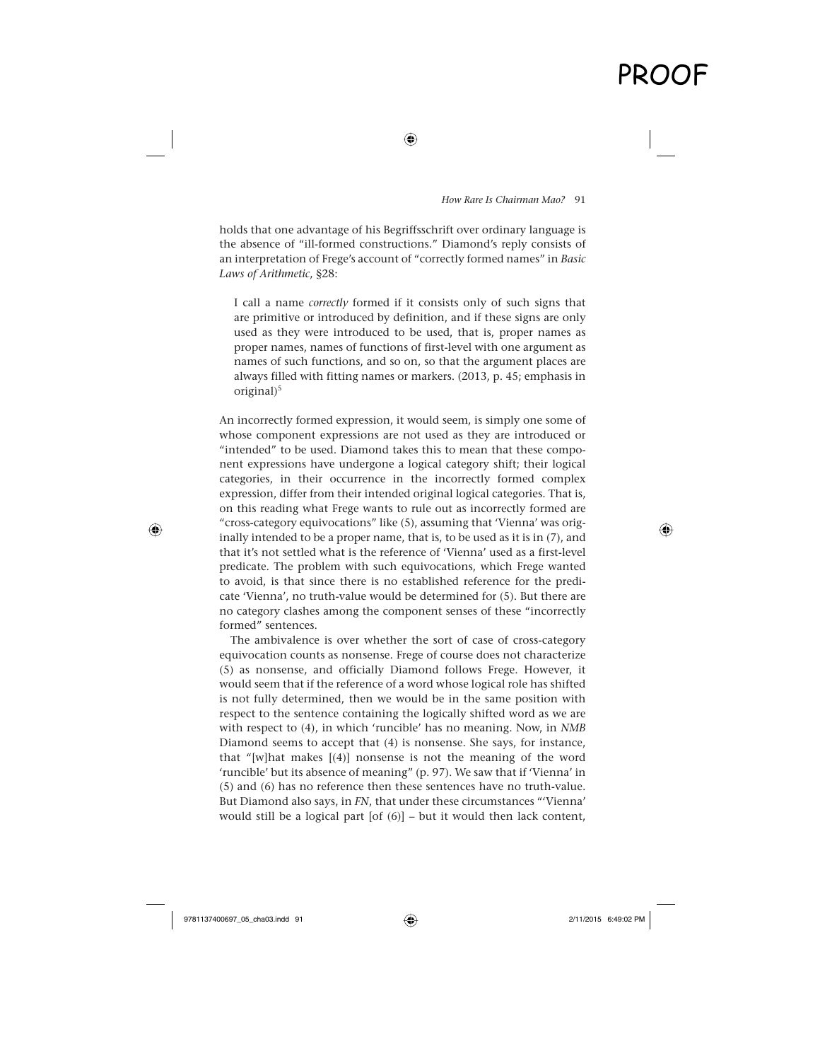⊕

#### *How Rare Is Chairman Mao?* 91

holds that one advantage of his Begriffsschrift over ordinary language is the absence of "ill-formed constructions." Diamond's reply consists of an interpretation of Frege's account of "correctly formed names" in *Basic Laws of Arithmetic* , §28:

I call a name *correctly* formed if it consists only of such signs that are primitive or introduced by definition, and if these signs are only used as they were introduced to be used, that is, proper names as proper names, names of functions of first-level with one argument as names of such functions, and so on, so that the argument places are always filled with fitting names or markers. (2013, p. 45; emphasis in original $)^5$ 

An incorrectly formed expression, it would seem, is simply one some of whose component expressions are not used as they are introduced or "intended" to be used. Diamond takes this to mean that these component expressions have undergone a logical category shift; their logical categories, in their occurrence in the incorrectly formed complex expression, differ from their intended original logical categories. That is, on this reading what Frege wants to rule out as incorrectly formed are "cross-category equivocations" like (5), assuming that 'Vienna' was originally intended to be a proper name, that is, to be used as it is in (7), and that it's not settled what is the reference of 'Vienna' used as a first-level predicate. The problem with such equivocations, which Frege wanted to avoid, is that since there is no established reference for the predicate 'Vienna', no truth-value would be determined for (5). But there are no category clashes among the component senses of these "incorrectly formed" sentences.

The ambivalence is over whether the sort of case of cross-category equivocation counts as nonsense. Frege of course does not characterize (5) as nonsense, and officially Diamond follows Frege. However, it would seem that if the reference of a word whose logical role has shifted is not fully determined, then we would be in the same position with respect to the sentence containing the logically shifted word as we are with respect to (4), in which 'runcible' has no meaning. Now, in *NMB* Diamond seems to accept that (4) is nonsense. She says, for instance, that "[w]hat makes [(4)] nonsense is not the meaning of the word 'runcible' but its absence of meaning" (p. 97). We saw that if 'Vienna' in (5) and (6) has no reference then these sentences have no truth-value. But Diamond also says, in *FN*, that under these circumstances "'Vienna' would still be a logical part [of (6)] – but it would then lack content,

⊕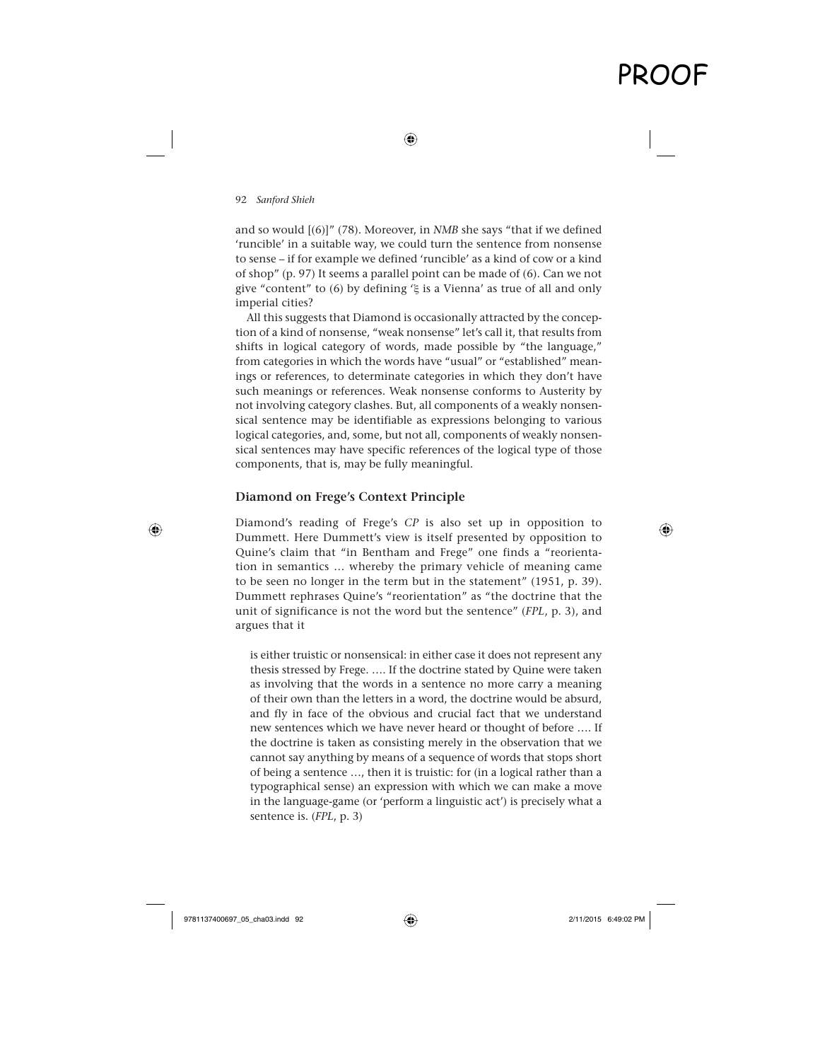◈

⊕

#### 92 *Sanford Shieh*

and so would [(6)]" (78). Moreover, in *NMB* she says "that if we defined 'runcible' in a suitable way, we could turn the sentence from nonsense to sense – if for example we defined 'runcible' as a kind of cow or a kind of shop" (p. 97) It seems a parallel point can be made of (6). Can we not give "content" to (6) by defining 'ξ is a Vienna' as true of all and only imperial cities?

All this suggests that Diamond is occasionally attracted by the conception of a kind of nonsense, "weak nonsense" let's call it, that results from shifts in logical category of words, made possible by "the language," from categories in which the words have "usual" or "established" meanings or references, to determinate categories in which they don't have such meanings or references. Weak nonsense conforms to Austerity by not involving category clashes. But, all components of a weakly nonsensical sentence may be identifiable as expressions belonging to various logical categories, and, some, but not all, components of weakly nonsensical sentences may have specific references of the logical type of those components, that is, may be fully meaningful.

### **Diamond on Frege's Context Principle**

Diamond's reading of Frege's *CP* is also set up in opposition to Dummett. Here Dummett's view is itself presented by opposition to Quine's claim that "in Bentham and Frege" one finds a "reorientation in semantics … whereby the primary vehicle of meaning came to be seen no longer in the term but in the statement" (1951, p. 39). Dummett rephrases Quine's "reorientation" as "the doctrine that the unit of significance is not the word but the sentence" (FPL, p. 3), and argues that it

is either truistic or nonsensical: in either case it does not represent any thesis stressed by Frege. …. If the doctrine stated by Quine were taken as involving that the words in a sentence no more carry a meaning of their own than the letters in a word, the doctrine would be absurd, and fly in face of the obvious and crucial fact that we understand new sentences which we have never heard or thought of before …. If the doctrine is taken as consisting merely in the observation that we cannot say anything by means of a sequence of words that stops short of being a sentence …, then it is truistic: for (in a logical rather than a typographical sense) an expression with which we can make a move in the language-game (or 'perform a linguistic act') is precisely what a sentence is. (*FPL*, p. 3)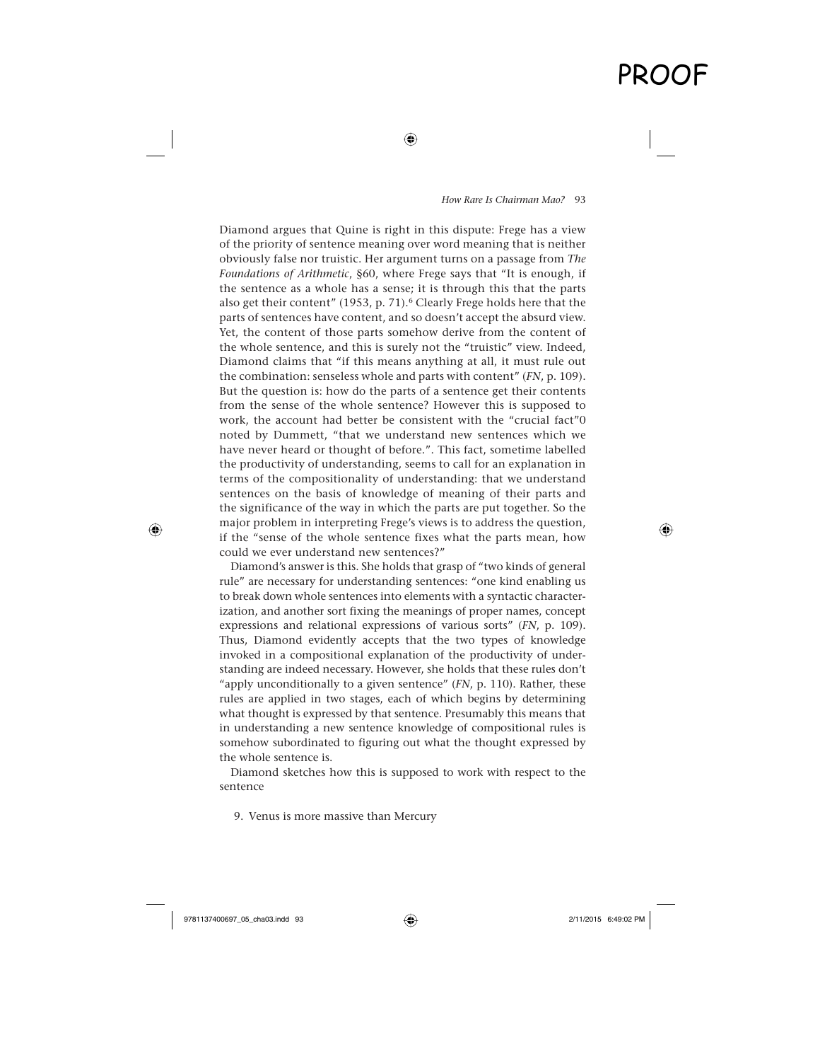⊕

⊕

#### *How Rare Is Chairman Mao?* 93

Diamond argues that Quine is right in this dispute: Frege has a view of the priority of sentence meaning over word meaning that is neither obviously false nor truistic. Her argument turns on a passage from *The Foundations of Arithmetic*, §60, where Frege says that "It is enough, if the sentence as a whole has a sense; it is through this that the parts also get their content" (1953, p. 71).<sup>6</sup> Clearly Frege holds here that the parts of sentences have content, and so doesn't accept the absurd view. Yet, the content of those parts somehow derive from the content of the whole sentence, and this is surely not the "truistic" view. Indeed, Diamond claims that "if this means anything at all, it must rule out the combination: senseless whole and parts with content" (*FN*, p. 109). But the question is: how do the parts of a sentence get their contents from the sense of the whole sentence? However this is supposed to work, the account had better be consistent with the "crucial fact"0 noted by Dummett, "that we understand new sentences which we have never heard or thought of before.". This fact, sometime labelled the productivity of understanding, seems to call for an explanation in terms of the compositionality of understanding: that we understand sentences on the basis of knowledge of meaning of their parts and the significance of the way in which the parts are put together. So the major problem in interpreting Frege's views is to address the question, if the "sense of the whole sentence fixes what the parts mean, how could we ever understand new sentences?"

Diamond's answer is this. She holds that grasp of "two kinds of general rule" are necessary for understanding sentences: "one kind enabling us to break down whole sentences into elements with a syntactic characterization, and another sort fixing the meanings of proper names, concept expressions and relational expressions of various sorts" (*FN*, p. 109). Thus, Diamond evidently accepts that the two types of knowledge invoked in a compositional explanation of the productivity of understanding are indeed necessary. However, she holds that these rules don't "apply unconditionally to a given sentence" (*FN*, p. 110). Rather, these rules are applied in two stages, each of which begins by determining what thought is expressed by that sentence. Presumably this means that in understanding a new sentence knowledge of compositional rules is somehow subordinated to figuring out what the thought expressed by the whole sentence is.

Diamond sketches how this is supposed to work with respect to the sentence

9. Venus is more massive than Mercury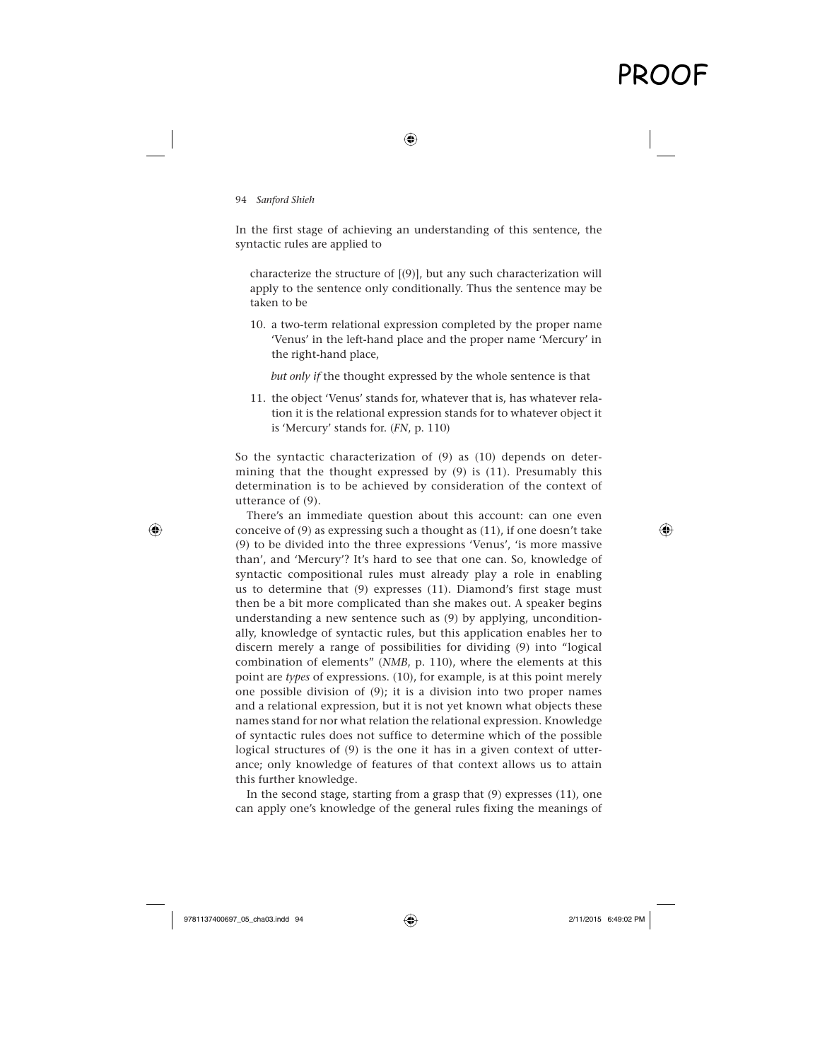⊕

⊕

#### 94 *Sanford Shieh*

In the first stage of achieving an understanding of this sentence, the syntactic rules are applied to

characterize the structure of [(9)], but any such characterization will apply to the sentence only conditionally. Thus the sentence may be taken to be

10. a two-term relational expression completed by the proper name 'Venus' in the left-hand place and the proper name 'Mercury' in the right-hand place,

*but only if* the thought expressed by the whole sentence is that

11. the object 'Venus' stands for, whatever that is, has whatever relation it is the relational expression stands for to whatever object it is 'Mercury' stands for. (*FN*, p. 110)

So the syntactic characterization of (9) as (10) depends on determining that the thought expressed by (9) is (11). Presumably this determination is to be achieved by consideration of the context of utterance of (9).

There's an immediate question about this account: can one even conceive of (9) as expressing such a thought as (11), if one doesn't take (9) to be divided into the three expressions 'Venus', 'is more massive than', and 'Mercury'? It's hard to see that one can. So, knowledge of syntactic compositional rules must already play a role in enabling us to determine that (9) expresses (11). Diamond's first stage must then be a bit more complicated than she makes out. A speaker begins understanding a new sentence such as (9) by applying, unconditionally, knowledge of syntactic rules, but this application enables her to discern merely a range of possibilities for dividing (9) into "logical combination of elements" (NMB, p. 110), where the elements at this point are *types* of expressions. (10), for example, is at this point merely one possible division of (9); it is a division into two proper names and a relational expression, but it is not yet known what objects these names stand for nor what relation the relational expression. Knowledge of syntactic rules does not suffice to determine which of the possible logical structures of (9) is the one it has in a given context of utterance; only knowledge of features of that context allows us to attain this further knowledge.

In the second stage, starting from a grasp that (9) expresses (11), one can apply one's knowledge of the general rules fixing the meanings of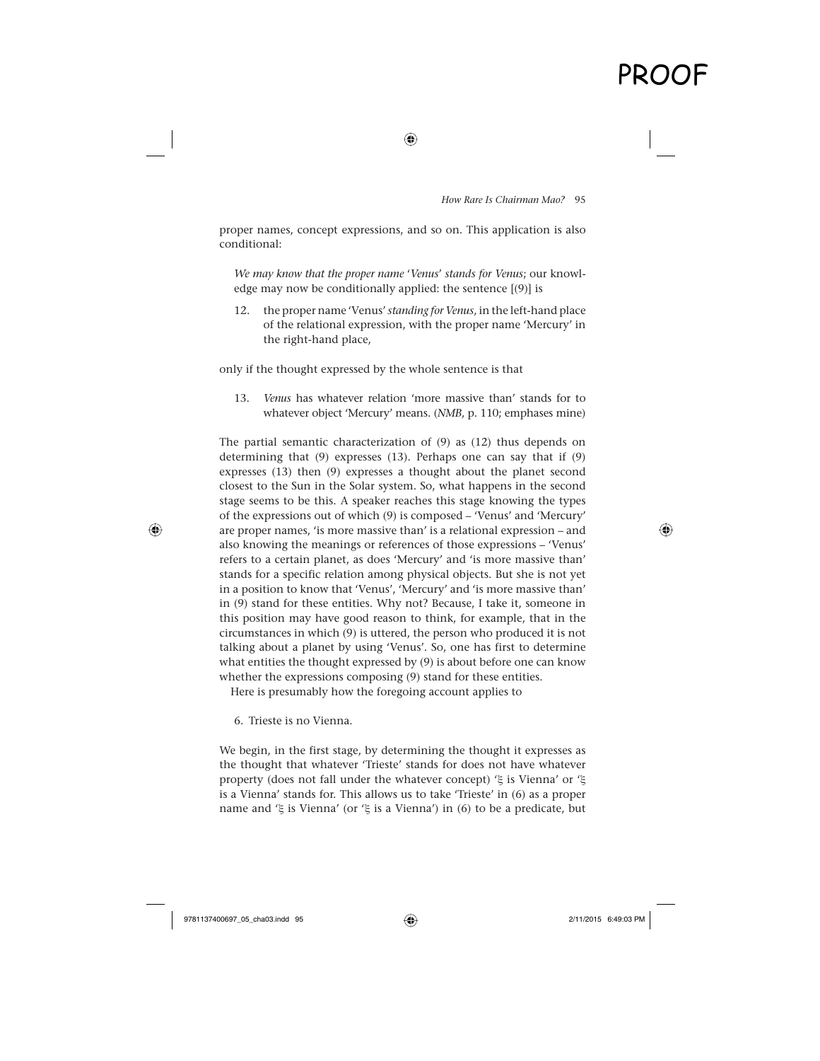◈

⊕

#### *How Rare Is Chairman Mao?* 95

proper names, concept expressions, and so on. This application is also conditional:

*We may know that the proper name* ' *Venus*' *stands for Venus*; our knowledge may now be conditionally applied: the sentence [(9)] is

12. the proper name 'Venus' *standing for Venus*, in the left-hand place of the relational expression, with the proper name 'Mercury' in the right-hand place,

only if the thought expressed by the whole sentence is that

13. *Venus* has whatever relation 'more massive than' stands for to whatever object 'Mercury' means. (*NMB*, p. 110; emphases mine)

The partial semantic characterization of (9) as (12) thus depends on determining that (9) expresses (13). Perhaps one can say that if (9) expresses (13) then (9) expresses a thought about the planet second closest to the Sun in the Solar system. So, what happens in the second stage seems to be this. A speaker reaches this stage knowing the types of the expressions out of which (9) is composed – 'Venus' and 'Mercury' are proper names, 'is more massive than' is a relational expression – and also knowing the meanings or references of those expressions – 'Venus' refers to a certain planet, as does 'Mercury' and 'is more massive than' stands for a specific relation among physical objects. But she is not yet in a position to know that 'Venus', 'Mercury' and 'is more massive than' in (9) stand for these entities. Why not? Because, I take it, someone in this position may have good reason to think, for example, that in the circumstances in which (9) is uttered, the person who produced it is not talking about a planet by using 'Venus'. So, one has first to determine what entities the thought expressed by (9) is about before one can know whether the expressions composing (9) stand for these entities.

Here is presumably how the foregoing account applies to

6. Trieste is no Vienna.

We begin, in the first stage, by determining the thought it expresses as the thought that whatever 'Trieste' stands for does not have whatever property (does not fall under the whatever concept) 'ξ is Vienna' or 'ξ is a Vienna' stands for. This allows us to take 'Trieste' in (6) as a proper name and 'ξ is Vienna' (or 'ξ is a Vienna') in (6) to be a predicate, but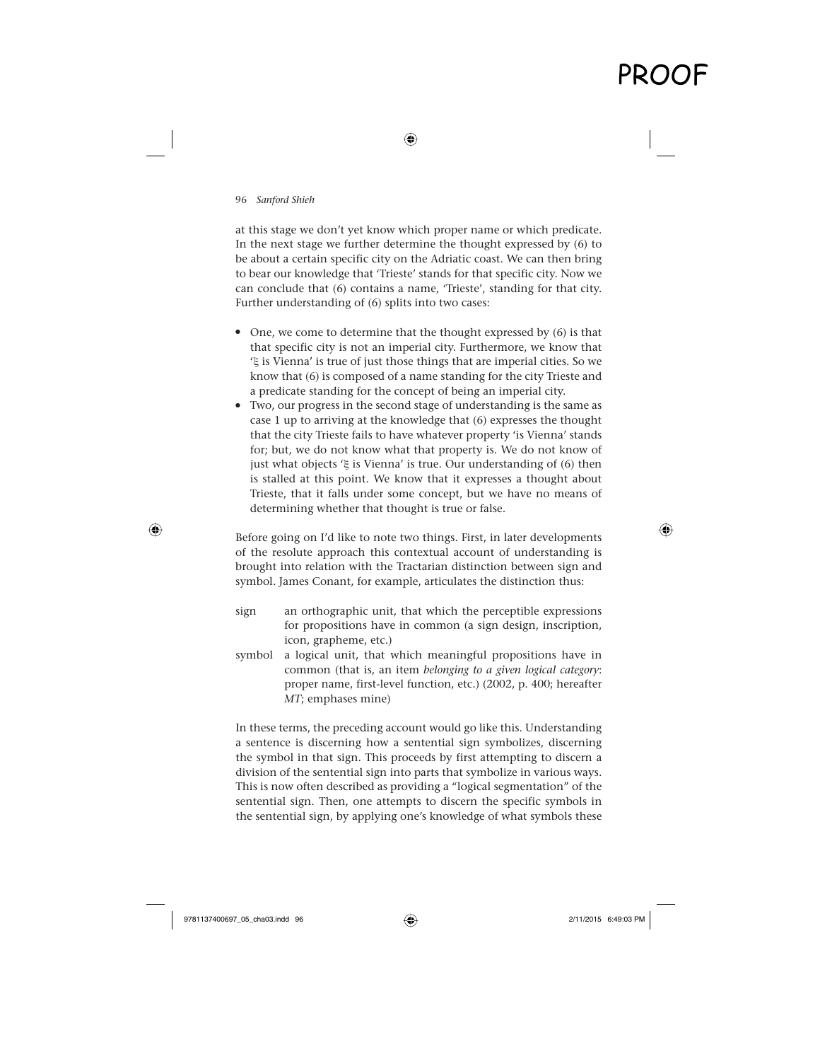◈

 $\bigoplus$ 

### 96 *Sanford Shieh*

at this stage we don't yet know which proper name or which predicate. In the next stage we further determine the thought expressed by (6) to be about a certain specific city on the Adriatic coast. We can then bring to bear our knowledge that 'Trieste' stands for that specific city. Now we can conclude that (6) contains a name, 'Trieste', standing for that city. Further understanding of (6) splits into two cases:

- One, we come to determine that the thought expressed by (6) is that that specific city is not an imperial city. Furthermore, we know that 'ξ is Vienna' is true of just those things that are imperial cities. So we know that (6) is composed of a name standing for the city Trieste and a predicate standing for the concept of being an imperial city.
- Two, our progress in the second stage of understanding is the same as case 1 up to arriving at the knowledge that (6) expresses the thought that the city Trieste fails to have whatever property 'is Vienna' stands for; but, we do not know what that property is. We do not know of just what objects 'ξ is Vienna' is true. Our understanding of (6) then is stalled at this point. We know that it expresses a thought about Trieste, that it falls under some concept, but we have no means of determining whether that thought is true or false.

Before going on I'd like to note two things. First, in later developments of the resolute approach this contextual account of understanding is brought into relation with the Tractarian distinction between sign and symbol. James Conant, for example, articulates the distinction thus:

- sign an orthographic unit, that which the perceptible expressions for propositions have in common (a sign design, inscription, icon, grapheme, etc.)
- symbol a logical unit, that which meaningful propositions have in common (that is, an item *belonging to a given logical category* : proper name, first-level function, etc.) (2002, p. 400; hereafter *MT*; emphases mine)

In these terms, the preceding account would go like this. Understanding a sentence is discerning how a sentential sign symbolizes, discerning the symbol in that sign. This proceeds by first attempting to discern a division of the sentential sign into parts that symbolize in various ways. This is now often described as providing a "logical segmentation" of the sentential sign. Then, one attempts to discern the specific symbols in the sentential sign, by applying one's knowledge of what symbols these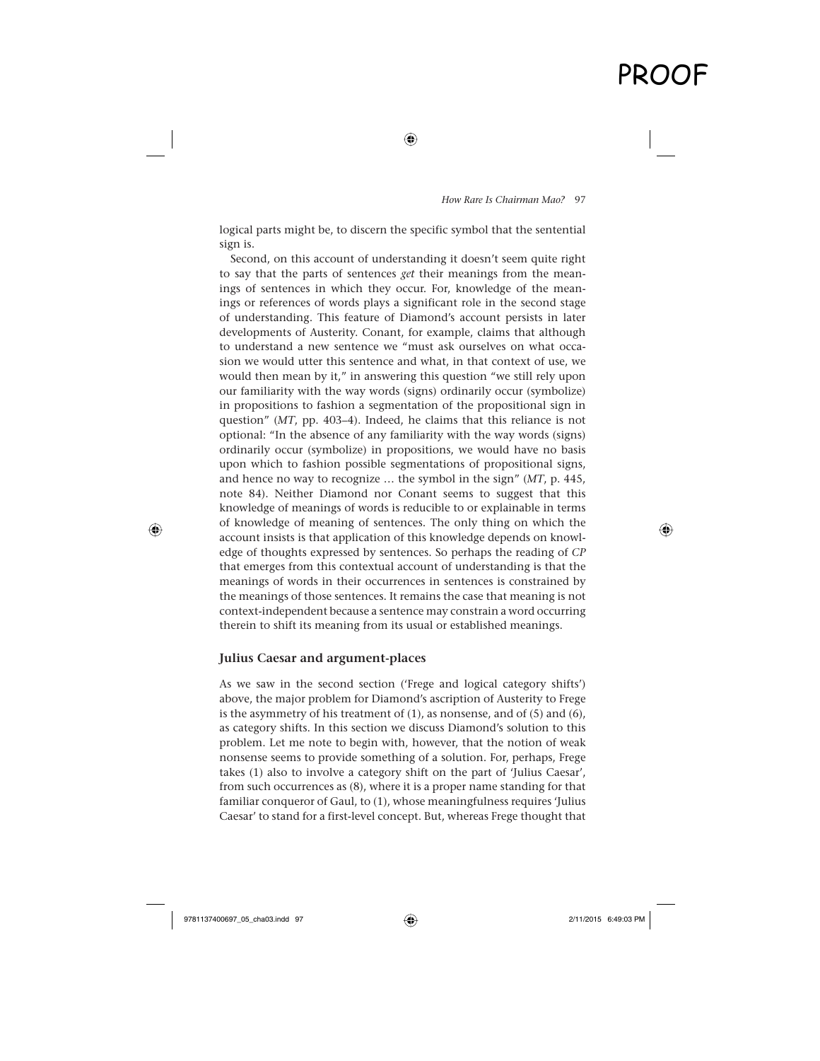⊕

⊕

#### *How Rare Is Chairman Mao?* 97

logical parts might be, to discern the specific symbol that the sentential sign is.

Second, on this account of understanding it doesn't seem quite right to say that the parts of sentences *get* their meanings from the meanings of sentences in which they occur. For, knowledge of the meanings or references of words plays a significant role in the second stage of understanding. This feature of Diamond's account persists in later developments of Austerity. Conant, for example, claims that although to understand a new sentence we "must ask ourselves on what occasion we would utter this sentence and what, in that context of use, we would then mean by it," in answering this question "we still rely upon our familiarity with the way words (signs) ordinarily occur (symbolize) in propositions to fashion a segmentation of the propositional sign in question" (MT, pp. 403-4). Indeed, he claims that this reliance is not optional: "In the absence of any familiarity with the way words (signs) ordinarily occur (symbolize) in propositions, we would have no basis upon which to fashion possible segmentations of propositional signs, and hence no way to recognize ... the symbol in the sign" (MT, p. 445, note 84). Neither Diamond nor Conant seems to suggest that this knowledge of meanings of words is reducible to or explainable in terms of knowledge of meaning of sentences. The only thing on which the account insists is that application of this knowledge depends on knowledge of thoughts expressed by sentences. So perhaps the reading of *CP* that emerges from this contextual account of understanding is that the meanings of words in their occurrences in sentences is constrained by the meanings of those sentences. It remains the case that meaning is not context-independent because a sentence may constrain a word occurring therein to shift its meaning from its usual or established meanings.

### **Julius Caesar and argument-places**

As we saw in the second section ('Frege and logical category shifts') above, the major problem for Diamond's ascription of Austerity to Frege is the asymmetry of his treatment of (1), as nonsense, and of (5) and (6), as category shifts. In this section we discuss Diamond's solution to this problem. Let me note to begin with, however, that the notion of weak nonsense seems to provide something of a solution. For, perhaps, Frege takes (1) also to involve a category shift on the part of 'Julius Caesar', from such occurrences as (8), where it is a proper name standing for that familiar conqueror of Gaul, to (1), whose meaningfulness requires 'Julius Caesar' to stand for a first-level concept. But, whereas Frege thought that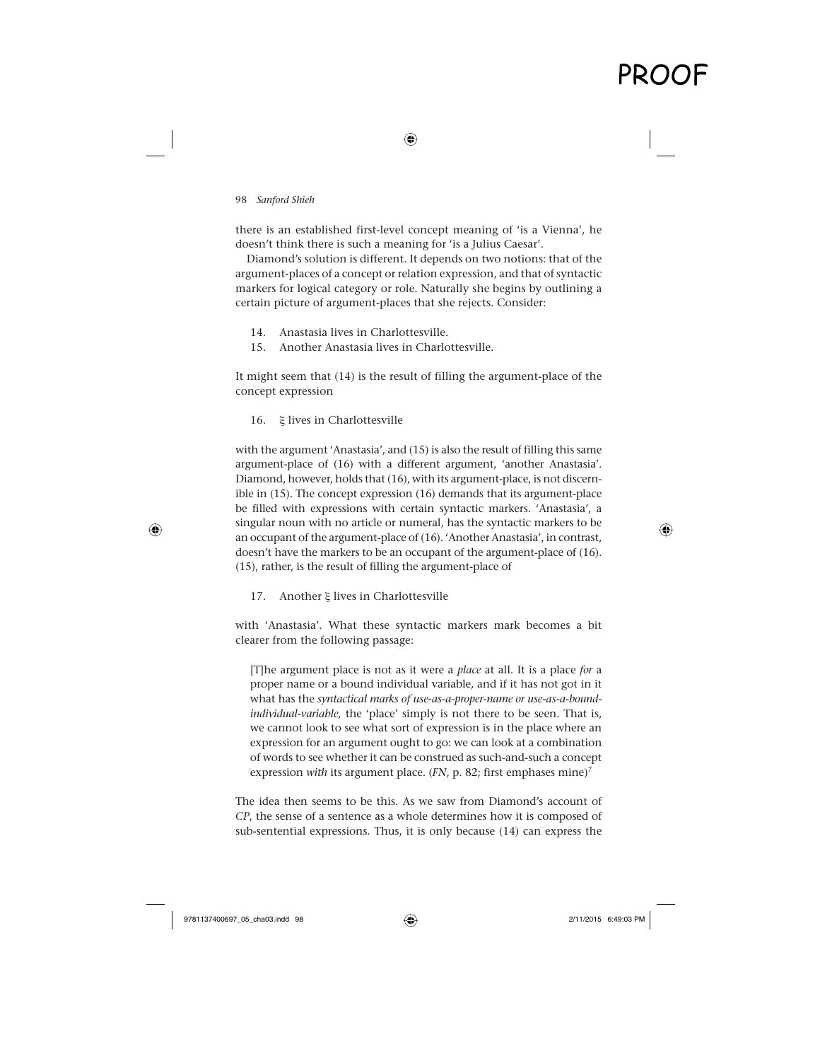⊕

 $\bigoplus$ 

### 98 *Sanford Shieh*

there is an established first-level concept meaning of 'is a Vienna', he doesn't think there is such a meaning for 'is a Julius Caesar'.

Diamond's solution is different. It depends on two notions: that of the argument-places of a concept or relation expression, and that of syntactic markers for logical category or role. Naturally she begins by outlining a certain picture of argument-places that she rejects. Consider:

- 14. Anastasia lives in Charlottesville.
- 15. Another Anastasia lives in Charlottesville.

It might seem that (14) is the result of filling the argument-place of the concept expression

16. ξ lives in Charlottesville

with the argument 'Anastasia', and (15) is also the result of filling this same argument-place of (16) with a different argument, 'another Anastasia'. Diamond, however, holds that (16), with its argument-place, is not discernible in (15). The concept expression (16) demands that its argument-place be filled with expressions with certain syntactic markers. 'Anastasia', a singular noun with no article or numeral, has the syntactic markers to be an occupant of the argument-place of (16). 'Another Anastasia', in contrast, doesn't have the markers to be an occupant of the argument-place of (16). (15), rather, is the result of filling the argument-place of

17. Another ξ lives in Charlottesville

with 'Anastasia'. What these syntactic markers mark becomes a bit clearer from the following passage:

[T]he argument place is not as it were a *place* at all. It is a place *for* a proper name or a bound individual variable, and if it has not got in it what has the *syntactical marks of use-as-a-proper-name or use-as-a-boundindividual-variable*, the 'place' simply is not there to be seen. That is, we cannot look to see what sort of expression is in the place where an expression for an argument ought to go: we can look at a combination of words to see whether it can be construed as such-and-such a concept expression *with* its argument place. (*FN*, p. 82; first emphases mine)<sup>7</sup>

The idea then seems to be this. As we saw from Diamond's account of *CP*, the sense of a sentence as a whole determines how it is composed of sub-sentential expressions. Thus, it is only because (14) can express the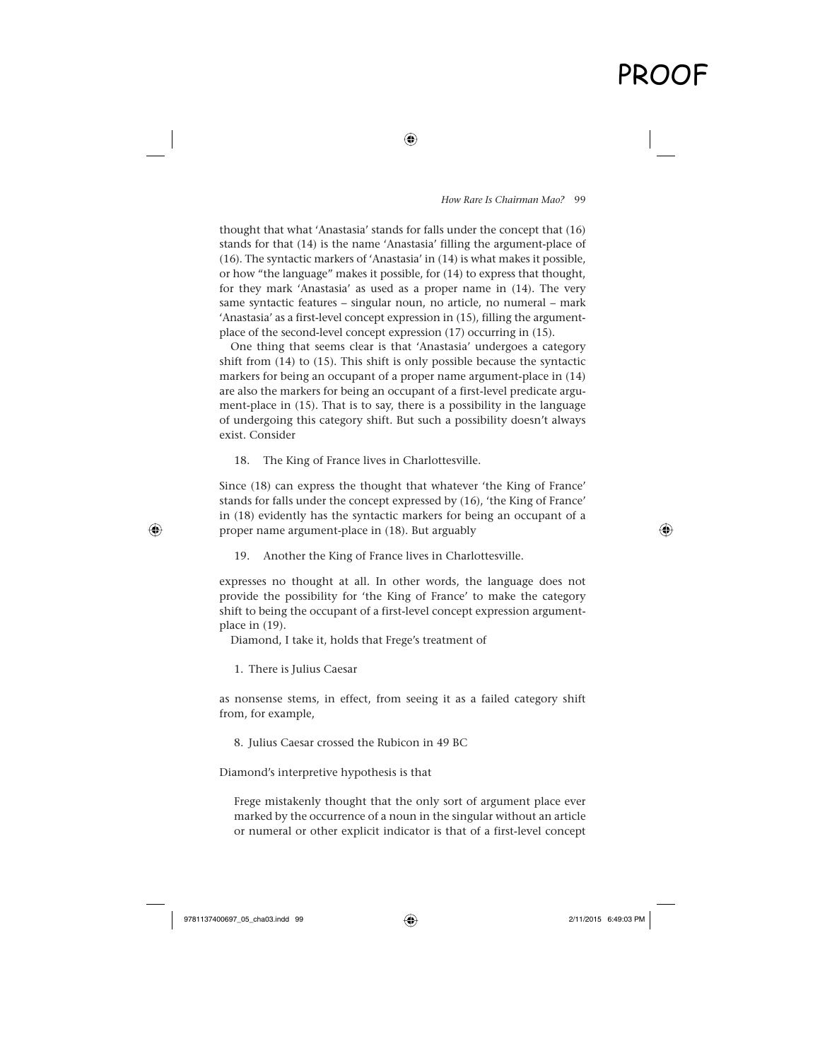⊕

 $\bigoplus$ 

#### *How Rare Is Chairman Mao?* 99

thought that what 'Anastasia' stands for falls under the concept that (16) stands for that (14) is the name 'Anastasia' filling the argument-place of (16). The syntactic markers of 'Anastasia' in (14) is what makes it possible, or how "the language" makes it possible, for (14) to express that thought, for they mark 'Anastasia' as used as a proper name in (14). The very same syntactic features – singular noun, no article, no numeral – mark 'Anastasia' as a first-level concept expression in (15), filling the argumentplace of the second-level concept expression (17) occurring in (15).

One thing that seems clear is that 'Anastasia' undergoes a category shift from (14) to (15). This shift is only possible because the syntactic markers for being an occupant of a proper name argument-place in (14) are also the markers for being an occupant of a first-level predicate argument-place in (15). That is to say, there is a possibility in the language of undergoing this category shift. But such a possibility doesn't always exist. Consider

18. The King of France lives in Charlottesville.

Since (18) can express the thought that whatever 'the King of France' stands for falls under the concept expressed by (16), 'the King of France' in (18) evidently has the syntactic markers for being an occupant of a proper name argument-place in (18). But arguably

19. Another the King of France lives in Charlottesville.

expresses no thought at all. In other words, the language does not provide the possibility for 'the King of France' to make the category shift to being the occupant of a first-level concept expression argumentplace in (19).

Diamond, I take it, holds that Frege's treatment of

1. There is Julius Caesar

as nonsense stems, in effect, from seeing it as a failed category shift from, for example,

8. Julius Caesar crossed the Rubicon in 49 BC

Diamond's interpretive hypothesis is that

Frege mistakenly thought that the only sort of argument place ever marked by the occurrence of a noun in the singular without an article or numeral or other explicit indicator is that of a first-level concept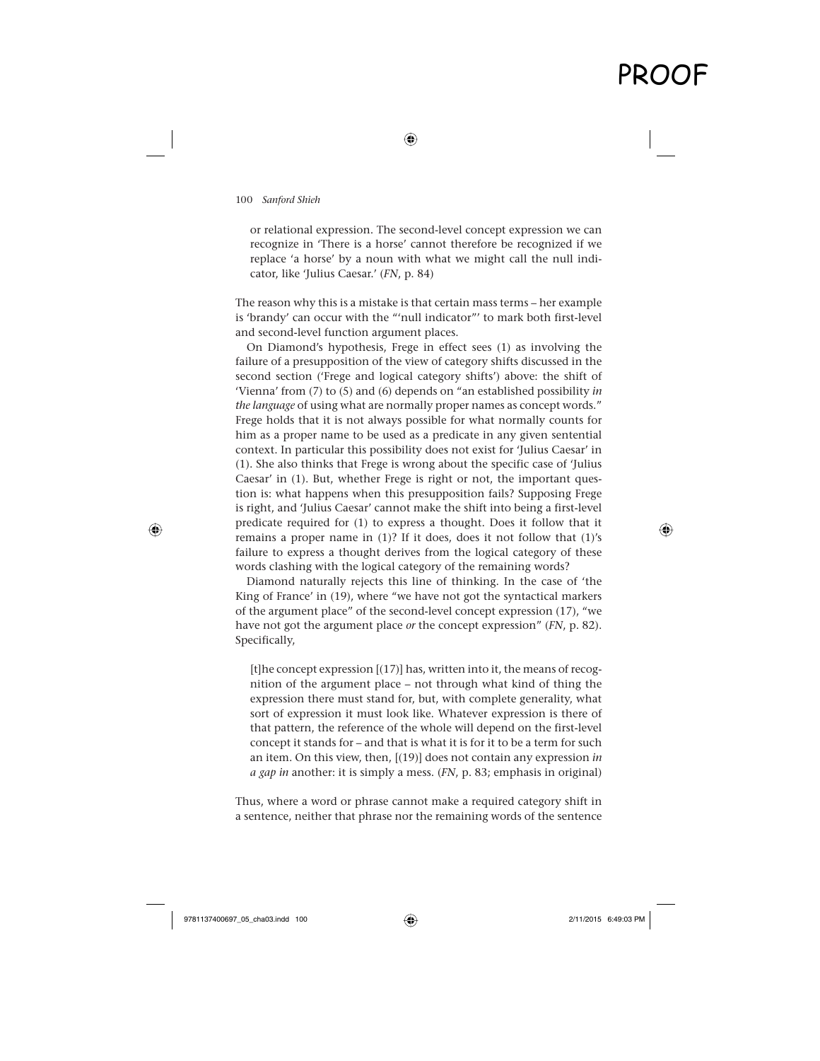⊕

⊕

#### 100 *Sanford Shieh*

or relational expression. The second-level concept expression we can recognize in 'There is a horse' cannot therefore be recognized if we replace 'a horse' by a noun with what we might call the null indicator, like 'Julius Caesar.' (FN, p. 84)

The reason why this is a mistake is that certain mass terms – her example is 'brandy' can occur with the "'null indicator"' to mark both first-level and second-level function argument places.

On Diamond's hypothesis, Frege in effect sees (1) as involving the failure of a presupposition of the view of category shifts discussed in the second section ('Frege and logical category shifts') above: the shift of 'Vienna' from (7) to (5) and (6) depends on "an established possibility *in the language* of using what are normally proper names as concept words." Frege holds that it is not always possible for what normally counts for him as a proper name to be used as a predicate in any given sentential context. In particular this possibility does not exist for 'Julius Caesar' in (1). She also thinks that Frege is wrong about the specific case of 'Julius Caesar' in (1). But, whether Frege is right or not, the important question is: what happens when this presupposition fails? Supposing Frege is right, and 'Julius Caesar' cannot make the shift into being a first-level predicate required for (1) to express a thought. Does it follow that it remains a proper name in (1)? If it does, does it not follow that (1)'s failure to express a thought derives from the logical category of these words clashing with the logical category of the remaining words?

Diamond naturally rejects this line of thinking. In the case of 'the King of France' in (19), where "we have not got the syntactical markers of the argument place" of the second-level concept expression (17), "we have not got the argument place *or* the concept expression" (*FN*, p. 82). Specifically,

[t]he concept expression [(17)] has, written into it, the means of recognition of the argument place – not through what kind of thing the expression there must stand for, but, with complete generality, what sort of expression it must look like. Whatever expression is there of that pattern, the reference of the whole will depend on the first-level concept it stands for – and that is what it is for it to be a term for such an item. On this view, then, [(19)] does not contain any expression *in a gap in* another: it is simply a mess. (*FN*, p. 83; emphasis in original)

Thus, where a word or phrase cannot make a required category shift in a sentence, neither that phrase nor the remaining words of the sentence

9781137400697\_05\_cha03.indd 100  $\bigoplus$  2/11/2015 6:49:03 PM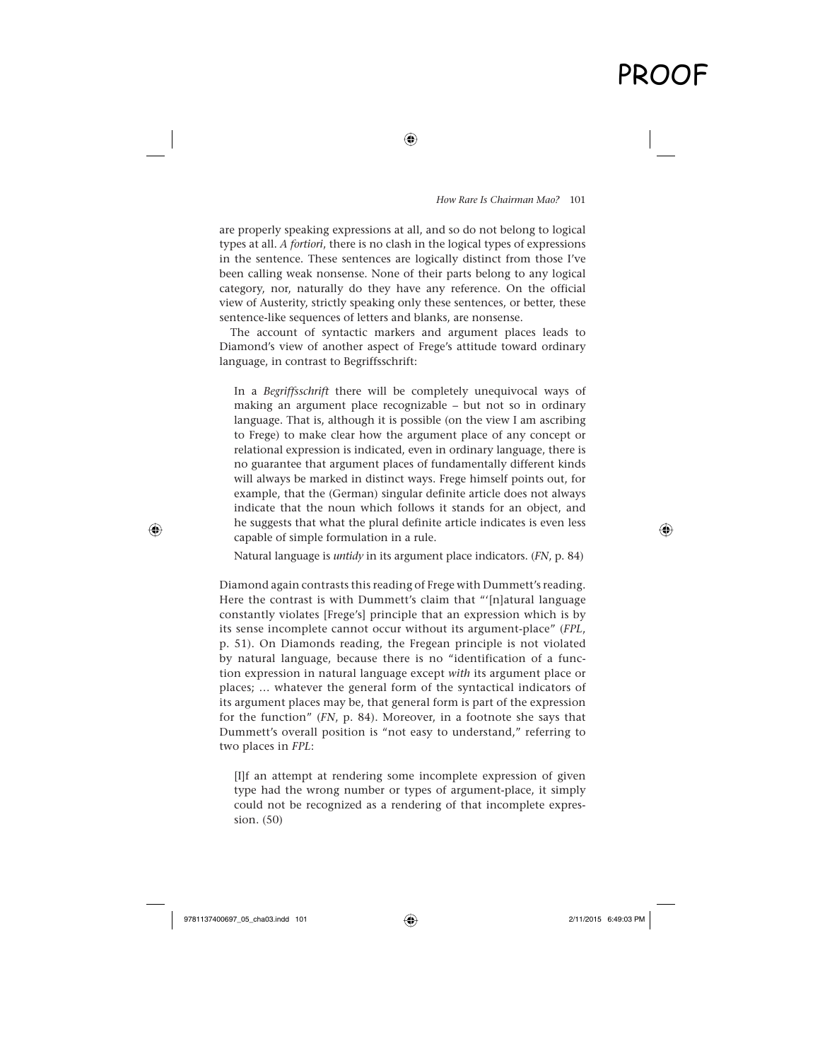◈

⊕

### *How Rare Is Chairman Mao?* 101

are properly speaking expressions at all, and so do not belong to logical types at all. *A fortiori*, there is no clash in the logical types of expressions in the sentence. These sentences are logically distinct from those I've been calling weak nonsense. None of their parts belong to any logical category, nor, naturally do they have any reference. On the official view of Austerity, strictly speaking only these sentences, or better, these sentence-like sequences of letters and blanks, are nonsense.

The account of syntactic markers and argument places leads to Diamond's view of another aspect of Frege's attitude toward ordinary language, in contrast to Begriffsschrift:

In a *Begriffsschrift* there will be completely unequivocal ways of making an argument place recognizable – but not so in ordinary language. That is, although it is possible (on the view I am ascribing to Frege) to make clear how the argument place of any concept or relational expression is indicated, even in ordinary language, there is no guarantee that argument places of fundamentally different kinds will always be marked in distinct ways. Frege himself points out, for example, that the (German) singular definite article does not always indicate that the noun which follows it stands for an object, and he suggests that what the plural definite article indicates is even less capable of simple formulation in a rule.

Natural language is *untidy* in its argument place indicators. (*FN*, p. 84)

Diamond again contrasts this reading of Frege with Dummett's reading. Here the contrast is with Dummett's claim that "'[n]atural language constantly violates [Frege's] principle that an expression which is by its sense incomplete cannot occur without its argument-place" (FPL, p. 51). On Diamonds reading, the Fregean principle is not violated by natural language, because there is no "identification of a function expression in natural language except *with* its argument place or places; … whatever the general form of the syntactical indicators of its argument places may be, that general form is part of the expression for the function" (*FN*, p. 84). Moreover, in a footnote she says that Dummett's overall position is "not easy to understand," referring to two places in *FPL* :

[I]f an attempt at rendering some incomplete expression of given type had the wrong number or types of argument-place, it simply could not be recognized as a rendering of that incomplete expression. (50)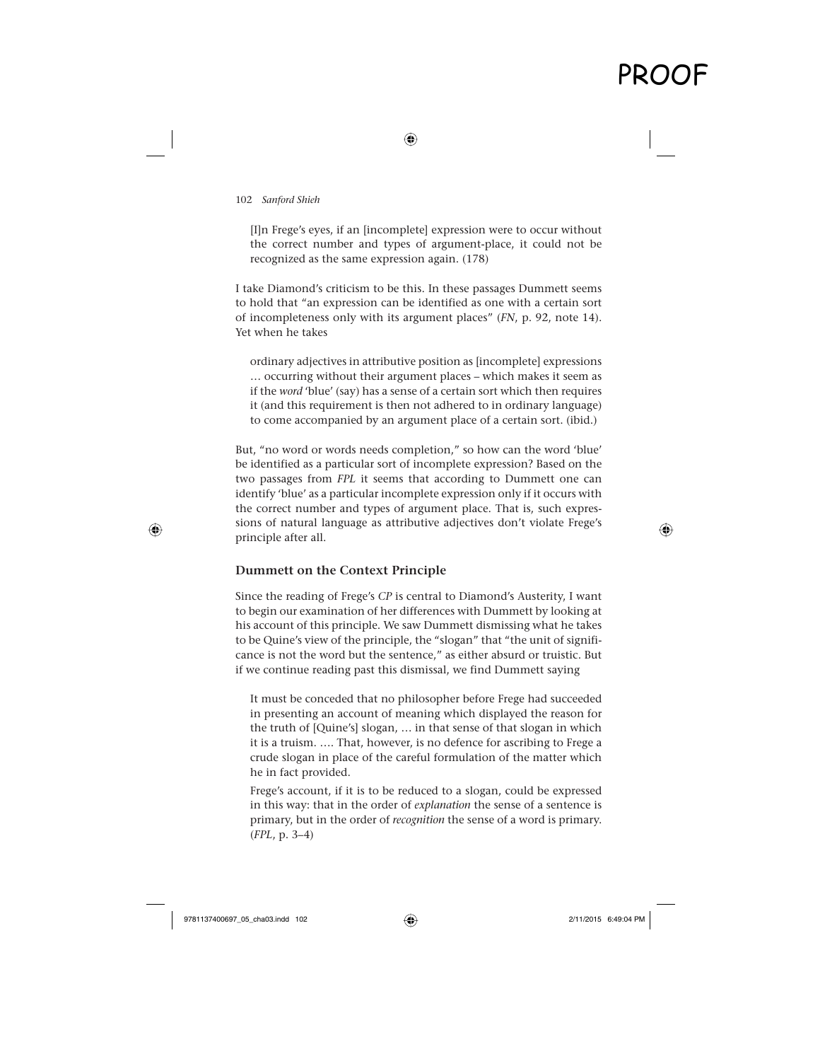⊕

⊕

### 102 *Sanford Shieh*

[I]n Frege's eyes, if an [incomplete] expression were to occur without the correct number and types of argument-place, it could not be recognized as the same expression again. (178)

I take Diamond's criticism to be this. In these passages Dummett seems to hold that "an expression can be identified as one with a certain sort of incompleteness only with its argument places" (FN, p. 92, note 14). Yet when he takes

ordinary adjectives in attributive position as [incomplete] expressions … occurring without their argument places – which makes it seem as if the *word* 'blue' (say) has a sense of a certain sort which then requires it (and this requirement is then not adhered to in ordinary language) to come accompanied by an argument place of a certain sort. (ibid.)

But, "no word or words needs completion," so how can the word 'blue' be identified as a particular sort of incomplete expression? Based on the two passages from *FPL* it seems that according to Dummett one can identify 'blue' as a particular incomplete expression only if it occurs with the correct number and types of argument place. That is, such expressions of natural language as attributive adjectives don't violate Frege's principle after all.

### **Dummett on the Context Principle**

Since the reading of Frege's *CP* is central to Diamond's Austerity, I want to begin our examination of her differences with Dummett by looking at his account of this principle. We saw Dummett dismissing what he takes to be Quine's view of the principle, the "slogan" that "the unit of significance is not the word but the sentence," as either absurd or truistic. But if we continue reading past this dismissal, we find Dummett saying

It must be conceded that no philosopher before Frege had succeeded in presenting an account of meaning which displayed the reason for the truth of [Quine's] slogan, … in that sense of that slogan in which it is a truism. …. That, however, is no defence for ascribing to Frege a crude slogan in place of the careful formulation of the matter which he in fact provided.

Frege's account, if it is to be reduced to a slogan, could be expressed in this way: that in the order of *explanation* the sense of a sentence is primary, but in the order of *recognition* the sense of a word is primary. ( *FPL* , p. 3–4)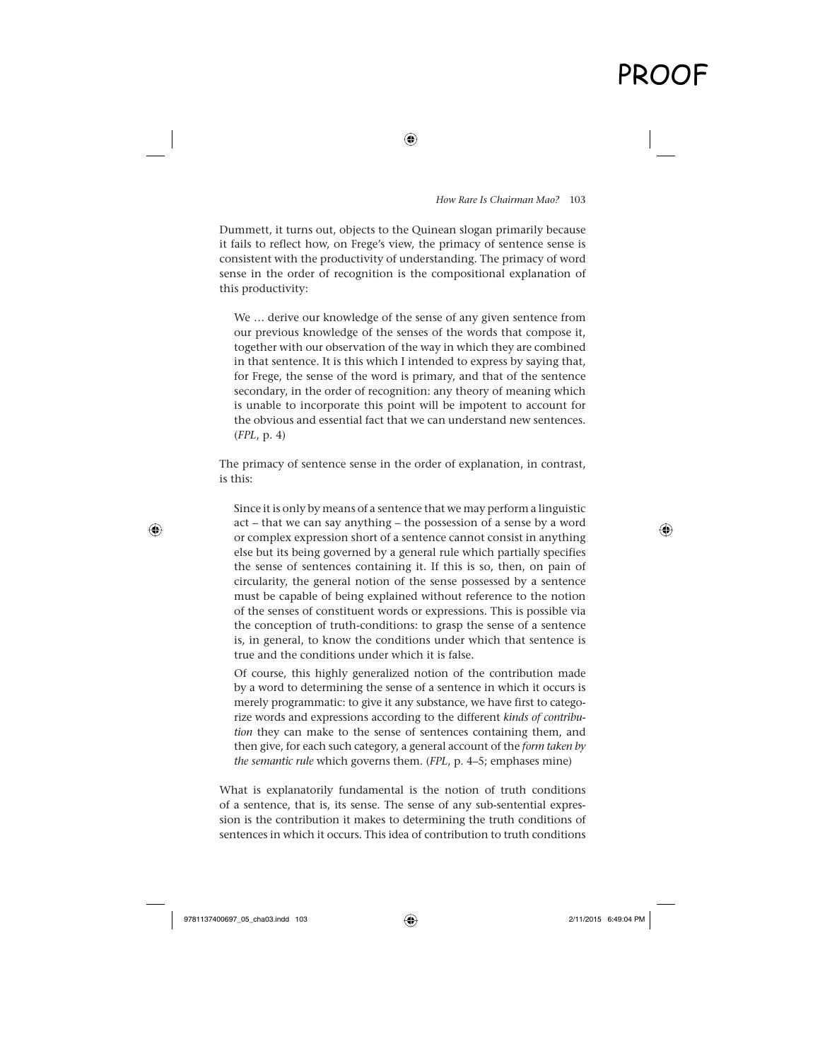⊕

⊕

#### *How Rare Is Chairman Mao?* 103

Dummett, it turns out, objects to the Quinean slogan primarily because it fails to reflect how, on Frege's view, the primacy of sentence sense is consistent with the productivity of understanding. The primacy of word sense in the order of recognition is the compositional explanation of this productivity:

We … derive our knowledge of the sense of any given sentence from our previous knowledge of the senses of the words that compose it, together with our observation of the way in which they are combined in that sentence. It is this which I intended to express by saying that, for Frege, the sense of the word is primary, and that of the sentence secondary, in the order of recognition: any theory of meaning which is unable to incorporate this point will be impotent to account for the obvious and essential fact that we can understand new sentences. ( *FPL* , p. 4)

The primacy of sentence sense in the order of explanation, in contrast, is this:

Since it is only by means of a sentence that we may perform a linguistic act – that we can say anything – the possession of a sense by a word or complex expression short of a sentence cannot consist in anything else but its being governed by a general rule which partially specifies the sense of sentences containing it. If this is so, then, on pain of circularity, the general notion of the sense possessed by a sentence must be capable of being explained without reference to the notion of the senses of constituent words or expressions. This is possible via the conception of truth-conditions: to grasp the sense of a sentence is, in general, to know the conditions under which that sentence is true and the conditions under which it is false.

Of course, this highly generalized notion of the contribution made by a word to determining the sense of a sentence in which it occurs is merely programmatic: to give it any substance, we have first to categorize words and expressions according to the different *kinds of contribution* they can make to the sense of sentences containing them, and then give, for each such category, a general account of the *form taken by the semantic rule* which governs them. (*FPL*, p. 4–5; emphases mine)

What is explanatorily fundamental is the notion of truth conditions of a sentence, that is, its sense. The sense of any sub-sentential expression is the contribution it makes to determining the truth conditions of sentences in which it occurs. This idea of contribution to truth conditions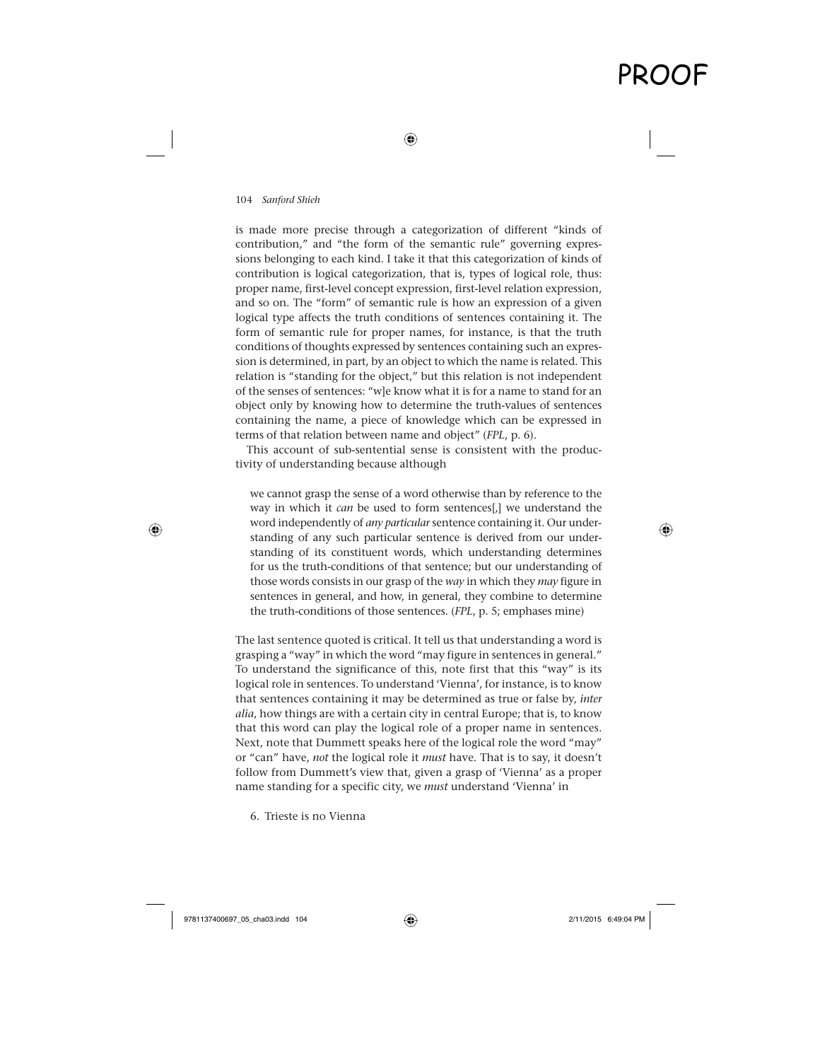⊕

⊕

#### 104 *Sanford Shieh*

is made more precise through a categorization of different "kinds of contribution," and "the form of the semantic rule" governing expressions belonging to each kind. I take it that this categorization of kinds of contribution is logical categorization, that is, types of logical role, thus: proper name, first-level concept expression, first-level relation expression, and so on. The "form" of semantic rule is how an expression of a given logical type affects the truth conditions of sentences containing it. The form of semantic rule for proper names, for instance, is that the truth conditions of thoughts expressed by sentences containing such an expression is determined, in part, by an object to which the name is related. This relation is "standing for the object," but this relation is not independent of the senses of sentences: "w]e know what it is for a name to stand for an object only by knowing how to determine the truth-values of sentences containing the name, a piece of knowledge which can be expressed in terms of that relation between name and object" ( *FPL*, p. 6).

This account of sub-sentential sense is consistent with the productivity of understanding because although

we cannot grasp the sense of a word otherwise than by reference to the way in which it *can* be used to form sentences[,] we understand the word independently of *any particular* sentence containing it. Our understanding of any such particular sentence is derived from our understanding of its constituent words, which understanding determines for us the truth-conditions of that sentence; but our understanding of those words consists in our grasp of the *way* in which they *may* figure in sentences in general, and how, in general, they combine to determine the truth-conditions of those sentences. (*FPL*, p. 5; emphases mine)

The last sentence quoted is critical. It tell us that understanding a word is grasping a "way" in which the word "may figure in sentences in general." To understand the significance of this, note first that this "way" is its logical role in sentences. To understand 'Vienna', for instance, is to know that sentences containing it may be determined as true or false by, *inter alia*, how things are with a certain city in central Europe; that is, to know that this word can play the logical role of a proper name in sentences. Next, note that Dummett speaks here of the logical role the word "may" or "can" have, *not* the logical role it *must* have. That is to say, it doesn't follow from Dummett's view that, given a grasp of 'Vienna' as a proper name standing for a specific city, we *must* understand 'Vienna' in

6. Trieste is no Vienna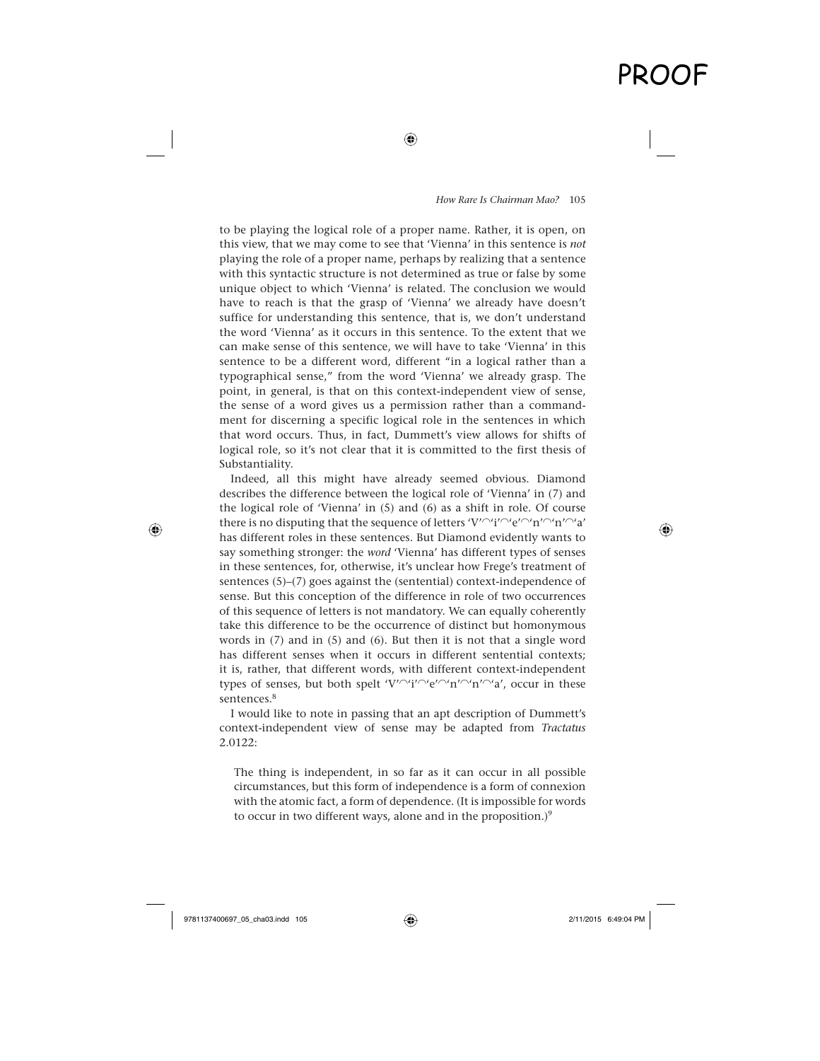⊕

⊕

#### *How Rare Is Chairman Mao?* 105

to be playing the logical role of a proper name. Rather, it is open, on this view, that we may come to see that 'Vienna' in this sentence is *not* playing the role of a proper name, perhaps by realizing that a sentence with this syntactic structure is not determined as true or false by some unique object to which 'Vienna' is related. The conclusion we would have to reach is that the grasp of 'Vienna' we already have doesn't suffice for understanding this sentence, that is, we don't understand the word 'Vienna' as it occurs in this sentence. To the extent that we can make sense of this sentence, we will have to take 'Vienna' in this sentence to be a different word, different "in a logical rather than a typographical sense," from the word 'Vienna' we already grasp. The point, in general, is that on this context-independent view of sense, the sense of a word gives us a permission rather than a commandment for discerning a specific logical role in the sentences in which that word occurs. Thus, in fact, Dummett's view allows for shifts of logical role, so it's not clear that it is committed to the first thesis of Substantiality.

Indeed, all this might have already seemed obvious. Diamond describes the difference between the logical role of 'Vienna' in (7) and the logical role of 'Vienna' in (5) and (6) as a shift in role. Of course there is no disputing that the sequence of letters 'V' $\cap$ 'i' $\cap$ 'e' $\cap$ 'n' $\cap$ 'a' has different roles in these sentences. But Diamond evidently wants to say something stronger: the *word* 'Vienna' has different types of senses in these sentences, for, otherwise, it's unclear how Frege's treatment of sentences (5)–(7) goes against the (sentential) context-independence of sense. But this conception of the difference in role of two occurrences of this sequence of letters is not mandatory. We can equally coherently take this difference to be the occurrence of distinct but homonymous words in (7) and in (5) and (6). But then it is not that a single word has different senses when it occurs in different sentential contexts; it is, rather, that different words, with different context-independent types of senses, but both spelt 'V' $\cap$ 'i' $\cap$ 'e' $\cap$ 'n' $\cap$ 'a', occur in these sentences. 8

I would like to note in passing that an apt description of Dummett's context-independent view of sense may be adapted from *Tractatus* 2.0122:

The thing is independent, in so far as it can occur in all possible circumstances, but this form of independence is a form of connexion with the atomic fact, a form of dependence. (It is impossible for words to occur in two different ways, alone and in the proposition.)<sup>9</sup>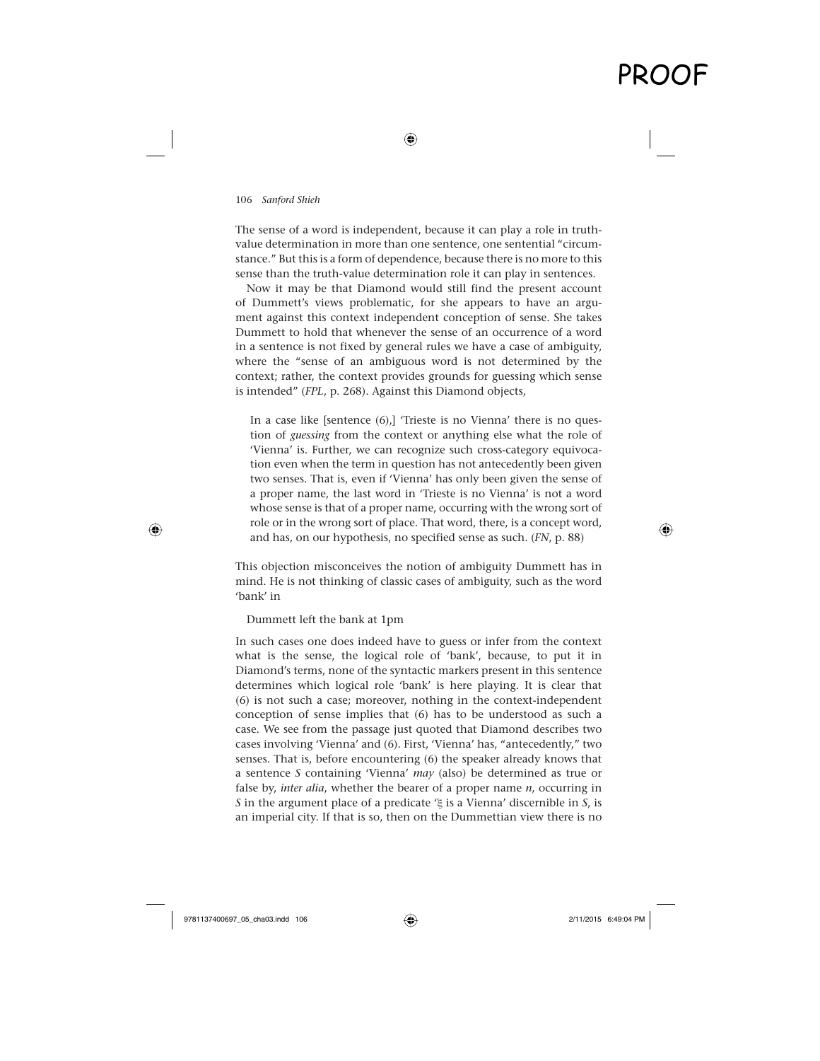⊕

⊕

#### 106 *Sanford Shieh*

The sense of a word is independent, because it can play a role in truthvalue determination in more than one sentence, one sentential "circumstance." But this is a form of dependence, because there is no more to this sense than the truth-value determination role it can play in sentences.

Now it may be that Diamond would still find the present account of Dummett's views problematic, for she appears to have an argument against this context independent conception of sense. She takes Dummett to hold that whenever the sense of an occurrence of a word in a sentence is not fixed by general rules we have a case of ambiguity, where the "sense of an ambiguous word is not determined by the context; rather, the context provides grounds for guessing which sense is intended" (FPL, p. 268). Against this Diamond objects,

In a case like [sentence (6),] 'Trieste is no Vienna' there is no question of *guessing* from the context or anything else what the role of 'Vienna' is. Further, we can recognize such cross-category equivocation even when the term in question has not antecedently been given two senses. That is, even if 'Vienna' has only been given the sense of a proper name, the last word in 'Trieste is no Vienna' is not a word whose sense is that of a proper name, occurring with the wrong sort of role or in the wrong sort of place. That word, there, is a concept word, and has, on our hypothesis, no specified sense as such. (*FN*, p. 88)

This objection misconceives the notion of ambiguity Dummett has in mind. He is not thinking of classic cases of ambiguity, such as the word 'bank' in

Dummett left the bank at 1pm

In such cases one does indeed have to guess or infer from the context what is the sense, the logical role of 'bank', because, to put it in Diamond's terms, none of the syntactic markers present in this sentence determines which logical role 'bank' is here playing. It is clear that (6) is not such a case; moreover, nothing in the context-independent conception of sense implies that (6) has to be understood as such a case. We see from the passage just quoted that Diamond describes two cases involving 'Vienna' and (6). First, 'Vienna' has, "antecedently," two senses. That is, before encountering (6) the speaker already knows that a sentence *S* containing 'Vienna' *may* (also) be determined as true or false by, *inter alia*, whether the bearer of a proper name *n*, occurring in *S* in the argument place of a predicate 'ξ is a Vienna' discernible in *S*, is an imperial city. If that is so, then on the Dummettian view there is no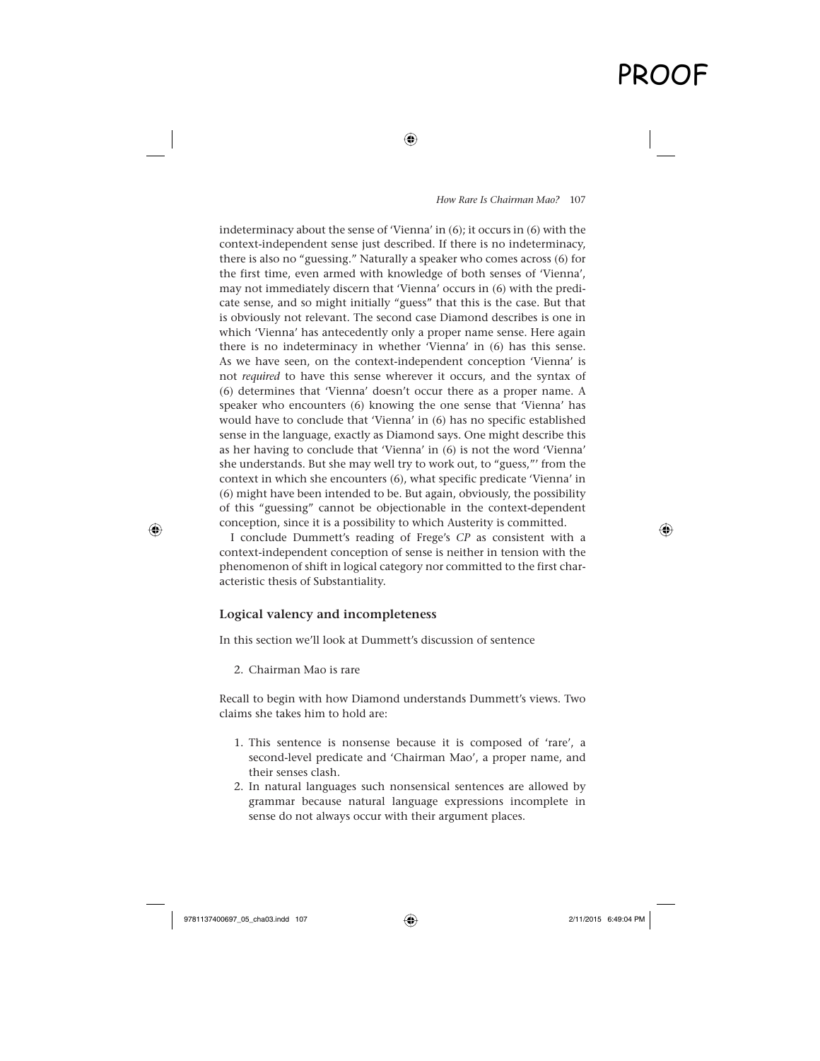⊕

⊕

#### *How Rare Is Chairman Mao?* 107

indeterminacy about the sense of 'Vienna' in (6); it occurs in (6) with the context-independent sense just described. If there is no indeterminacy, there is also no "guessing." Naturally a speaker who comes across (6) for the first time, even armed with knowledge of both senses of 'Vienna', may not immediately discern that 'Vienna' occurs in (6) with the predicate sense, and so might initially "guess" that this is the case. But that is obviously not relevant. The second case Diamond describes is one in which 'Vienna' has antecedently only a proper name sense. Here again there is no indeterminacy in whether 'Vienna' in (6) has this sense. As we have seen, on the context-independent conception 'Vienna' is not *required* to have this sense wherever it occurs, and the syntax of (6) determines that 'Vienna' doesn't occur there as a proper name. A speaker who encounters (6) knowing the one sense that 'Vienna' has would have to conclude that 'Vienna' in (6) has no specific established sense in the language, exactly as Diamond says. One might describe this as her having to conclude that 'Vienna' in (6) is not the word 'Vienna' she understands. But she may well try to work out, to "guess,"' from the context in which she encounters (6), what specific predicate 'Vienna' in (6) might have been intended to be. But again, obviously, the possibility of this "guessing" cannot be objectionable in the context-dependent conception, since it is a possibility to which Austerity is committed.

I conclude Dummett's reading of Frege's *CP* as consistent with a context-independent conception of sense is neither in tension with the phenomenon of shift in logical category nor committed to the first characteristic thesis of Substantiality.

### **Logical valency and incompleteness**

In this section we'll look at Dummett's discussion of sentence

2. Chairman Mao is rare

Recall to begin with how Diamond understands Dummett's views. Two claims she takes him to hold are:

- 1. This sentence is nonsense because it is composed of 'rare', a second-level predicate and 'Chairman Mao', a proper name, and their senses clash.
- 2. In natural languages such nonsensical sentences are allowed by grammar because natural language expressions incomplete in sense do not always occur with their argument places.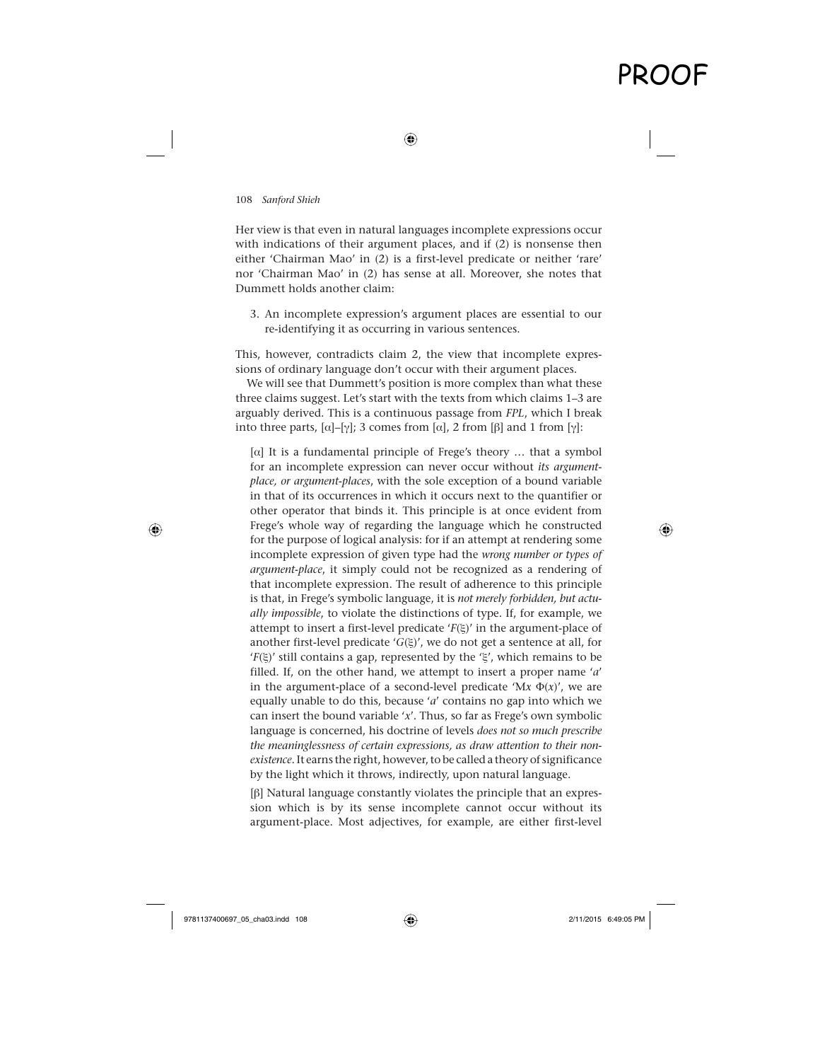⊕

⊕

### 108 *Sanford Shieh*

Her view is that even in natural languages incomplete expressions occur with indications of their argument places, and if (2) is nonsense then either 'Chairman Mao' in (2) is a first-level predicate or neither 'rare' nor 'Chairman Mao' in (2) has sense at all. Moreover, she notes that Dummett holds another claim:

3. An incomplete expression's argument places are essential to our re-identifying it as occurring in various sentences.

This, however, contradicts claim 2, the view that incomplete expressions of ordinary language don't occur with their argument places.

We will see that Dummett's position is more complex than what these three claims suggest. Let's start with the texts from which claims 1–3 are arguably derived. This is a continuous passage from *FPL*, which I break into three parts,  $[α]$ – $[γ]$ ; 3 comes from  $[α]$ , 2 from  $[β]$  and 1 from  $[γ]$ :

 [α] It is a fundamental principle of Frege's theory … that a symbol for an incomplete expression can never occur without *its argumentplace, or argument-places*, with the sole exception of a bound variable in that of its occurrences in which it occurs next to the quantifier or other operator that binds it. This principle is at once evident from Frege's whole way of regarding the language which he constructed for the purpose of logical analysis: for if an attempt at rendering some incomplete expression of given type had the *wrong number or types of argument-place*, it simply could not be recognized as a rendering of that incomplete expression. The result of adherence to this principle is that, in Frege's symbolic language, it is *not merely forbidden, but actually impossible*, to violate the distinctions of type. If, for example, we attempt to insert a first-level predicate ' $F(\xi)$ ' in the argument-place of another first-level predicate ' $G(\xi)$ ', we do not get a sentence at all, for ' $F(\xi)$ ' still contains a gap, represented by the ' $\xi'$ , which remains to be filled. If, on the other hand, we attempt to insert a proper name 'a' in the argument-place of a second-level predicate 'Mx  $\Phi(x)$ ', we are equally unable to do this, because 'a' contains no gap into which we can insert the bound variable 'x'. Thus, so far as Frege's own symbolic language is concerned, his doctrine of levels *does not so much prescribe the meaninglessness of certain expressions, as draw attention to their nonexistence*. It earns the right, however, to be called a theory of significance by the light which it throws, indirectly, upon natural language.

 [β] Natural language constantly violates the principle that an expression which is by its sense incomplete cannot occur without its argument-place. Most adjectives, for example, are either first-level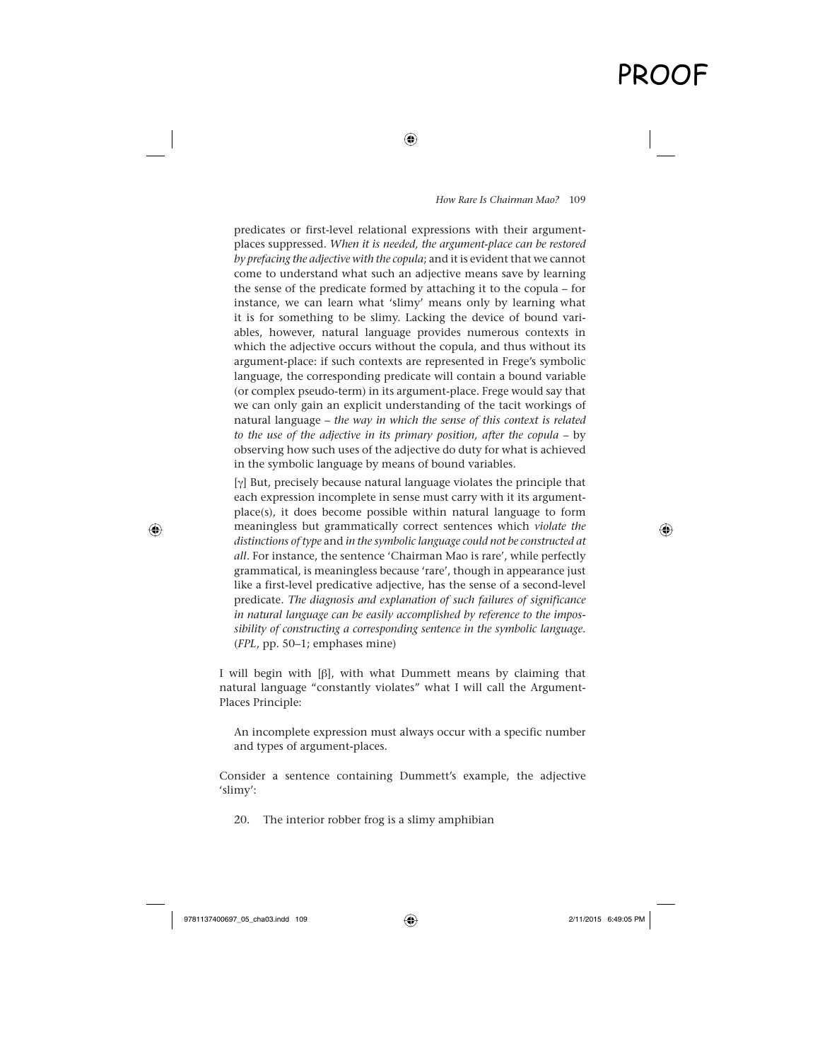◈

 $\bigoplus$ 

#### *How Rare Is Chairman Mao?* 109

predicates or first-level relational expressions with their argumentplaces suppressed. *When it is needed, the argument-place can be restored by prefacing the adjective with the copula*; and it is evident that we cannot come to understand what such an adjective means save by learning the sense of the predicate formed by attaching it to the copula – for instance, we can learn what 'slimy' means only by learning what it is for something to be slimy. Lacking the device of bound variables, however, natural language provides numerous contexts in which the adjective occurs without the copula, and thus without its argument-place: if such contexts are represented in Frege's symbolic language, the corresponding predicate will contain a bound variable (or complex pseudo-term) in its argument-place. Frege would say that we can only gain an explicit understanding of the tacit workings of natural language – *the way in which the sense of this context is related to the use of the adjective in its primary position, after the copula* – by observing how such uses of the adjective do duty for what is achieved in the symbolic language by means of bound variables.

 [γ] But, precisely because natural language violates the principle that each expression incomplete in sense must carry with it its argumentplace(s), it does become possible within natural language to form meaningless but grammatically correct sentences which *violate the distinctions of type* and *in the symbolic language could not be constructed at all*. For instance, the sentence 'Chairman Mao is rare', while perfectly grammatical, is meaningless because 'rare', though in appearance just like a first-level predicative adjective, has the sense of a second-level predicate. *The diagnosis and explanation of such failures of significance in natural language can be easily accomplished by reference to the impossibility of constructing a corresponding sentence in the symbolic language* . (*FPL*, pp. 50–1; emphases mine)

I will begin with [β], with what Dummett means by claiming that natural language "constantly violates" what I will call the Argument-Places Principle:

An incomplete expression must always occur with a specific number and types of argument-places.

Consider a sentence containing Dummett's example, the adjective 'slimy':

20. The interior robber frog is a slimy amphibian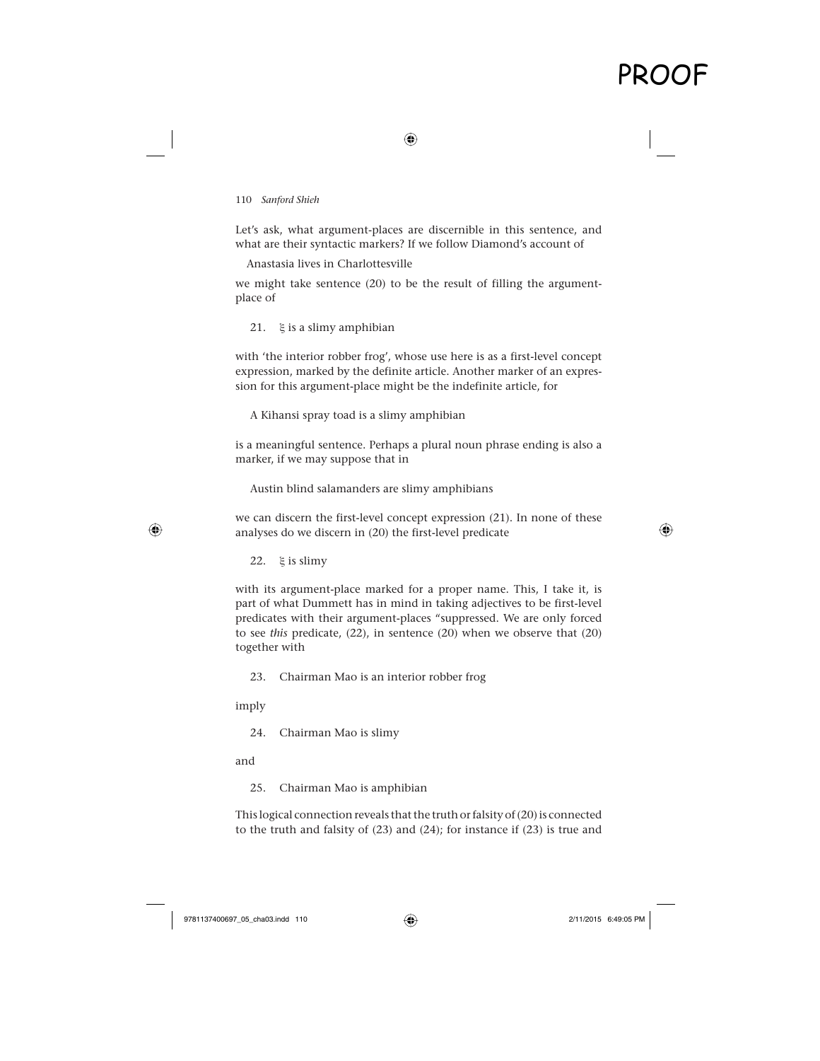⊕

110 *Sanford Shieh*

Let's ask, what argument-places are discernible in this sentence, and what are their syntactic markers? If we follow Diamond's account of

Anastasia lives in Charlottesville

we might take sentence (20) to be the result of filling the argumentplace of

21. ξ is a slimy amphibian

with 'the interior robber frog', whose use here is as a first-level concept expression, marked by the definite article. Another marker of an expression for this argument-place might be the indefinite article, for

A Kihansi spray toad is a slimy amphibian

is a meaningful sentence. Perhaps a plural noun phrase ending is also a marker, if we may suppose that in

Austin blind salamanders are slimy amphibians

we can discern the first-level concept expression (21). In none of these analyses do we discern in (20) the first-level predicate

◈

22. ξ is slimy

with its argument-place marked for a proper name. This, I take it, is part of what Dummett has in mind in taking adjectives to be first-level predicates with their argument-places "suppressed. We are only forced to see *this* predicate, (22), in sentence (20) when we observe that (20) together with

23. Chairman Mao is an interior robber frog

imply

⊕

24. Chairman Mao is slimy

and

25. Chairman Mao is amphibian

This logical connection reveals that the truth or falsity of (20) is connected to the truth and falsity of (23) and (24); for instance if (23) is true and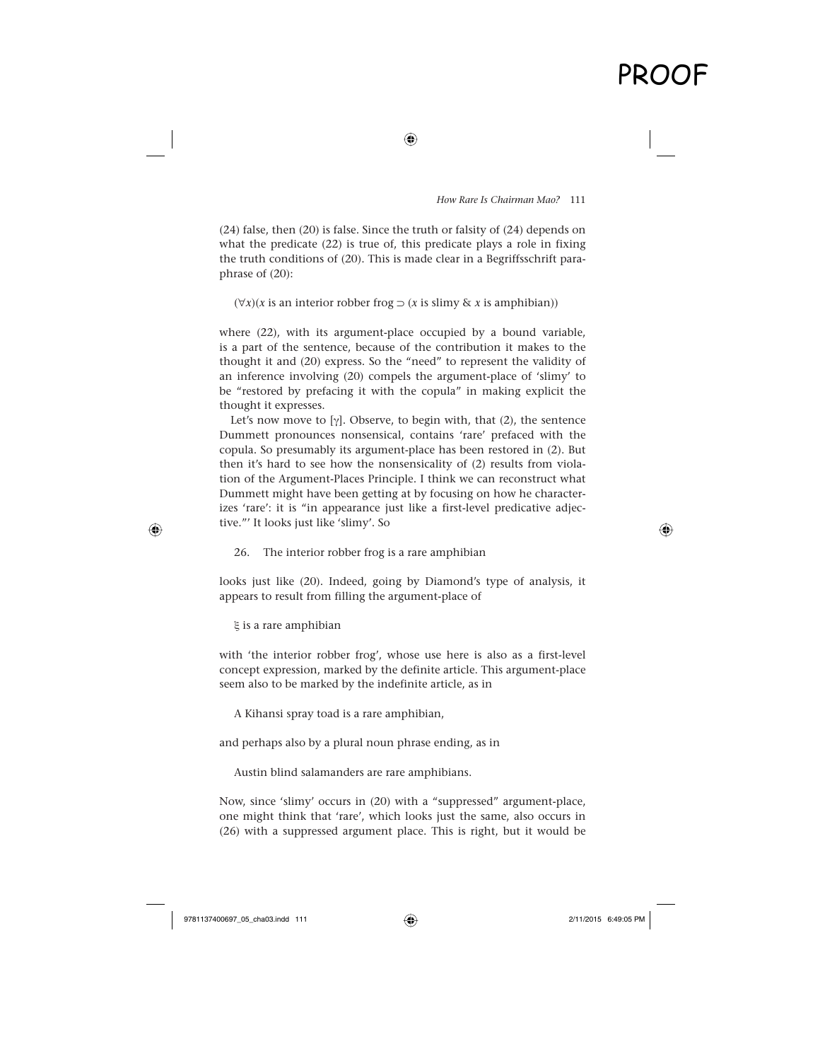⊕

 $\bigoplus$ 

### *How Rare Is Chairman Mao?* 111

(24) false, then (20) is false. Since the truth or falsity of (24) depends on what the predicate (22) is true of, this predicate plays a role in fixing the truth conditions of (20). This is made clear in a Begriffsschrift paraphrase of (20):

### $(∀x)(x$  is an interior robber frog  $⇒ (x$  is slimy & *x* is amphibian))

where (22), with its argument-place occupied by a bound variable, is a part of the sentence, because of the contribution it makes to the thought it and (20) express. So the "need" to represent the validity of an inference involving (20) compels the argument-place of 'slimy' to be "restored by prefacing it with the copula" in making explicit the thought it expresses.

Let's now move to [ $\gamma$ ]. Observe, to begin with, that (2), the sentence Dummett pronounces nonsensical, contains 'rare' prefaced with the copula. So presumably its argument-place has been restored in (2). But then it's hard to see how the nonsensicality of (2) results from violation of the Argument-Places Principle. I think we can reconstruct what Dummett might have been getting at by focusing on how he characterizes 'rare': it is "in appearance just like a first-level predicative adjective."' It looks just like 'slimy'. So

26. The interior robber frog is a rare amphibian

looks just like (20). Indeed, going by Diamond's type of analysis, it appears to result from filling the argument-place of

ξ is a rare amphibian

⊕

with 'the interior robber frog', whose use here is also as a first-level concept expression, marked by the definite article. This argument-place seem also to be marked by the indefinite article, as in

A Kihansi spray toad is a rare amphibian,

and perhaps also by a plural noun phrase ending, as in

Austin blind salamanders are rare amphibians.

Now, since 'slimy' occurs in (20) with a "suppressed" argument-place, one might think that 'rare', which looks just the same, also occurs in (26) with a suppressed argument place. This is right, but it would be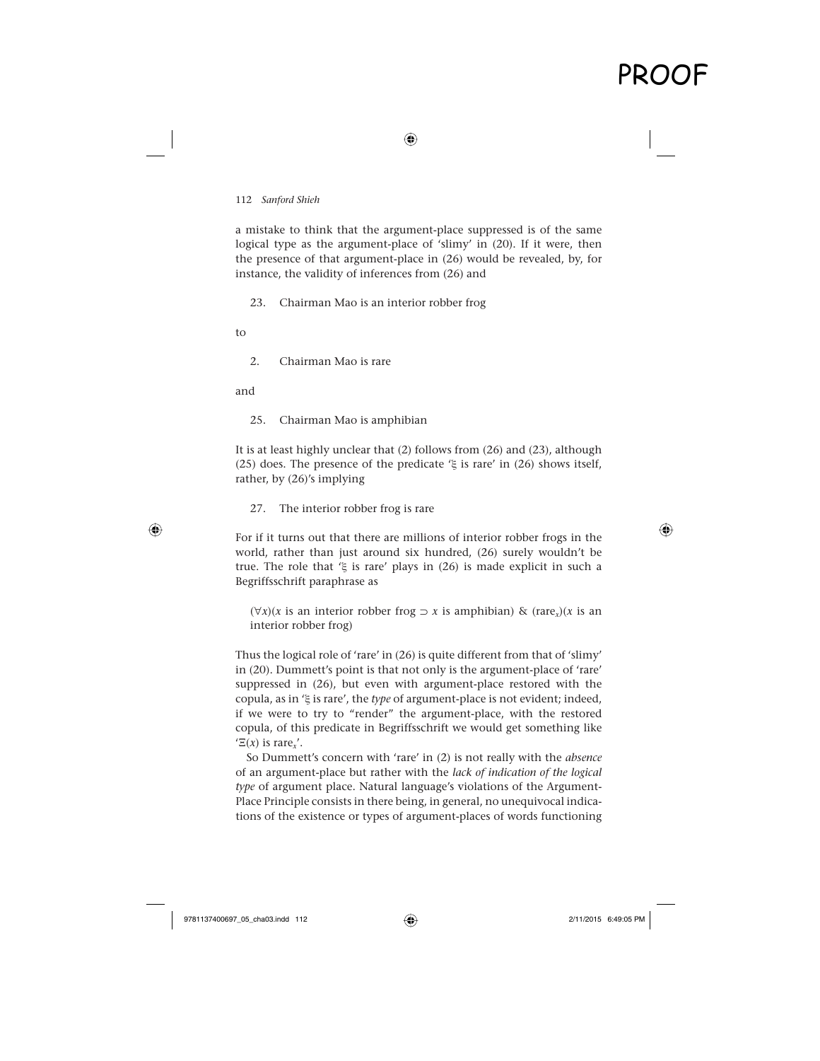◈

 $\bigoplus$ 

### 112 *Sanford Shieh*

a mistake to think that the argument-place suppressed is of the same logical type as the argument-place of 'slimy' in (20). If it were, then the presence of that argument-place in (26) would be revealed, by, for instance, the validity of inferences from (26) and

23. Chairman Mao is an interior robber frog

to

2. Chairman Mao is rare

and

⊕

25. Chairman Mao is amphibian

It is at least highly unclear that (2) follows from (26) and (23), although (25) does. The presence of the predicate 'ξ is rare' in (26) shows itself, rather, by (26)'s implying

27. The interior robber frog is rare

For if it turns out that there are millions of interior robber frogs in the world, rather than just around six hundred, (26) surely wouldn't be true. The role that 'ξ is rare' plays in (26) is made explicit in such a Begriffsschrift paraphrase as

( $∀x$ )(*x* is an interior robber frog  $\supset x$  is amphibian) & (rare<sub>*x*</sub>)(*x* is an interior robber frog)

Thus the logical role of 'rare' in (26) is quite different from that of 'slimy' in (20). Dummett's point is that not only is the argument-place of 'rare' suppressed in (26), but even with argument-place restored with the copula, as in 'ξ is rare', the *type* of argument-place is not evident; indeed, if we were to try to "render" the argument-place, with the restored copula, of this predicate in Begriffsschrift we would get something like  $E(x)$  is rare<sub>x</sub><sup>'</sup>.

So Dummett's concern with 'rare' in (2) is not really with the *absence* of an argument-place but rather with the *lack of indication of the logical type* of argument place. Natural language's violations of the Argument-Place Principle consists in there being, in general, no unequivocal indications of the existence or types of argument-places of words functioning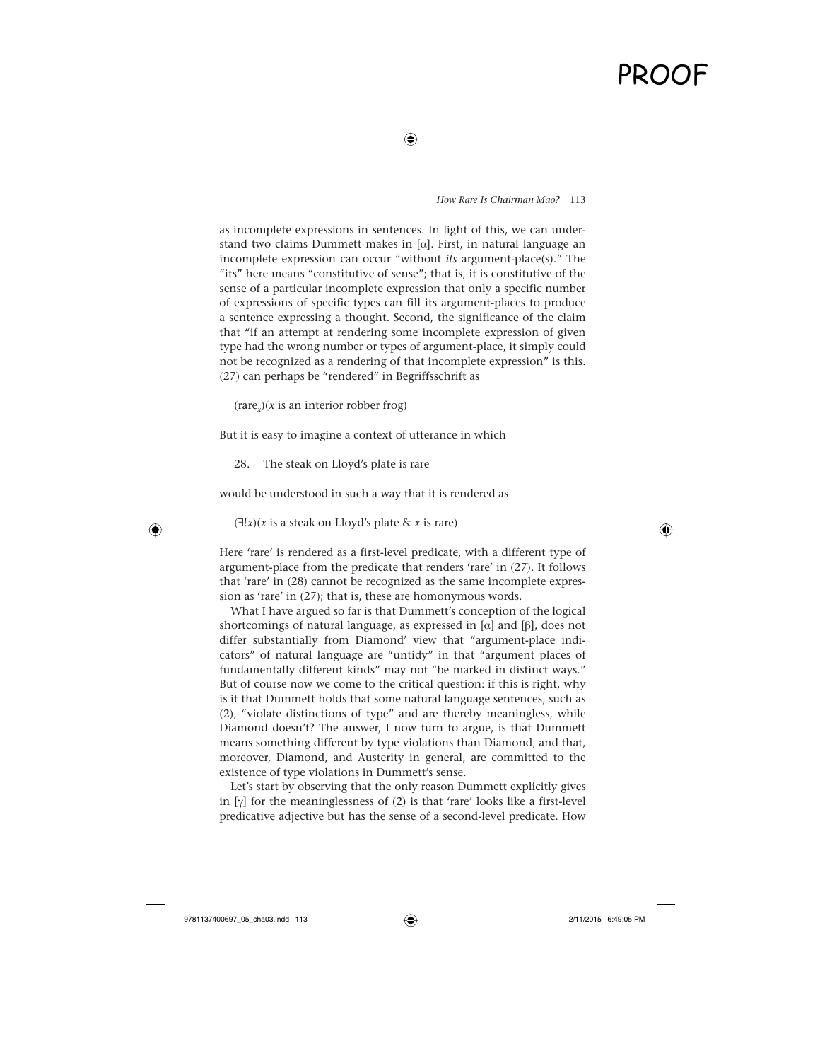⊕

⊕

#### *How Rare Is Chairman Mao?* 113

as incomplete expressions in sentences. In light of this, we can understand two claims Dummett makes in [α]. First, in natural language an incomplete expression can occur "without *its* argument-place(s)." The "its" here means "constitutive of sense"; that is, it is constitutive of the sense of a particular incomplete expression that only a specific number of expressions of specific types can fill its argument-places to produce a sentence expressing a thought. Second, the significance of the claim that "if an attempt at rendering some incomplete expression of given type had the wrong number or types of argument-place, it simply could not be recognized as a rendering of that incomplete expression" is this. (27) can perhaps be "rendered" in Begriffsschrift as

 $\frac{r}{x}$  (*x* is an interior robber frog)

But it is easy to imagine a context of utterance in which

28. The steak on Lloyd's plate is rare

would be understood in such a way that it is rendered as

 $(\exists !x)(x$  is a steak on Lloyd's plate & *x* is rare)

Here 'rare' is rendered as a first-level predicate, with a different type of argument-place from the predicate that renders 'rare' in (27). It follows that 'rare' in (28) cannot be recognized as the same incomplete expression as 'rare' in (27); that is, these are homonymous words.

What I have argued so far is that Dummett's conception of the logical shortcomings of natural language, as expressed in  $[\alpha]$  and  $[\beta]$ , does not differ substantially from Diamond' view that "argument-place indicators" of natural language are "untidy" in that "argument places of fundamentally different kinds" may not "be marked in distinct ways." But of course now we come to the critical question: if this is right, why is it that Dummett holds that some natural language sentences, such as (2), "violate distinctions of type" and are thereby meaningless, while Diamond doesn't? The answer, I now turn to argue, is that Dummett means something different by type violations than Diamond, and that, moreover, Diamond, and Austerity in general, are committed to the existence of type violations in Dummett's sense.

Let's start by observing that the only reason Dummett explicitly gives in [γ] for the meaninglessness of (2) is that 'rare' looks like a first-level predicative adjective but has the sense of a second-level predicate. How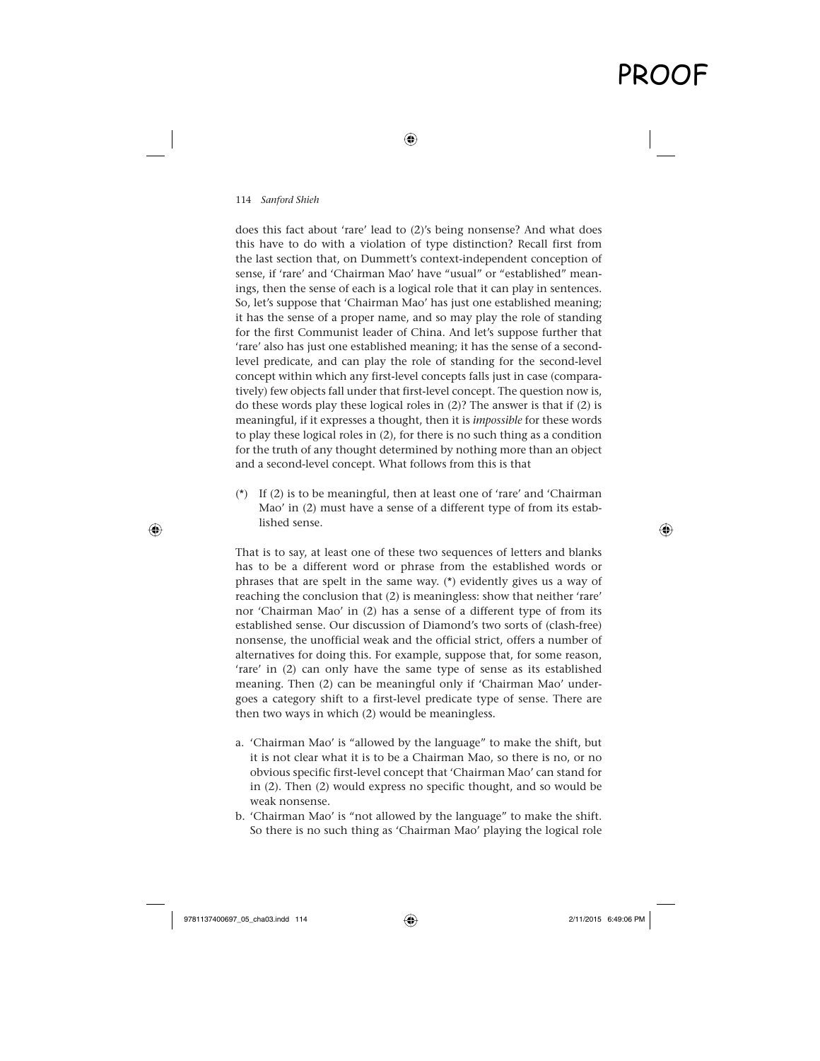⊕

 $\bigoplus$ 

#### 114 *Sanford Shieh*

does this fact about 'rare' lead to (2)'s being nonsense? And what does this have to do with a violation of type distinction? Recall first from the last section that, on Dummett's context-independent conception of sense, if 'rare' and 'Chairman Mao' have "usual" or "established" meanings, then the sense of each is a logical role that it can play in sentences. So, let's suppose that 'Chairman Mao' has just one established meaning; it has the sense of a proper name, and so may play the role of standing for the first Communist leader of China. And let's suppose further that 'rare' also has just one established meaning; it has the sense of a secondlevel predicate, and can play the role of standing for the second-level concept within which any first-level concepts falls just in case (comparatively) few objects fall under that first-level concept. The question now is, do these words play these logical roles in (2)? The answer is that if (2) is meaningful, if it expresses a thought, then it is *impossible* for these words to play these logical roles in (2), for there is no such thing as a condition for the truth of any thought determined by nothing more than an object and a second-level concept. What follows from this is that

 (\*) If (2) is to be meaningful, then at least one of 'rare' and 'Chairman Mao' in (2) must have a sense of a different type of from its established sense.

That is to say, at least one of these two sequences of letters and blanks has to be a different word or phrase from the established words or phrases that are spelt in the same way. (\*) evidently gives us a way of reaching the conclusion that (2) is meaningless: show that neither 'rare' nor 'Chairman Mao' in (2) has a sense of a different type of from its established sense. Our discussion of Diamond's two sorts of (clash-free) nonsense, the unofficial weak and the official strict, offers a number of alternatives for doing this. For example, suppose that, for some reason, 'rare' in (2) can only have the same type of sense as its established meaning. Then (2) can be meaningful only if 'Chairman Mao' undergoes a category shift to a first-level predicate type of sense. There are then two ways in which (2) would be meaningless.

- a. 'Chairman Mao' is "allowed by the language" to make the shift, but it is not clear what it is to be a Chairman Mao, so there is no, or no obvious specific first-level concept that 'Chairman Mao' can stand for in (2). Then (2) would express no specific thought, and so would be weak nonsense.
- b. 'Chairman Mao' is "not allowed by the language" to make the shift. So there is no such thing as 'Chairman Mao' playing the logical role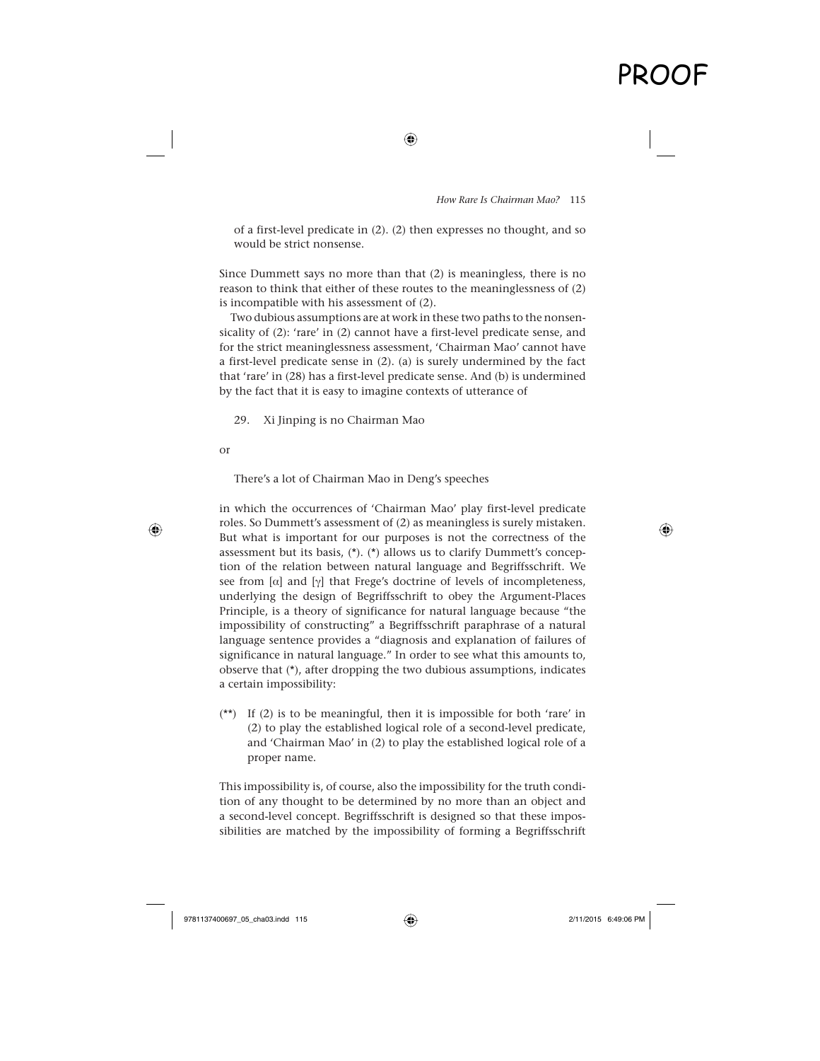⊕

### $\bigoplus$

#### *How Rare Is Chairman Mao?* 115

of a first-level predicate in (2). (2) then expresses no thought, and so would be strict nonsense.

Since Dummett says no more than that (2) is meaningless, there is no reason to think that either of these routes to the meaninglessness of (2) is incompatible with his assessment of (2).

Two dubious assumptions are at work in these two paths to the nonsensicality of (2): 'rare' in (2) cannot have a first-level predicate sense, and for the strict meaninglessness assessment, 'Chairman Mao' cannot have a first-level predicate sense in (2). (a) is surely undermined by the fact that 'rare' in (28) has a first-level predicate sense. And (b) is undermined by the fact that it is easy to imagine contexts of utterance of

29. Xi Jinping is no Chairman Mao

or

⊕

There's a lot of Chairman Mao in Deng's speeches

in which the occurrences of 'Chairman Mao' play first-level predicate roles. So Dummett's assessment of (2) as meaningless is surely mistaken. But what is important for our purposes is not the correctness of the assessment but its basis, (\*). (\*) allows us to clarify Dummett's conception of the relation between natural language and Begriffsschrift. We see from [α] and [γ] that Frege's doctrine of levels of incompleteness, underlying the design of Begriffsschrift to obey the Argument-Places Principle, is a theory of significance for natural language because "the impossibility of constructing" a Begriffsschrift paraphrase of a natural language sentence provides a "diagnosis and explanation of failures of significance in natural language." In order to see what this amounts to, observe that (\*), after dropping the two dubious assumptions, indicates a certain impossibility:

 (\*\*) If (2) is to be meaningful, then it is impossible for both 'rare' in (2) to play the established logical role of a second-level predicate, and 'Chairman Mao' in (2) to play the established logical role of a proper name.

This impossibility is, of course, also the impossibility for the truth condition of any thought to be determined by no more than an object and a second-level concept. Begriffsschrift is designed so that these impossibilities are matched by the impossibility of forming a Begriffsschrift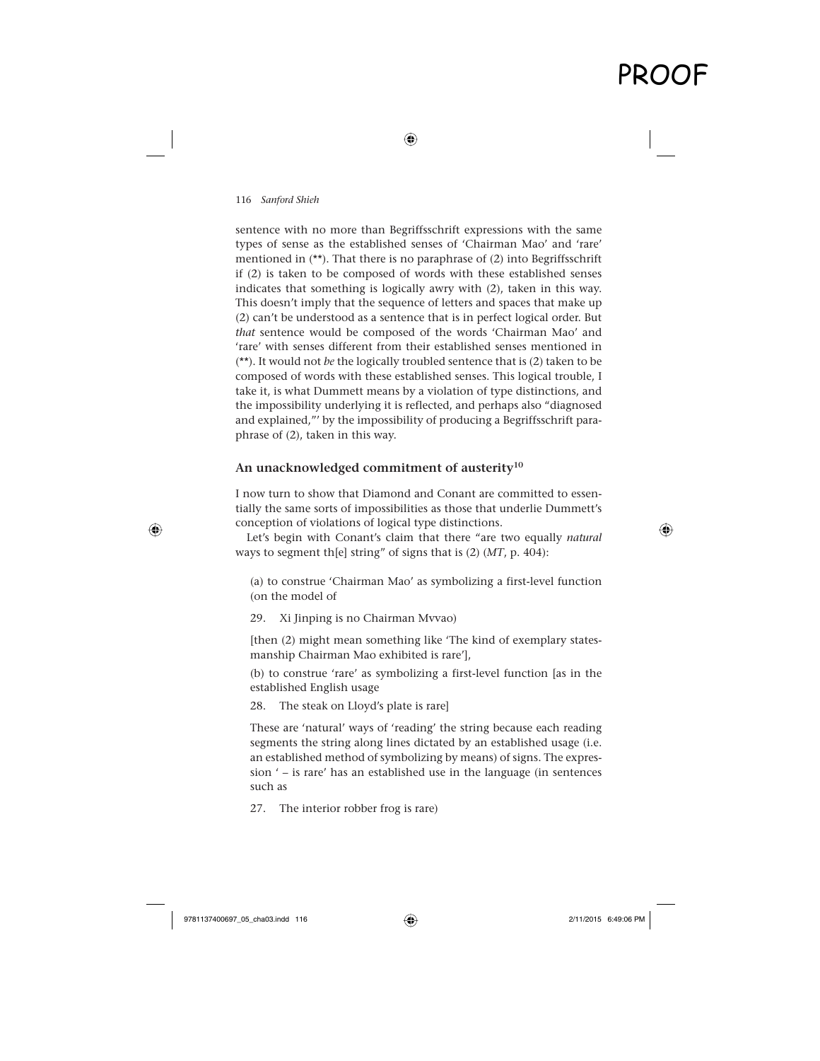◈

 $\bigoplus$ 

### 116 *Sanford Shieh*

sentence with no more than Begriffsschrift expressions with the same types of sense as the established senses of 'Chairman Mao' and 'rare' mentioned in (\*\*). That there is no paraphrase of (2) into Begriffsschrift if (2) is taken to be composed of words with these established senses indicates that something is logically awry with (2), taken in this way. This doesn't imply that the sequence of letters and spaces that make up (2) can't be understood as a sentence that is in perfect logical order. But *that* sentence would be composed of the words 'Chairman Mao' and 'rare' with senses different from their established senses mentioned in (\*\*). It would not *be* the logically troubled sentence that is (2) taken to be composed of words with these established senses. This logical trouble, I take it, is what Dummett means by a violation of type distinctions, and the impossibility underlying it is reflected, and perhaps also "diagnosed and explained,"' by the impossibility of producing a Begriffsschrift paraphrase of (2), taken in this way.

### **An unacknowledged commitment of austerity 10**

I now turn to show that Diamond and Conant are committed to essentially the same sorts of impossibilities as those that underlie Dummett's conception of violations of logical type distinctions.

Let's begin with Conant's claim that there "are two equally *natural* ways to segment th[e] string" of signs that is (2) (MT, p. 404):

(a) to construe 'Chairman Mao' as symbolizing a first-level function (on the model of

29. Xi Jinping is no Chairman Mvvao)

[then (2) might mean something like 'The kind of exemplary statesmanship Chairman Mao exhibited is rare'],

(b) to construe 'rare' as symbolizing a first-level function [as in the established English usage

28. The steak on Lloyd's plate is rare]

These are 'natural' ways of 'reading' the string because each reading segments the string along lines dictated by an established usage (i.e. an established method of symbolizing by means) of signs. The expression ' – is rare' has an established use in the language (in sentences such as

27. The interior robber frog is rare)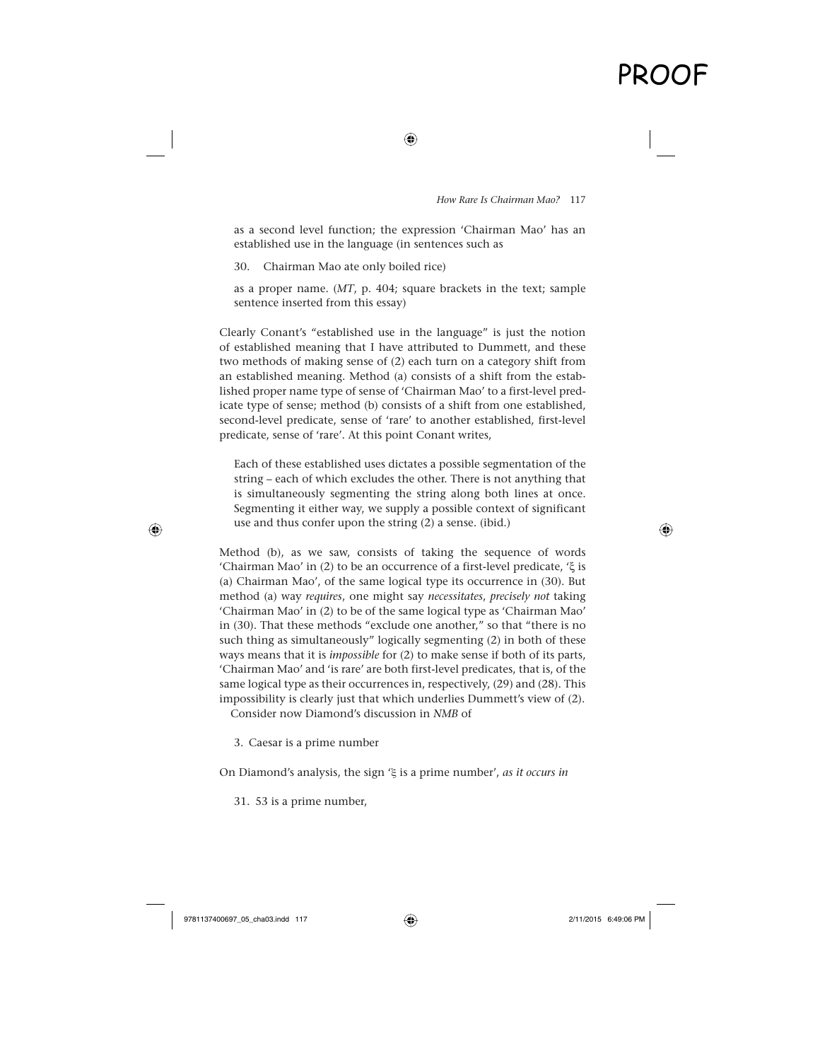⊕

 $\bigoplus$ 

### *How Rare Is Chairman Mao?* 117

as a second level function; the expression 'Chairman Mao' has an established use in the language (in sentences such as

30. Chairman Mao ate only boiled rice)

as a proper name. (MT, p. 404; square brackets in the text; sample sentence inserted from this essay)

Clearly Conant's "established use in the language" is just the notion of established meaning that I have attributed to Dummett, and these two methods of making sense of (2) each turn on a category shift from an established meaning. Method (a) consists of a shift from the established proper name type of sense of 'Chairman Mao' to a first-level predicate type of sense; method (b) consists of a shift from one established, second-level predicate, sense of 'rare' to another established, first-level predicate, sense of 'rare'. At this point Conant writes,

Each of these established uses dictates a possible segmentation of the string – each of which excludes the other. There is not anything that is simultaneously segmenting the string along both lines at once. Segmenting it either way, we supply a possible context of significant use and thus confer upon the string (2) a sense. (ibid.)

Method (b), as we saw, consists of taking the sequence of words 'Chairman Mao' in (2) to be an occurrence of a first-level predicate, 'ξ is (a) Chairman Mao', of the same logical type its occurrence in (30). But method (a) way *requires*, one might say *necessitates*, *precisely not* taking 'Chairman Mao' in (2) to be of the same logical type as 'Chairman Mao' in (30). That these methods "exclude one another," so that "there is no such thing as simultaneously" logically segmenting (2) in both of these ways means that it is *impossible* for (2) to make sense if both of its parts, 'Chairman Mao' and 'is rare' are both first-level predicates, that is, of the same logical type as their occurrences in, respectively, (29) and (28). This impossibility is clearly just that which underlies Dummett's view of (2). Consider now Diamond's discussion in *NMB* of

3. Caesar is a prime number

On Diamond's analysis, the sign 'ξ is a prime number', *as it occurs in*

31. 53 is a prime number,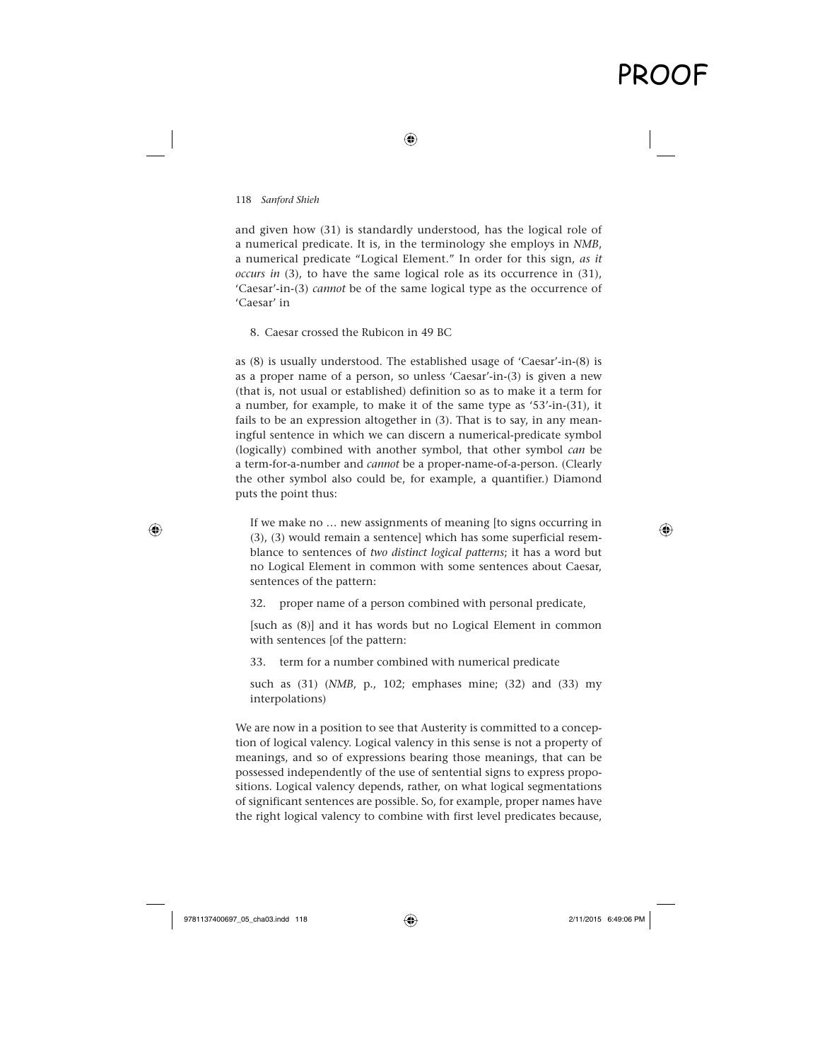⊕

 $\bigoplus$ 

### 118 *Sanford Shieh*

and given how (31) is standardly understood, has the logical role of a numerical predicate. It is, in the terminology she employs in *NMB* , a numerical predicate "Logical Element." In order for this sign, *as it occurs in* (3), to have the same logical role as its occurrence in (31), 'Caesar'-in-(3) *cannot* be of the same logical type as the occurrence of 'Caesar' in

8. Caesar crossed the Rubicon in 49 BC

as (8) is usually understood. The established usage of 'Caesar'-in-(8) is as a proper name of a person, so unless 'Caesar'-in-(3) is given a new (that is, not usual or established) definition so as to make it a term for a number, for example, to make it of the same type as '53'-in-(31), it fails to be an expression altogether in (3). That is to say, in any meaningful sentence in which we can discern a numerical-predicate symbol (logically) combined with another symbol, that other symbol *can* be a term-for-a-number and *cannot* be a proper-name-of-a-person. (Clearly the other symbol also could be, for example, a quantifier.) Diamond puts the point thus:

If we make no … new assignments of meaning [to signs occurring in (3), (3) would remain a sentence] which has some superficial resemblance to sentences of *two distinct logical patterns*; it has a word but no Logical Element in common with some sentences about Caesar, sentences of the pattern:

32. proper name of a person combined with personal predicate,

[such as (8)] and it has words but no Logical Element in common with sentences [of the pattern:

33. term for a number combined with numerical predicate

such as (31) (*NMB*, p., 102; emphases mine; (32) and (33) my interpolations)

We are now in a position to see that Austerity is committed to a conception of logical valency. Logical valency in this sense is not a property of meanings, and so of expressions bearing those meanings, that can be possessed independently of the use of sentential signs to express propositions. Logical valency depends, rather, on what logical segmentations of significant sentences are possible. So, for example, proper names have the right logical valency to combine with first level predicates because,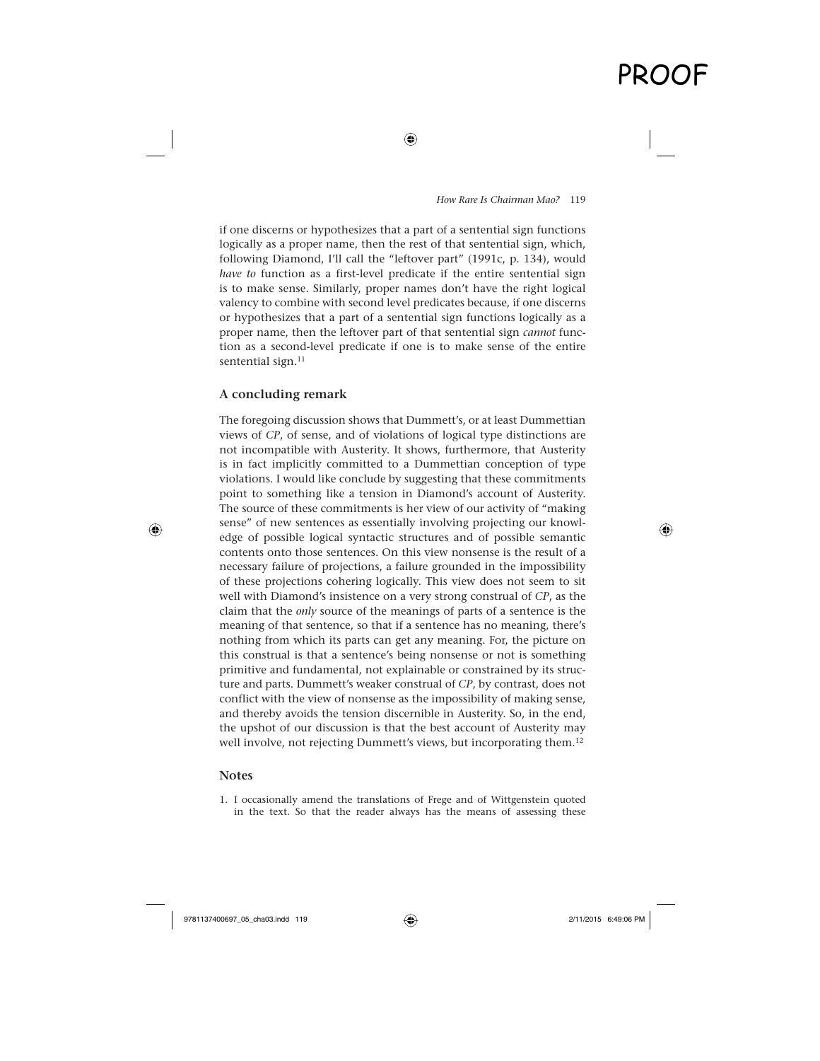⊕

#### *How Rare Is Chairman Mao?* 119

if one discerns or hypothesizes that a part of a sentential sign functions logically as a proper name, then the rest of that sentential sign, which, following Diamond, I'll call the "leftover part" (1991c, p. 134), would *have to* function as a first-level predicate if the entire sentential sign is to make sense. Similarly, proper names don't have the right logical valency to combine with second level predicates because, if one discerns or hypothesizes that a part of a sentential sign functions logically as a proper name, then the leftover part of that sentential sign *cannot* function as a second-level predicate if one is to make sense of the entire sentential sign.<sup>11</sup>

#### **A concluding remark**

The foregoing discussion shows that Dummett's, or at least Dummettian views of *CP*, of sense, and of violations of logical type distinctions are not incompatible with Austerity. It shows, furthermore, that Austerity is in fact implicitly committed to a Dummettian conception of type violations. I would like conclude by suggesting that these commitments point to something like a tension in Diamond's account of Austerity. The source of these commitments is her view of our activity of "making sense" of new sentences as essentially involving projecting our knowledge of possible logical syntactic structures and of possible semantic contents onto those sentences. On this view nonsense is the result of a necessary failure of projections, a failure grounded in the impossibility of these projections cohering logically. This view does not seem to sit well with Diamond's insistence on a very strong construal of *CP*, as the claim that the *only* source of the meanings of parts of a sentence is the meaning of that sentence, so that if a sentence has no meaning, there's nothing from which its parts can get any meaning. For, the picture on this construal is that a sentence's being nonsense or not is something primitive and fundamental, not explainable or constrained by its structure and parts. Dummett's weaker construal of *CP*, by contrast, does not conflict with the view of nonsense as the impossibility of making sense, and thereby avoids the tension discernible in Austerity. So, in the end, the upshot of our discussion is that the best account of Austerity may well involve, not rejecting Dummett's views, but incorporating them.<sup>12</sup>

### **Notes**

⊕

 1 . I occasionally amend the translations of Frege and of Wittgenstein quoted in the text. So that the reader always has the means of assessing these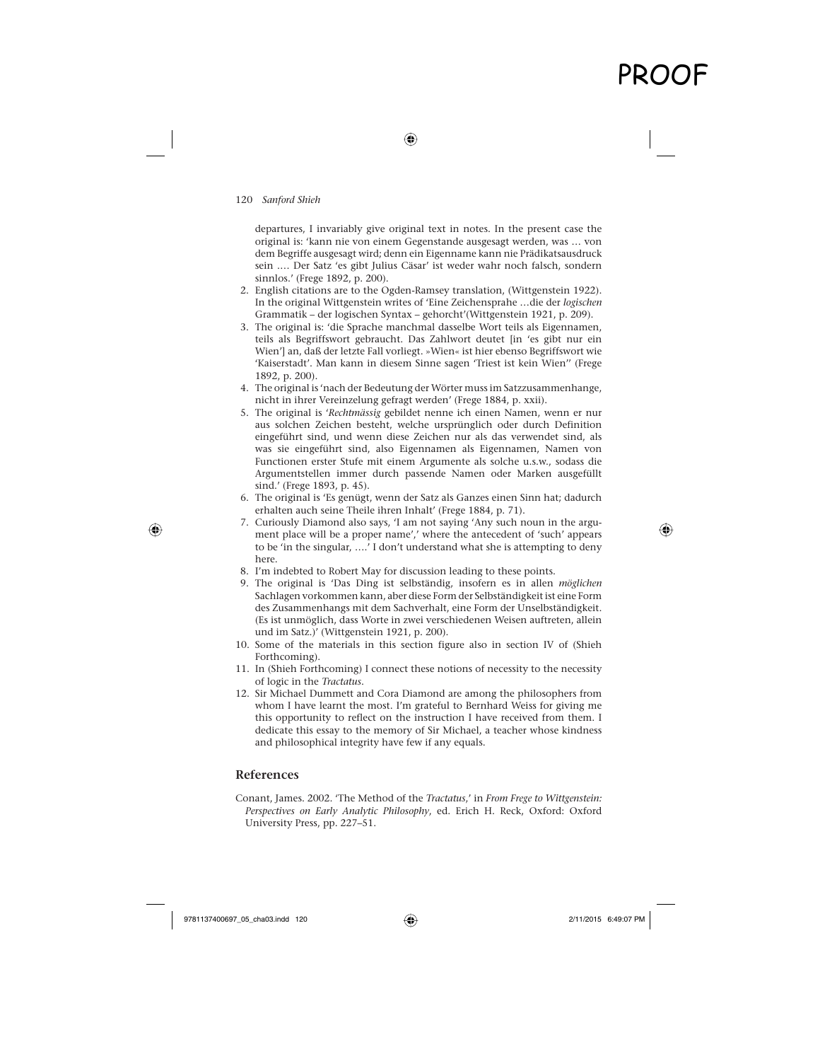$\bigoplus$ 

⊕

#### 120 *Sanford Shieh*

 departures, I invariably give original text in notes. In the present case the original is: 'kann nie von einem Gegenstande ausgesagt werden, was … von dem Begriffe ausgesagt wird; denn ein Eigenname kann nie Prädikatsausdruck sein .… Der Satz 'es gibt Julius Cäsar' ist weder wahr noch falsch, sondern sinnlos.' (Frege 1892, p. 200).

- 2 . English citations are to the Ogden-Ramsey translation, (Wittgenstein 1922). In the original Wittgenstein writes of 'Eine Zeichensprahe …die der *logischen* Grammatik – der logischen Syntax – gehorcht'(Wittgenstein 1921, p. 209).
- 3 . The original is: 'die Sprache manchmal dasselbe Wort teils als Eigennamen, teils als Begriffswort gebraucht. Das Zahlwort deutet [in 'es gibt nur ein Wien'] an, daß der letzte Fall vorliegt. »Wien« ist hier ebenso Begriffswort wie 'Kaiserstadt'. Man kann in diesem Sinne sagen 'Triest ist kein Wien'' (Frege 1892, p. 200).
- 4 . The original is 'nach der Bedeutung der Wörter muss im Satzzusammenhange, nicht in ihrer Vereinzelung gefragt werden' (Frege 1884, p. xxii).
- 5 . The original is ' *Rechtmässig* gebildet nenne ich einen Namen, wenn er nur aus solchen Zeichen besteht, welche ursprünglich oder durch Definition eingeführt sind, und wenn diese Zeichen nur als das verwendet sind, als was sie eingeführt sind, also Eigennamen als Eigennamen, Namen von Functionen erster Stufe mit einem Argumente als solche u.s.w., sodass die Argumentstellen immer durch passende Namen oder Marken ausgefüllt sind.' (Frege 1893, p. 45).
- 6 . The original is 'Es genügt, wenn der Satz als Ganzes einen Sinn hat; dadurch erhalten auch seine Theile ihren Inhalt' (Frege 1884, p. 71).
- 7 . Curiously Diamond also says, 'I am not saying 'Any such noun in the argument place will be a proper name',' where the antecedent of 'such' appears to be 'in the singular, ….' I don't understand what she is attempting to deny here.
- 8 . I'm indebted to Robert May for discussion leading to these points.
- 9 . The original is 'Das Ding ist selbständig, insofern es in allen *möglichen* Sachlagen vorkommen kann, aber diese Form der Selbständigkeit ist eine Form des Zusammenhangs mit dem Sachverhalt, eine Form der Unselbständigkeit. (Es ist unmöglich, dass Worte in zwei verschiedenen Weisen auftreten, allein und im Satz.)' (Wittgenstein 1921, p. 200).
- 10 . Some of the materials in this section figure also in section IV of (Shieh Forthcoming).
- 11 . In (Shieh Forthcoming) I connect these notions of necessity to the necessity of logic in the *Tractatus* .
- 12. Sir Michael Dummett and Cora Diamond are among the philosophers from whom I have learnt the most. I'm grateful to Bernhard Weiss for giving me this opportunity to reflect on the instruction I have received from them. I dedicate this essay to the memory of Sir Michael, a teacher whose kindness and philosophical integrity have few if any equals.

### **References**

◈

Conant, James. 2002. 'The Method of the *Tractatus*,' in *From Frege to Wittgenstein: Perspectives on Early Analytic Philosophy*, ed. Erich H. Reck, Oxford: Oxford University Press, pp. 227–51.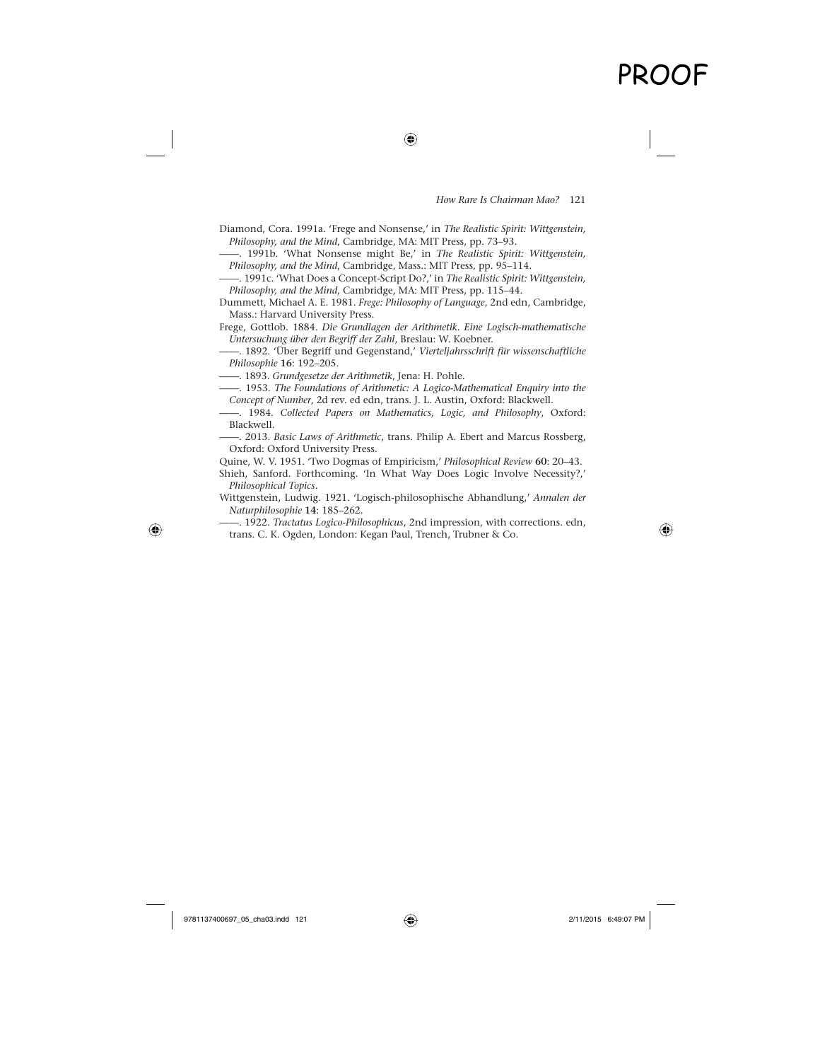*How Rare Is Chairman Mao?* 121

Diamond, Cora. 1991a. 'Frege and Nonsense,' in *The Realistic Spirit: Wittgenstein,*  Philosophy, and the Mind, Cambridge, MA: MIT Press, pp. 73-93.

1991b. 'What Nonsense might Be,' in *The Realistic Spirit: Wittgenstein,* Philosophy, and the Mind, Cambridge, Mass.: MIT Press, pp. 95-114.

——. 1991c. 'What Does a Concept-Script Do?,' in *The Realistic Spirit: Wittgenstein,*  Philosophy, and the Mind, Cambridge, MA: MIT Press, pp. 115-44.

Dummett, Michael A. E. 1981. *Frege: Philosophy of Language*, 2nd edn, Cambridge, Mass.: Harvard University Press.

Frege, Gottlob. 1884. *Die Grundlagen der Arithmetik. Eine Logisch-mathematische Untersuchung über den Begriff der Zahl* , Breslau: W. Koebner.

——. 1892. 'Über Begriff und Gegenstand,' *Vierteljahrsschrift für wissenschaftliche Philosophie* **16** : 192–205.

——. 1893. *Grundgesetze der Arithmetik* , Jena: H. Pohle.

——. 1953. *The Foundations of Arithmetic: A Logico-Mathematical Enquiry into the*  Concept of Number, 2d rev. ed edn, trans. J. L. Austin, Oxford: Blackwell.

——. 1984. *Collected Papers on Mathematics, Logic, and Philosophy*, Oxford: Blackwell.

——. 2013. *Basic Laws of Arithmetic*, trans. Philip A. Ebert and Marcus Rossberg, Oxford: Oxford University Press.

 Quine, W. V. 1951. 'Two Dogmas of Empiricism,' *Philosophical Review* **60** : 20–43. Shieh, Sanford. Forthcoming. 'In What Way Does Logic Involve Necessity?,' *Philosophical Topics* .

Wittgenstein, Ludwig. 1921. 'Logisch-philosophische Abhandlung,' *Annalen der Naturphilosophie* **14** : 185–262.

——. 1922. *Tractatus Logico-Philosophicus*, 2nd impression, with corrections. edn, trans. C. K. Ogden, London: Kegan Paul, Trench, Trubner & Co.



 $\bigoplus$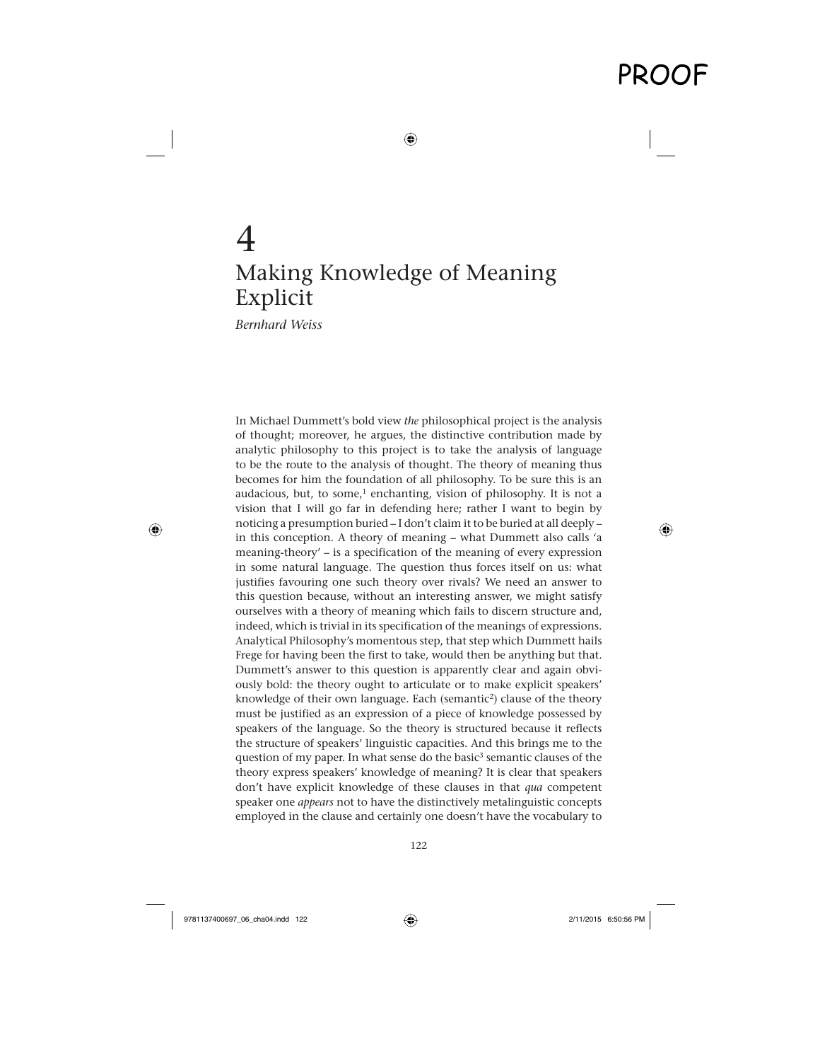⊕

### 4 Making Knowledge of Meaning Explicit

 *Bernhard Weiss* 

⊕

In Michael Dummett's bold view *the* philosophical project is the analysis of thought; moreover, he argues, the distinctive contribution made by analytic philosophy to this project is to take the analysis of language to be the route to the analysis of thought. The theory of meaning thus becomes for him the foundation of all philosophy. To be sure this is an audacious, but, to some, $<sup>1</sup>$  enchanting, vision of philosophy. It is not a</sup> vision that I will go far in defending here; rather I want to begin by noticing a presumption buried – I don't claim it to be buried at all deeply – in this conception. A theory of meaning – what Dummett also calls 'a meaning-theory' – is a specification of the meaning of every expression in some natural language. The question thus forces itself on us: what justifies favouring one such theory over rivals? We need an answer to this question because, without an interesting answer, we might satisfy ourselves with a theory of meaning which fails to discern structure and, indeed, which is trivial in its specification of the meanings of expressions. Analytical Philosophy's momentous step, that step which Dummett hails Frege for having been the first to take, would then be anything but that. Dummett's answer to this question is apparently clear and again obviously bold: the theory ought to articulate or to make explicit speakers' knowledge of their own language. Each (semantic<sup>2</sup>) clause of the theory must be justified as an expression of a piece of knowledge possessed by speakers of the language. So the theory is structured because it reflects the structure of speakers' linguistic capacities. And this brings me to the question of my paper. In what sense do the basic<sup>3</sup> semantic clauses of the theory express speakers' knowledge of meaning? It is clear that speakers don't have explicit knowledge of these clauses in that *qua* competent speaker one *appears* not to have the distinctively metalinguistic concepts employed in the clause and certainly one doesn't have the vocabulary to

122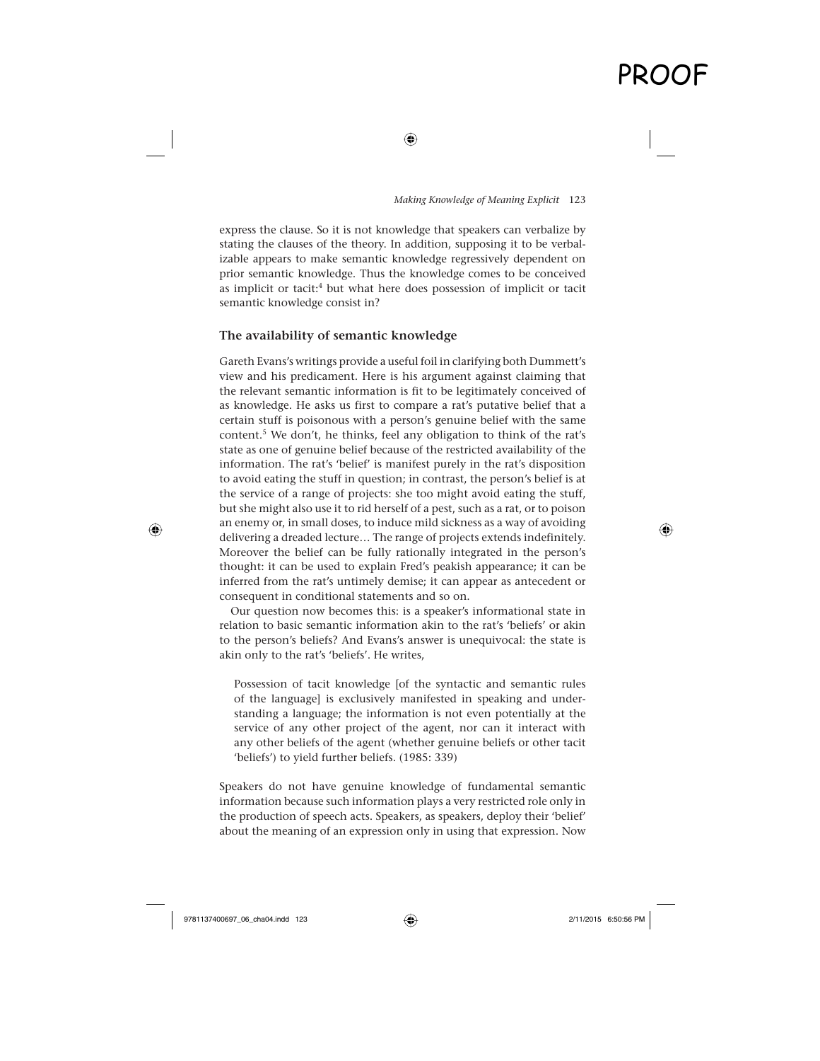⊕

⊕

#### *Making Knowledge of Meaning Explicit* 123

express the clause. So it is not knowledge that speakers can verbalize by stating the clauses of the theory. In addition, supposing it to be verbalizable appears to make semantic knowledge regressively dependent on prior semantic knowledge. Thus the knowledge comes to be conceived as implicit or tacit:<sup>4</sup> but what here does possession of implicit or tacit semantic knowledge consist in?

### **The availability of semantic knowledge**

Gareth Evans's writings provide a useful foil in clarifying both Dummett's view and his predicament. Here is his argument against claiming that the relevant semantic information is fit to be legitimately conceived of as knowledge. He asks us first to compare a rat's putative belief that a certain stuff is poisonous with a person's genuine belief with the same content.<sup>5</sup> We don't, he thinks, feel any obligation to think of the rat's state as one of genuine belief because of the restricted availability of the information. The rat's 'belief' is manifest purely in the rat's disposition to avoid eating the stuff in question; in contrast, the person's belief is at the service of a range of projects: she too might avoid eating the stuff, but she might also use it to rid herself of a pest, such as a rat, or to poison an enemy or, in small doses, to induce mild sickness as a way of avoiding delivering a dreaded lecture… The range of projects extends indefinitely. Moreover the belief can be fully rationally integrated in the person's thought: it can be used to explain Fred's peakish appearance; it can be inferred from the rat's untimely demise; it can appear as antecedent or consequent in conditional statements and so on.

Our question now becomes this: is a speaker's informational state in relation to basic semantic information akin to the rat's 'beliefs' or akin to the person's beliefs? And Evans's answer is unequivocal: the state is akin only to the rat's 'beliefs'. He writes,

Possession of tacit knowledge [of the syntactic and semantic rules of the language] is exclusively manifested in speaking and understanding a language; the information is not even potentially at the service of any other project of the agent, nor can it interact with any other beliefs of the agent (whether genuine beliefs or other tacit 'beliefs') to yield further beliefs. (1985: 339)

Speakers do not have genuine knowledge of fundamental semantic information because such information plays a very restricted role only in the production of speech acts. Speakers, as speakers, deploy their 'belief' about the meaning of an expression only in using that expression. Now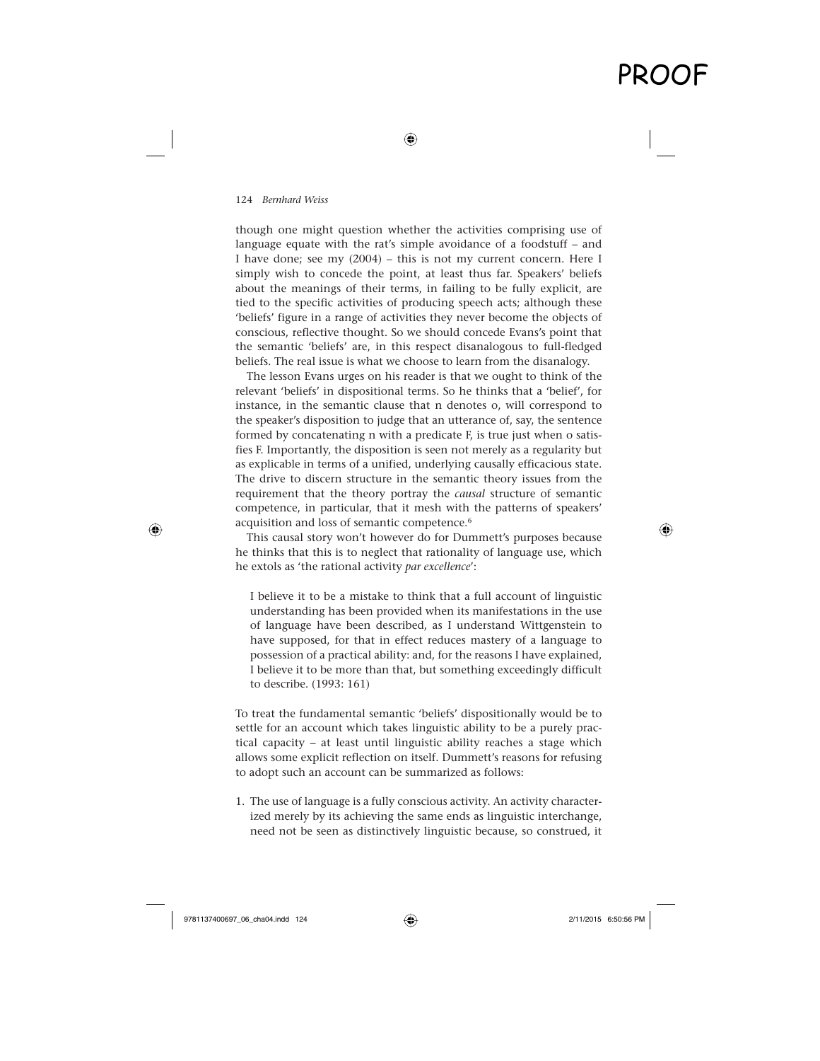◈

⊕

### 124 *Bernhard Weiss*

though one might question whether the activities comprising use of language equate with the rat's simple avoidance of a foodstuff – and I have done; see my (2004) – this is not my current concern. Here I simply wish to concede the point, at least thus far. Speakers' beliefs about the meanings of their terms, in failing to be fully explicit, are tied to the specific activities of producing speech acts; although these 'beliefs' figure in a range of activities they never become the objects of conscious, reflective thought. So we should concede Evans's point that the semantic 'beliefs' are, in this respect disanalogous to full-fledged beliefs. The real issue is what we choose to learn from the disanalogy.

The lesson Evans urges on his reader is that we ought to think of the relevant 'beliefs' in dispositional terms. So he thinks that a 'belief', for instance, in the semantic clause that n denotes o, will correspond to the speaker's disposition to judge that an utterance of, say, the sentence formed by concatenating n with a predicate F, is true just when o satisfies F. Importantly, the disposition is seen not merely as a regularity but as explicable in terms of a unified, underlying causally efficacious state. The drive to discern structure in the semantic theory issues from the requirement that the theory portray the *causal* structure of semantic competence, in particular, that it mesh with the patterns of speakers' acquisition and loss of semantic competence. 6

This causal story won't however do for Dummett's purposes because he thinks that this is to neglect that rationality of language use, which he extols as 'the rational activity *par excellence* ':

I believe it to be a mistake to think that a full account of linguistic understanding has been provided when its manifestations in the use of language have been described, as I understand Wittgenstein to have supposed, for that in effect reduces mastery of a language to possession of a practical ability: and, for the reasons I have explained, I believe it to be more than that, but something exceedingly difficult to describe. (1993: 161)

To treat the fundamental semantic 'beliefs' dispositionally would be to settle for an account which takes linguistic ability to be a purely practical capacity – at least until linguistic ability reaches a stage which allows some explicit reflection on itself. Dummett's reasons for refusing to adopt such an account can be summarized as follows:

1. The use of language is a fully conscious activity. An activity characterized merely by its achieving the same ends as linguistic interchange, need not be seen as distinctively linguistic because, so construed, it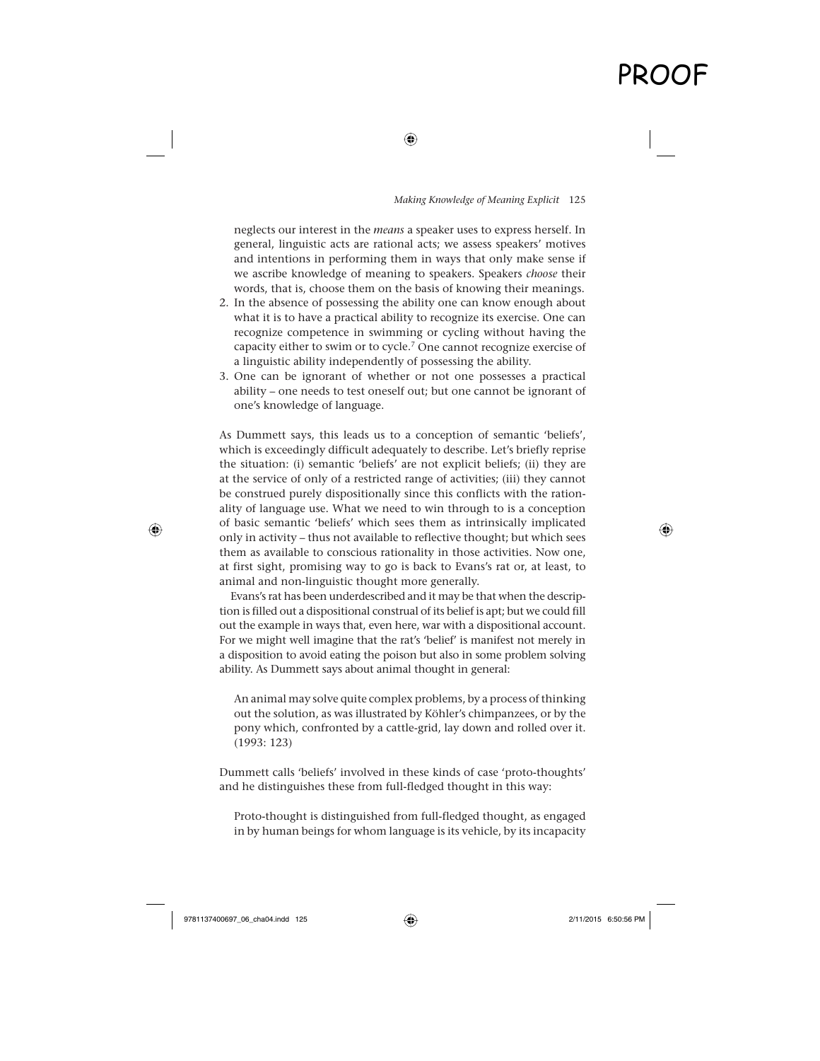⊕

 $\bigoplus$ 

#### *Making Knowledge of Meaning Explicit* 125

neglects our interest in the *means* a speaker uses to express herself. In general, linguistic acts are rational acts; we assess speakers' motives and intentions in performing them in ways that only make sense if we ascribe knowledge of meaning to speakers. Speakers *choose* their words, that is, choose them on the basis of knowing their meanings.

- 2. In the absence of possessing the ability one can know enough about what it is to have a practical ability to recognize its exercise. One can recognize competence in swimming or cycling without having the capacity either to swim or to cycle.<sup>7</sup> One cannot recognize exercise of a linguistic ability independently of possessing the ability.
- 3. One can be ignorant of whether or not one possesses a practical ability – one needs to test oneself out; but one cannot be ignorant of one's knowledge of language.

As Dummett says, this leads us to a conception of semantic 'beliefs', which is exceedingly difficult adequately to describe. Let's briefly reprise the situation: (i) semantic 'beliefs' are not explicit beliefs; (ii) they are at the service of only of a restricted range of activities; (iii) they cannot be construed purely dispositionally since this conflicts with the rationality of language use. What we need to win through to is a conception of basic semantic 'beliefs' which sees them as intrinsically implicated only in activity – thus not available to reflective thought; but which sees them as available to conscious rationality in those activities. Now one, at first sight, promising way to go is back to Evans's rat or, at least, to animal and non-linguistic thought more generally.

Evans's rat has been underdescribed and it may be that when the description is filled out a dispositional construal of its belief is apt; but we could fill out the example in ways that, even here, war with a dispositional account. For we might well imagine that the rat's 'belief' is manifest not merely in a disposition to avoid eating the poison but also in some problem solving ability. As Dummett says about animal thought in general:

An animal may solve quite complex problems, by a process of thinking out the solution, as was illustrated by Köhler's chimpanzees, or by the pony which, confronted by a cattle-grid, lay down and rolled over it. (1993: 123)

Dummett calls 'beliefs' involved in these kinds of case 'proto-thoughts' and he distinguishes these from full-fledged thought in this way:

Proto-thought is distinguished from full-fledged thought, as engaged in by human beings for whom language is its vehicle, by its incapacity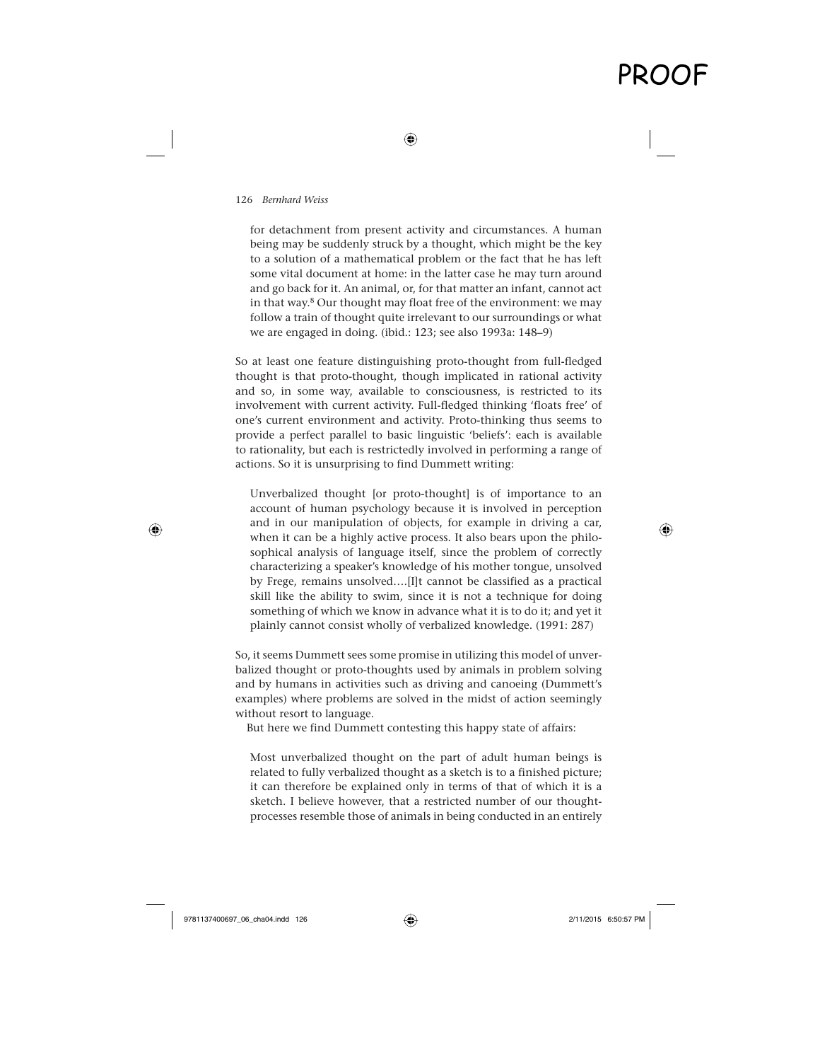⊕

⊕

### 126 *Bernhard Weiss*

for detachment from present activity and circumstances. A human being may be suddenly struck by a thought, which might be the key to a solution of a mathematical problem or the fact that he has left some vital document at home: in the latter case he may turn around and go back for it. An animal, or, for that matter an infant, cannot act in that way. $8$  Our thought may float free of the environment: we may follow a train of thought quite irrelevant to our surroundings or what we are engaged in doing. (ibid.: 123; see also 1993a: 148–9)

So at least one feature distinguishing proto-thought from full-fledged thought is that proto-thought, though implicated in rational activity and so, in some way, available to consciousness, is restricted to its involvement with current activity. Full-fledged thinking 'floats free' of one's current environment and activity. Proto-thinking thus seems to provide a perfect parallel to basic linguistic 'beliefs': each is available to rationality, but each is restrictedly involved in performing a range of actions. So it is unsurprising to find Dummett writing:

Unverbalized thought [or proto-thought] is of importance to an account of human psychology because it is involved in perception and in our manipulation of objects, for example in driving a car, when it can be a highly active process. It also bears upon the philosophical analysis of language itself, since the problem of correctly characterizing a speaker's knowledge of his mother tongue, unsolved by Frege, remains unsolved….[I]t cannot be classified as a practical skill like the ability to swim, since it is not a technique for doing something of which we know in advance what it is to do it; and yet it plainly cannot consist wholly of verbalized knowledge. (1991: 287)

So, it seems Dummett sees some promise in utilizing this model of unverbalized thought or proto-thoughts used by animals in problem solving and by humans in activities such as driving and canoeing (Dummett's examples) where problems are solved in the midst of action seemingly without resort to language.

But here we find Dummett contesting this happy state of affairs:

Most unverbalized thought on the part of adult human beings is related to fully verbalized thought as a sketch is to a finished picture; it can therefore be explained only in terms of that of which it is a sketch. I believe however, that a restricted number of our thoughtprocesses resemble those of animals in being conducted in an entirely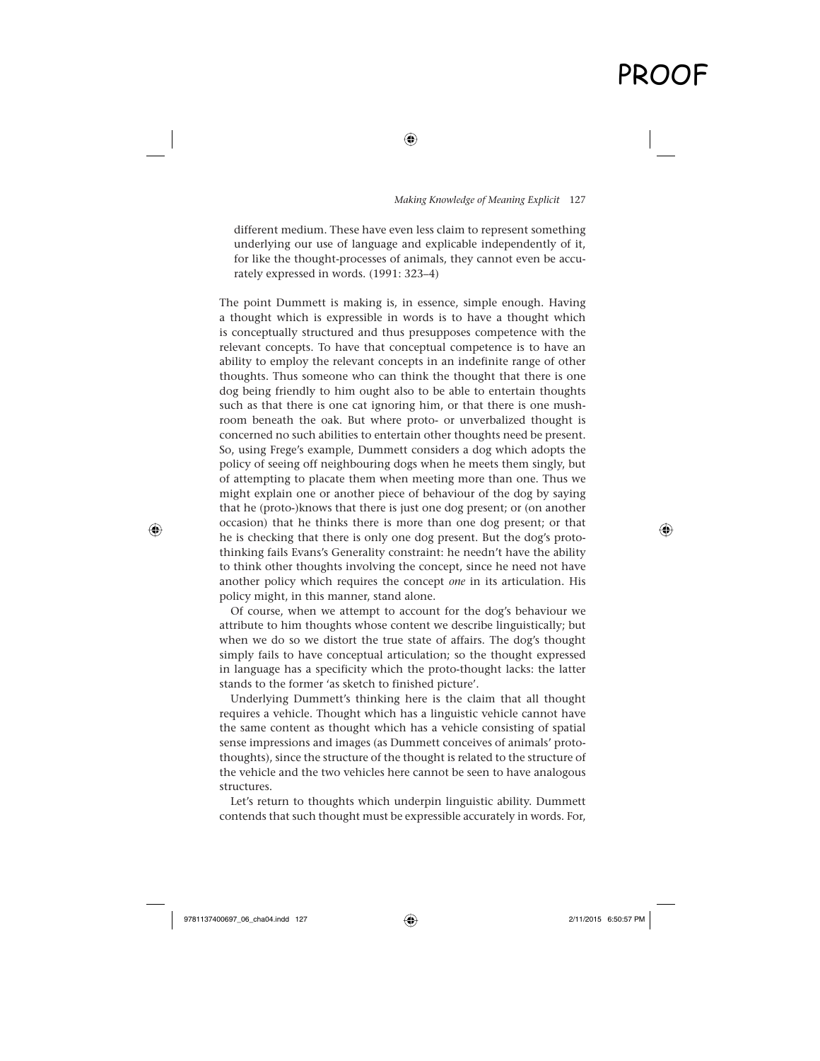⊕

 $\bigoplus$ 

#### *Making Knowledge of Meaning Explicit* 127

different medium. These have even less claim to represent something underlying our use of language and explicable independently of it, for like the thought-processes of animals, they cannot even be accurately expressed in words. (1991: 323–4)

The point Dummett is making is, in essence, simple enough. Having a thought which is expressible in words is to have a thought which is conceptually structured and thus presupposes competence with the relevant concepts. To have that conceptual competence is to have an ability to employ the relevant concepts in an indefinite range of other thoughts. Thus someone who can think the thought that there is one dog being friendly to him ought also to be able to entertain thoughts such as that there is one cat ignoring him, or that there is one mushroom beneath the oak. But where proto- or unverbalized thought is concerned no such abilities to entertain other thoughts need be present. So, using Frege's example, Dummett considers a dog which adopts the policy of seeing off neighbouring dogs when he meets them singly, but of attempting to placate them when meeting more than one. Thus we might explain one or another piece of behaviour of the dog by saying that he (proto-)knows that there is just one dog present; or (on another occasion) that he thinks there is more than one dog present; or that he is checking that there is only one dog present. But the dog's protothinking fails Evans's Generality constraint: he needn't have the ability to think other thoughts involving the concept, since he need not have another policy which requires the concept *one* in its articulation. His policy might, in this manner, stand alone.

Of course, when we attempt to account for the dog's behaviour we attribute to him thoughts whose content we describe linguistically; but when we do so we distort the true state of affairs. The dog's thought simply fails to have conceptual articulation; so the thought expressed in language has a specificity which the proto-thought lacks: the latter stands to the former 'as sketch to finished picture'.

Underlying Dummett's thinking here is the claim that all thought requires a vehicle. Thought which has a linguistic vehicle cannot have the same content as thought which has a vehicle consisting of spatial sense impressions and images (as Dummett conceives of animals' protothoughts), since the structure of the thought is related to the structure of the vehicle and the two vehicles here cannot be seen to have analogous structures.

Let's return to thoughts which underpin linguistic ability. Dummett contends that such thought must be expressible accurately in words. For,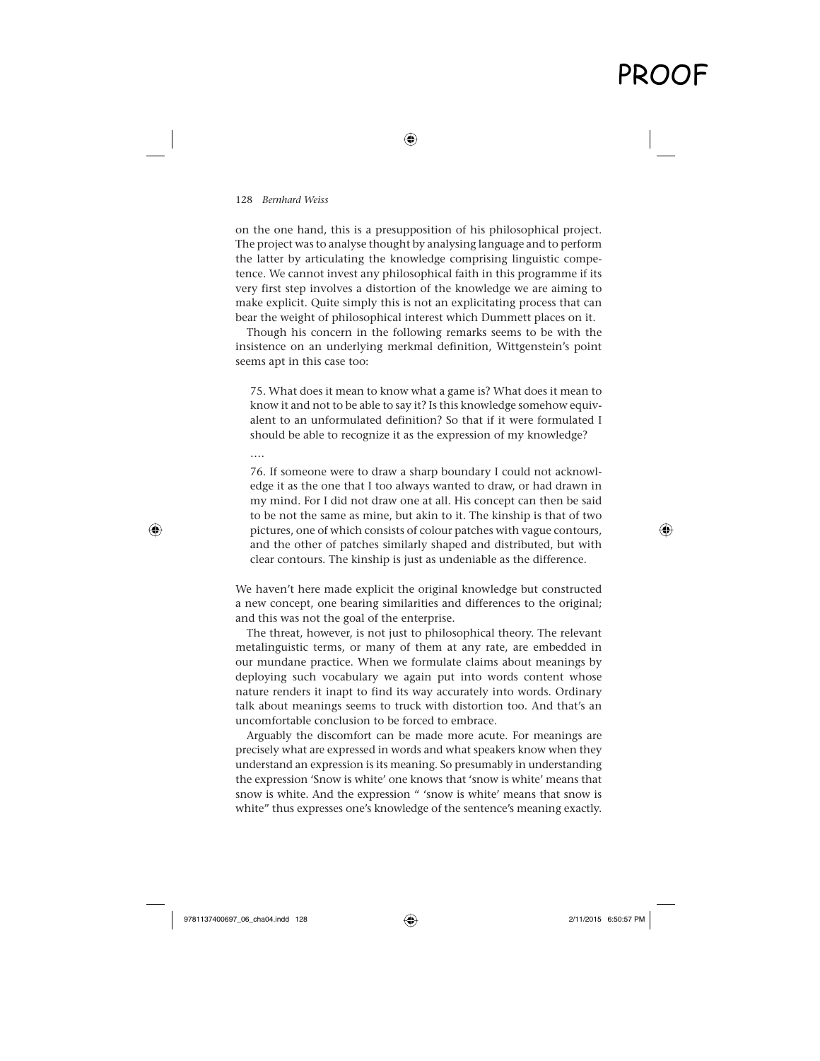⊕

⊕

### 128 *Bernhard Weiss*

on the one hand, this is a presupposition of his philosophical project. The project was to analyse thought by analysing language and to perform the latter by articulating the knowledge comprising linguistic competence. We cannot invest any philosophical faith in this programme if its very first step involves a distortion of the knowledge we are aiming to make explicit. Quite simply this is not an explicitating process that can bear the weight of philosophical interest which Dummett places on it.

Though his concern in the following remarks seems to be with the insistence on an underlying merkmal definition, Wittgenstein's point seems apt in this case too:

75. What does it mean to know what a game is? What does it mean to know it and not to be able to say it? Is this knowledge somehow equivalent to an unformulated definition? So that if it were formulated I should be able to recognize it as the expression of my knowledge?

….

⊕

76. If someone were to draw a sharp boundary I could not acknowledge it as the one that I too always wanted to draw, or had drawn in my mind. For I did not draw one at all. His concept can then be said to be not the same as mine, but akin to it. The kinship is that of two pictures, one of which consists of colour patches with vague contours, and the other of patches similarly shaped and distributed, but with clear contours. The kinship is just as undeniable as the difference.

We haven't here made explicit the original knowledge but constructed a new concept, one bearing similarities and differences to the original; and this was not the goal of the enterprise.

The threat, however, is not just to philosophical theory. The relevant metalinguistic terms, or many of them at any rate, are embedded in our mundane practice. When we formulate claims about meanings by deploying such vocabulary we again put into words content whose nature renders it inapt to find its way accurately into words. Ordinary talk about meanings seems to truck with distortion too. And that's an uncomfortable conclusion to be forced to embrace.

Arguably the discomfort can be made more acute. For meanings are precisely what are expressed in words and what speakers know when they understand an expression is its meaning. So presumably in understanding the expression 'Snow is white' one knows that 'snow is white' means that snow is white. And the expression " 'snow is white' means that snow is white" thus expresses one's knowledge of the sentence's meaning exactly.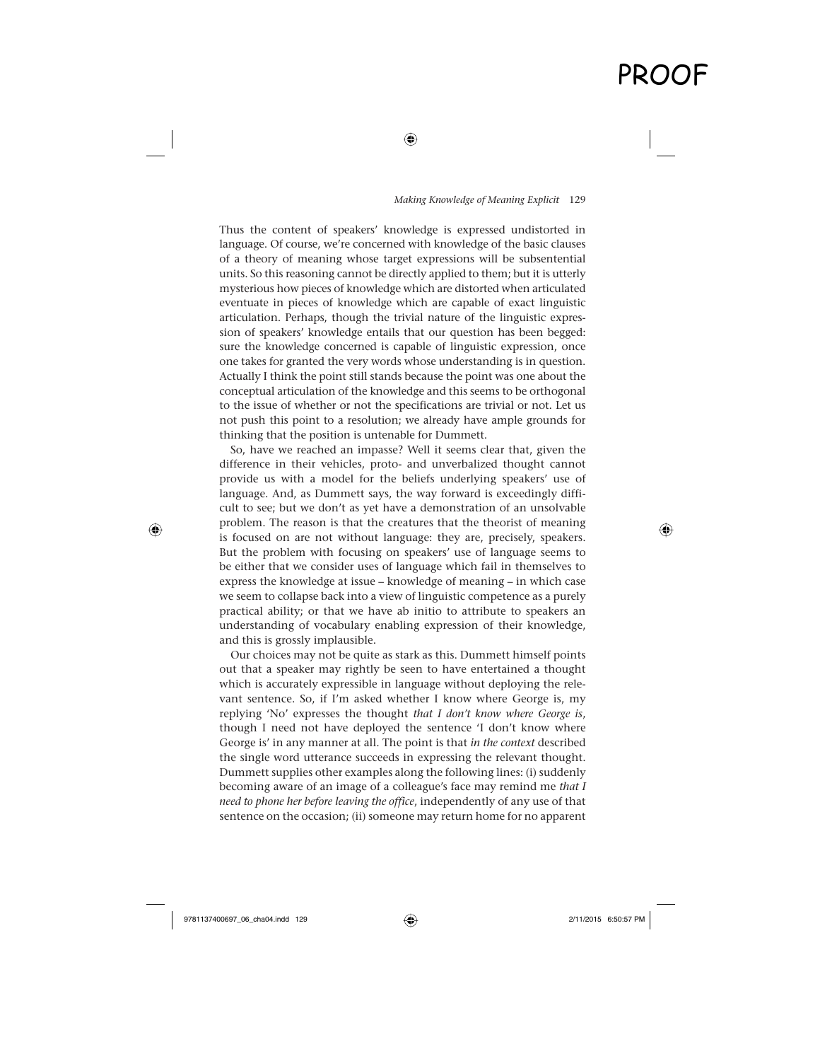$\bigoplus$ 

#### *Making Knowledge of Meaning Explicit* 129

Thus the content of speakers' knowledge is expressed undistorted in language. Of course, we're concerned with knowledge of the basic clauses of a theory of meaning whose target expressions will be subsentential units. So this reasoning cannot be directly applied to them; but it is utterly mysterious how pieces of knowledge which are distorted when articulated eventuate in pieces of knowledge which are capable of exact linguistic articulation. Perhaps, though the trivial nature of the linguistic expression of speakers' knowledge entails that our question has been begged: sure the knowledge concerned is capable of linguistic expression, once one takes for granted the very words whose understanding is in question. Actually I think the point still stands because the point was one about the conceptual articulation of the knowledge and this seems to be orthogonal to the issue of whether or not the specifications are trivial or not. Let us not push this point to a resolution; we already have ample grounds for thinking that the position is untenable for Dummett.

So, have we reached an impasse? Well it seems clear that, given the difference in their vehicles, proto- and unverbalized thought cannot provide us with a model for the beliefs underlying speakers' use of language. And, as Dummett says, the way forward is exceedingly difficult to see; but we don't as yet have a demonstration of an unsolvable problem. The reason is that the creatures that the theorist of meaning is focused on are not without language: they are, precisely, speakers. But the problem with focusing on speakers' use of language seems to be either that we consider uses of language which fail in themselves to express the knowledge at issue – knowledge of meaning – in which case we seem to collapse back into a view of linguistic competence as a purely practical ability; or that we have ab initio to attribute to speakers an understanding of vocabulary enabling expression of their knowledge, and this is grossly implausible.

Our choices may not be quite as stark as this. Dummett himself points out that a speaker may rightly be seen to have entertained a thought which is accurately expressible in language without deploying the relevant sentence. So, if I'm asked whether I know where George is, my replying 'No' expresses the thought *that I don't know where George is* , though I need not have deployed the sentence 'I don't know where George is' in any manner at all. The point is that *in the context* described the single word utterance succeeds in expressing the relevant thought. Dummett supplies other examples along the following lines: (i) suddenly becoming aware of an image of a colleague's face may remind me *that I need to phone her before leaving the office*, independently of any use of that sentence on the occasion; (ii) someone may return home for no apparent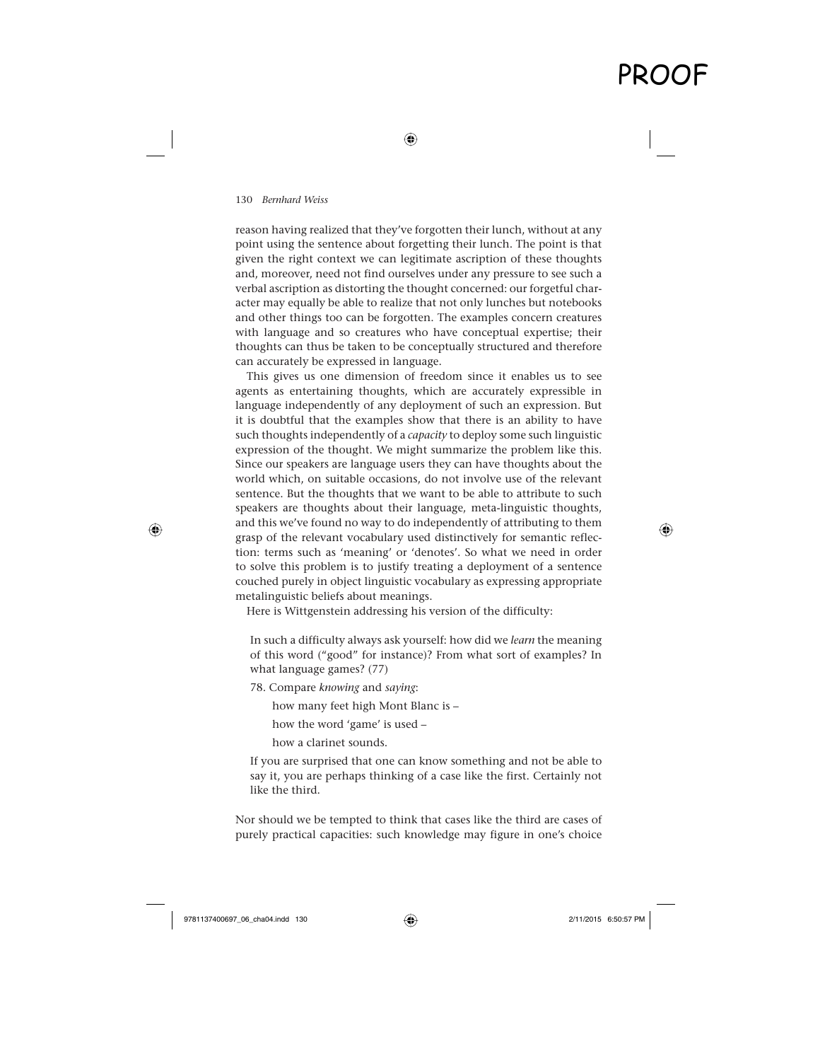⊕

⊕

#### 130 *Bernhard Weiss*

reason having realized that they've forgotten their lunch, without at any point using the sentence about forgetting their lunch. The point is that given the right context we can legitimate ascription of these thoughts and, moreover, need not find ourselves under any pressure to see such a verbal ascription as distorting the thought concerned: our forgetful character may equally be able to realize that not only lunches but notebooks and other things too can be forgotten. The examples concern creatures with language and so creatures who have conceptual expertise; their thoughts can thus be taken to be conceptually structured and therefore can accurately be expressed in language.

This gives us one dimension of freedom since it enables us to see agents as entertaining thoughts, which are accurately expressible in language independently of any deployment of such an expression. But it is doubtful that the examples show that there is an ability to have such thoughts independently of a *capacity* to deploy some such linguistic expression of the thought. We might summarize the problem like this. Since our speakers are language users they can have thoughts about the world which, on suitable occasions, do not involve use of the relevant sentence. But the thoughts that we want to be able to attribute to such speakers are thoughts about their language, meta-linguistic thoughts, and this we've found no way to do independently of attributing to them grasp of the relevant vocabulary used distinctively for semantic reflection: terms such as 'meaning' or 'denotes'. So what we need in order to solve this problem is to justify treating a deployment of a sentence couched purely in object linguistic vocabulary as expressing appropriate metalinguistic beliefs about meanings.

Here is Wittgenstein addressing his version of the difficulty:

In such a difficulty always ask yourself: how did we *learn* the meaning of this word ("good" for instance)? From what sort of examples? In what language games? (77)

78. Compare *knowing* and *saying* :

how many feet high Mont Blanc is –

- how the word 'game' is used –
- how a clarinet sounds.

If you are surprised that one can know something and not be able to say it, you are perhaps thinking of a case like the first. Certainly not like the third.

Nor should we be tempted to think that cases like the third are cases of purely practical capacities: such knowledge may figure in one's choice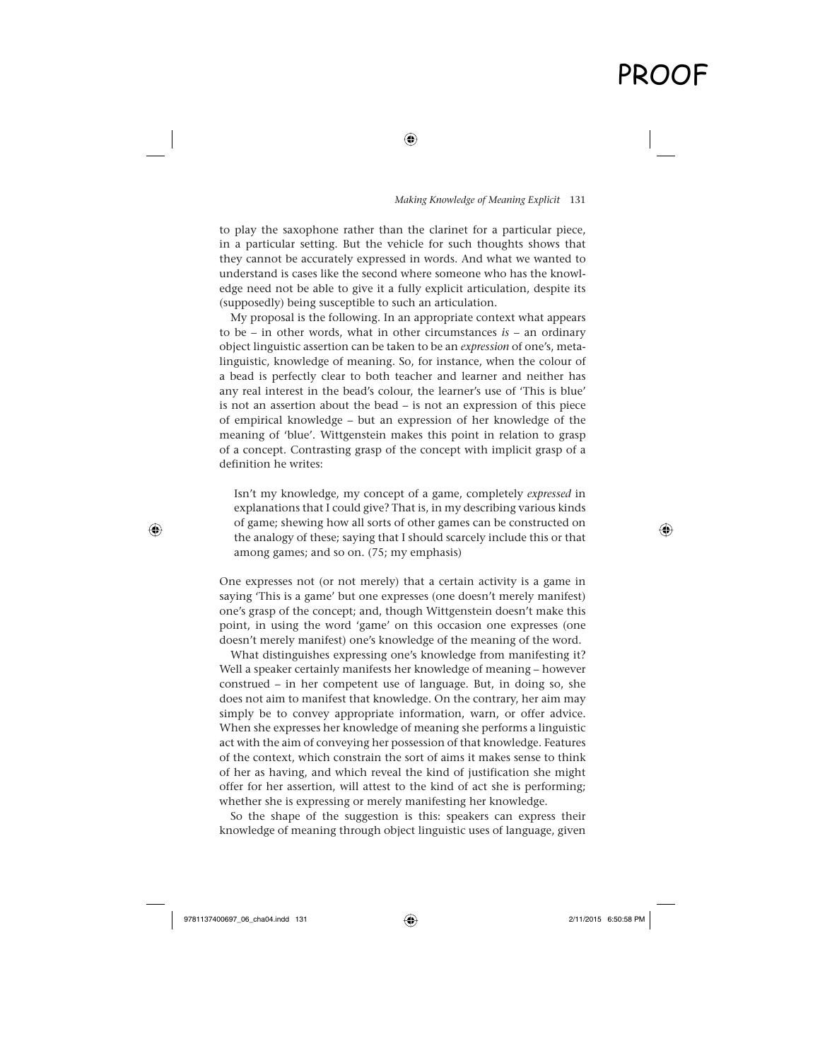⊕

 $\bigoplus$ 

#### *Making Knowledge of Meaning Explicit* 131

to play the saxophone rather than the clarinet for a particular piece, in a particular setting. But the vehicle for such thoughts shows that they cannot be accurately expressed in words. And what we wanted to understand is cases like the second where someone who has the knowledge need not be able to give it a fully explicit articulation, despite its (supposedly) being susceptible to such an articulation.

My proposal is the following. In an appropriate context what appears to be – in other words, what in other circumstances *is* – an ordinary object linguistic assertion can be taken to be an *expression* of one's, metalinguistic, knowledge of meaning. So, for instance, when the colour of a bead is perfectly clear to both teacher and learner and neither has any real interest in the bead's colour, the learner's use of 'This is blue' is not an assertion about the bead – is not an expression of this piece of empirical knowledge – but an expression of her knowledge of the meaning of 'blue'. Wittgenstein makes this point in relation to grasp of a concept. Contrasting grasp of the concept with implicit grasp of a definition he writes:

Isn't my knowledge, my concept of a game, completely *expressed* in explanations that I could give? That is, in my describing various kinds of game; shewing how all sorts of other games can be constructed on the analogy of these; saying that I should scarcely include this or that among games; and so on. (75; my emphasis)

One expresses not (or not merely) that a certain activity is a game in saying 'This is a game' but one expresses (one doesn't merely manifest) one's grasp of the concept; and, though Wittgenstein doesn't make this point, in using the word 'game' on this occasion one expresses (one doesn't merely manifest) one's knowledge of the meaning of the word.

What distinguishes expressing one's knowledge from manifesting it? Well a speaker certainly manifests her knowledge of meaning – however construed – in her competent use of language. But, in doing so, she does not aim to manifest that knowledge. On the contrary, her aim may simply be to convey appropriate information, warn, or offer advice. When she expresses her knowledge of meaning she performs a linguistic act with the aim of conveying her possession of that knowledge. Features of the context, which constrain the sort of aims it makes sense to think of her as having, and which reveal the kind of justification she might offer for her assertion, will attest to the kind of act she is performing; whether she is expressing or merely manifesting her knowledge.

So the shape of the suggestion is this: speakers can express their knowledge of meaning through object linguistic uses of language, given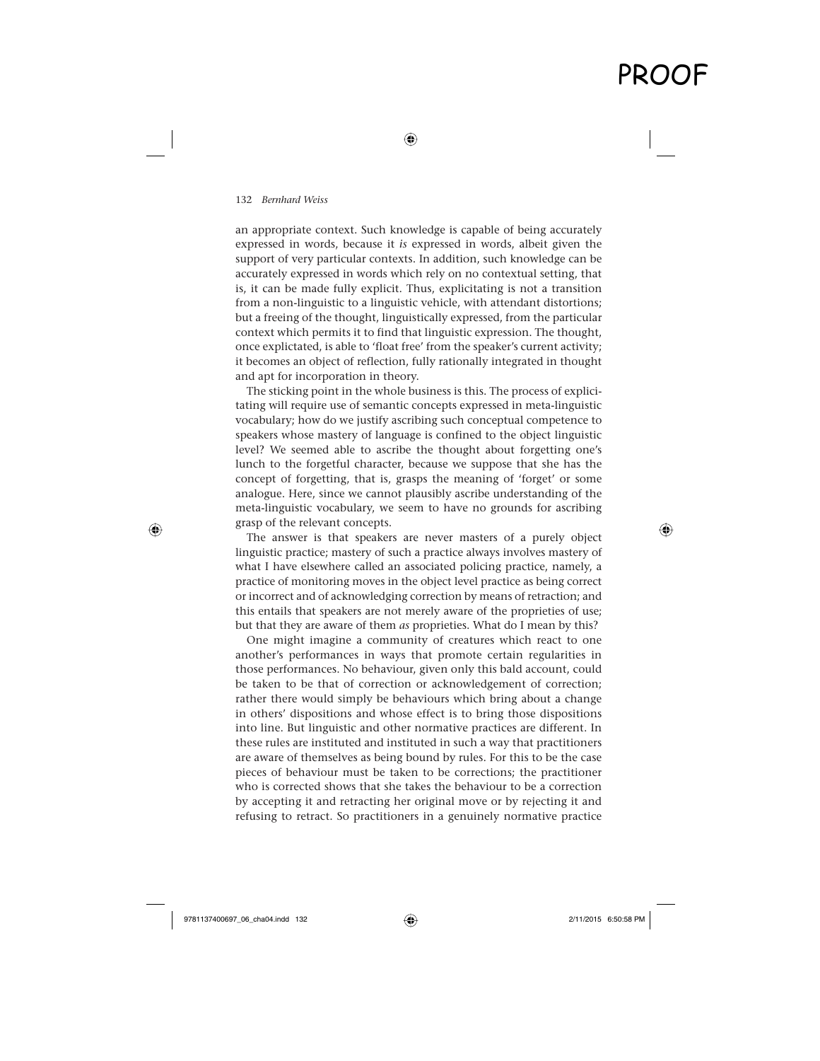◈

⊕

#### 132 *Bernhard Weiss*

an appropriate context. Such knowledge is capable of being accurately expressed in words, because it *is* expressed in words, albeit given the support of very particular contexts. In addition, such knowledge can be accurately expressed in words which rely on no contextual setting, that is, it can be made fully explicit. Thus, explicitating is not a transition from a non-linguistic to a linguistic vehicle, with attendant distortions; but a freeing of the thought, linguistically expressed, from the particular context which permits it to find that linguistic expression. The thought, once explictated, is able to 'float free' from the speaker's current activity; it becomes an object of reflection, fully rationally integrated in thought and apt for incorporation in theory.

The sticking point in the whole business is this. The process of explicitating will require use of semantic concepts expressed in meta-linguistic vocabulary; how do we justify ascribing such conceptual competence to speakers whose mastery of language is confined to the object linguistic level? We seemed able to ascribe the thought about forgetting one's lunch to the forgetful character, because we suppose that she has the concept of forgetting, that is, grasps the meaning of 'forget' or some analogue. Here, since we cannot plausibly ascribe understanding of the meta-linguistic vocabulary, we seem to have no grounds for ascribing grasp of the relevant concepts.

The answer is that speakers are never masters of a purely object linguistic practice; mastery of such a practice always involves mastery of what I have elsewhere called an associated policing practice, namely, a practice of monitoring moves in the object level practice as being correct or incorrect and of acknowledging correction by means of retraction; and this entails that speakers are not merely aware of the proprieties of use; but that they are aware of them *as* proprieties. What do I mean by this?

One might imagine a community of creatures which react to one another's performances in ways that promote certain regularities in those performances. No behaviour, given only this bald account, could be taken to be that of correction or acknowledgement of correction; rather there would simply be behaviours which bring about a change in others' dispositions and whose effect is to bring those dispositions into line. But linguistic and other normative practices are different. In these rules are instituted and instituted in such a way that practitioners are aware of themselves as being bound by rules. For this to be the case pieces of behaviour must be taken to be corrections; the practitioner who is corrected shows that she takes the behaviour to be a correction by accepting it and retracting her original move or by rejecting it and refusing to retract. So practitioners in a genuinely normative practice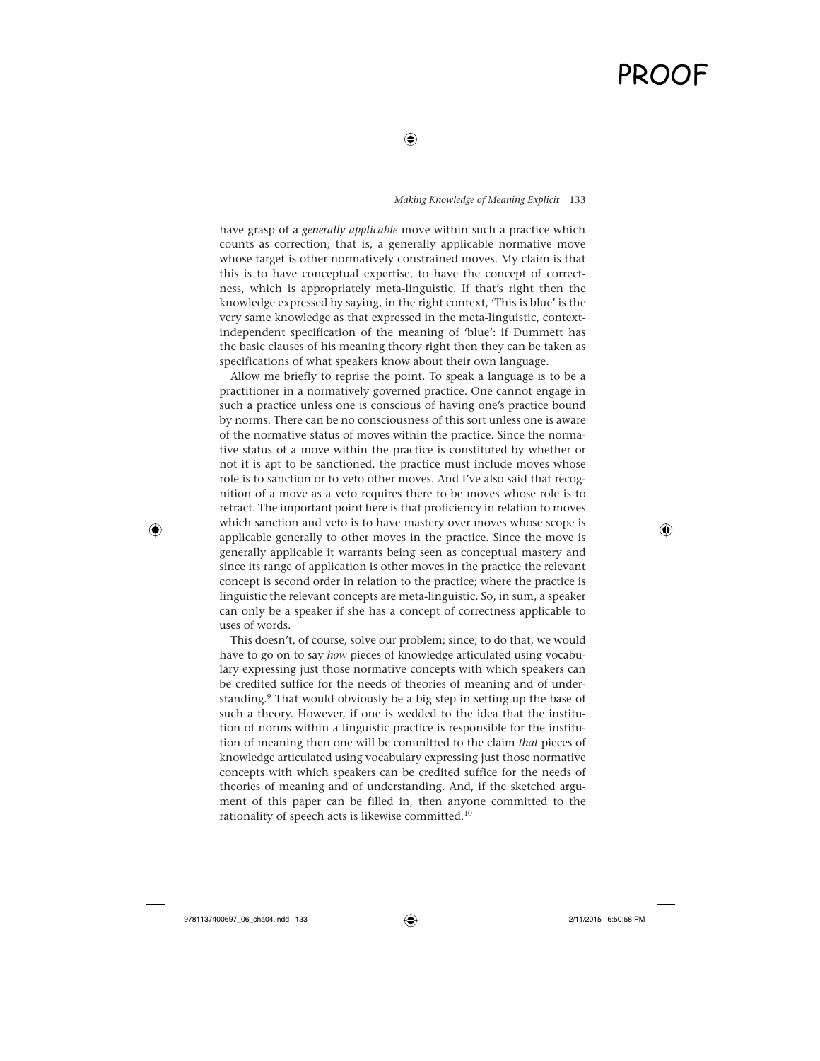⊕

#### *Making Knowledge of Meaning Explicit* 133

have grasp of a *generally applicable* move within such a practice which counts as correction; that is, a generally applicable normative move whose target is other normatively constrained moves. My claim is that this is to have conceptual expertise, to have the concept of correctness, which is appropriately meta-linguistic. If that's right then the knowledge expressed by saying, in the right context, 'This is blue' is the very same knowledge as that expressed in the meta-linguistic, contextindependent specification of the meaning of 'blue': if Dummett has the basic clauses of his meaning theory right then they can be taken as specifications of what speakers know about their own language.

Allow me briefly to reprise the point. To speak a language is to be a practitioner in a normatively governed practice. One cannot engage in such a practice unless one is conscious of having one's practice bound by norms. There can be no consciousness of this sort unless one is aware of the normative status of moves within the practice. Since the normative status of a move within the practice is constituted by whether or not it is apt to be sanctioned, the practice must include moves whose role is to sanction or to veto other moves. And I've also said that recognition of a move as a veto requires there to be moves whose role is to retract. The important point here is that proficiency in relation to moves which sanction and veto is to have mastery over moves whose scope is applicable generally to other moves in the practice. Since the move is generally applicable it warrants being seen as conceptual mastery and since its range of application is other moves in the practice the relevant concept is second order in relation to the practice; where the practice is linguistic the relevant concepts are meta-linguistic. So, in sum, a speaker can only be a speaker if she has a concept of correctness applicable to uses of words.

This doesn't, of course, solve our problem; since, to do that, we would have to go on to say *how* pieces of knowledge articulated using vocabulary expressing just those normative concepts with which speakers can be credited suffice for the needs of theories of meaning and of understanding.<sup>9</sup> That would obviously be a big step in setting up the base of such a theory. However, if one is wedded to the idea that the institution of norms within a linguistic practice is responsible for the institution of meaning then one will be committed to the claim *that* pieces of knowledge articulated using vocabulary expressing just those normative concepts with which speakers can be credited suffice for the needs of theories of meaning and of understanding. And, if the sketched argument of this paper can be filled in, then anyone committed to the rationality of speech acts is likewise committed. 10